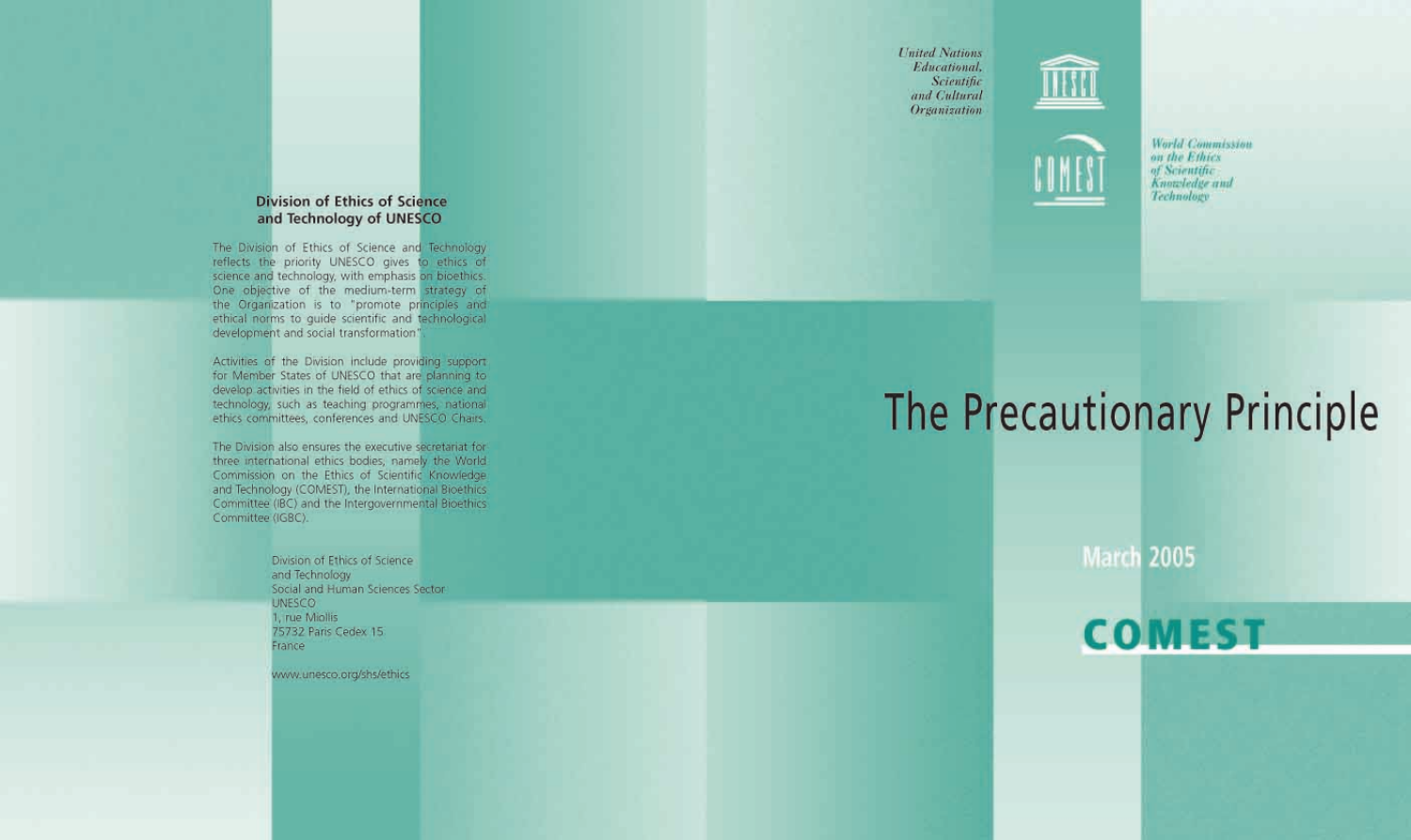**United Nations** Educational, Scientific and Cultural **Organization** 





**World Commission** on the Ethics of Scientific Knowledge and Technology

# The Precautionary Principle

**March 2005** 

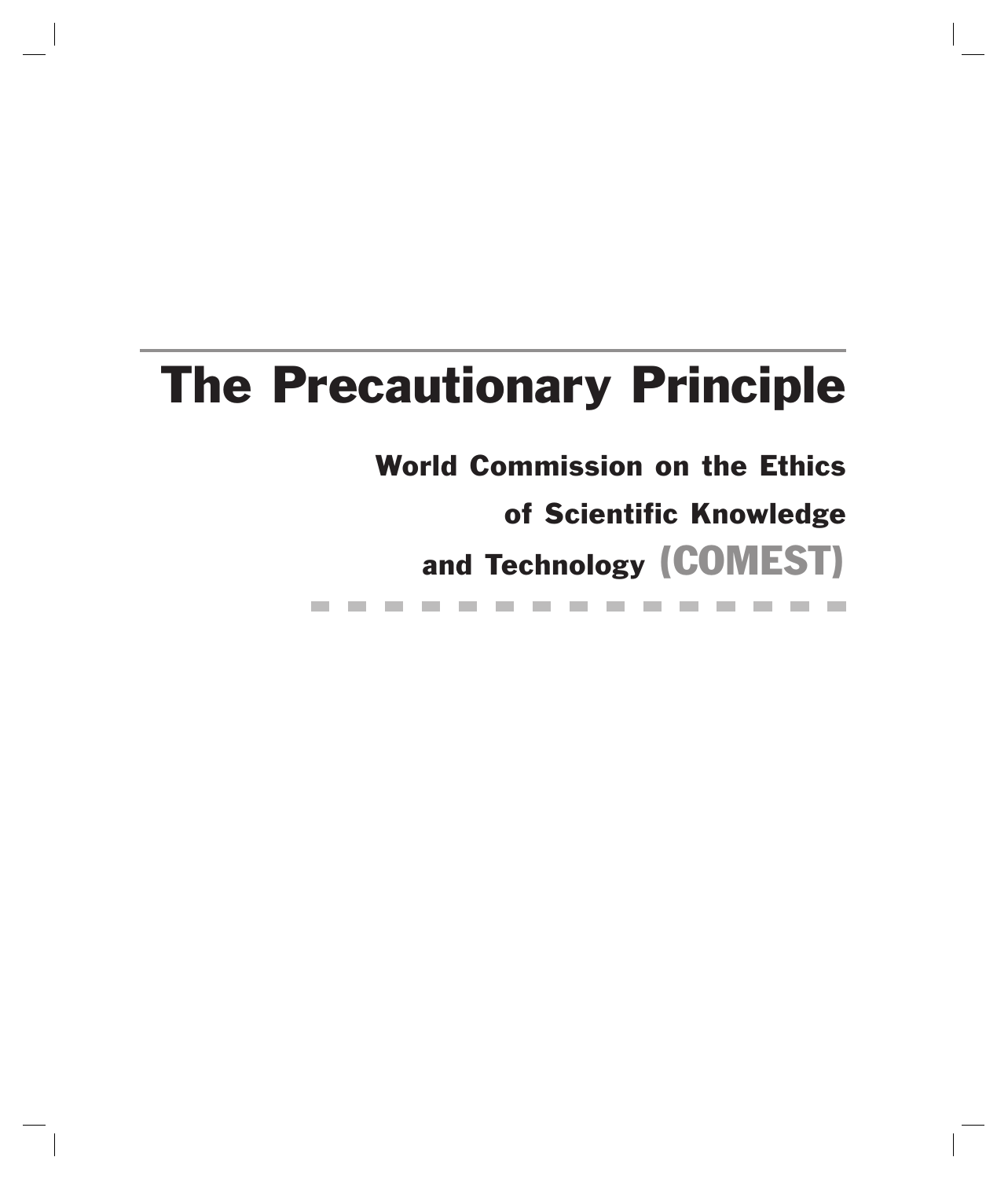## The Precautionary Principle

World Commission on the Ethics

of Scientific Knowledge

and Technology (COMEST)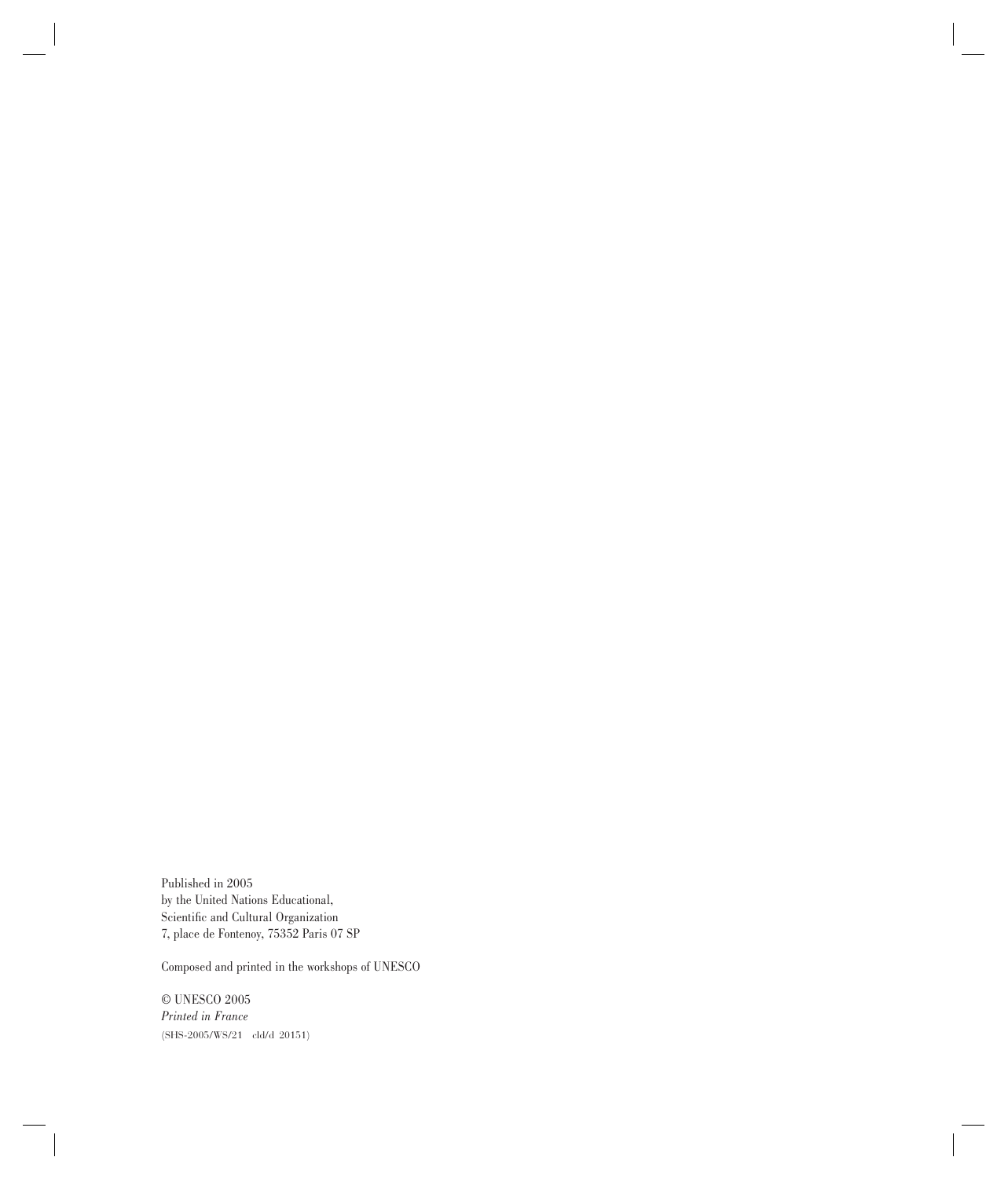Published in 2005 by the United Nations Educational, Scientific and Cultural Organization 7, place de Fontenoy, 75352 Paris 07 SP

Composed and printed in the workshops of UNESCO

 $\odot$  UNESCO 2005 *Printed in France* (SHS-2005/WS/21 cld/d 20151)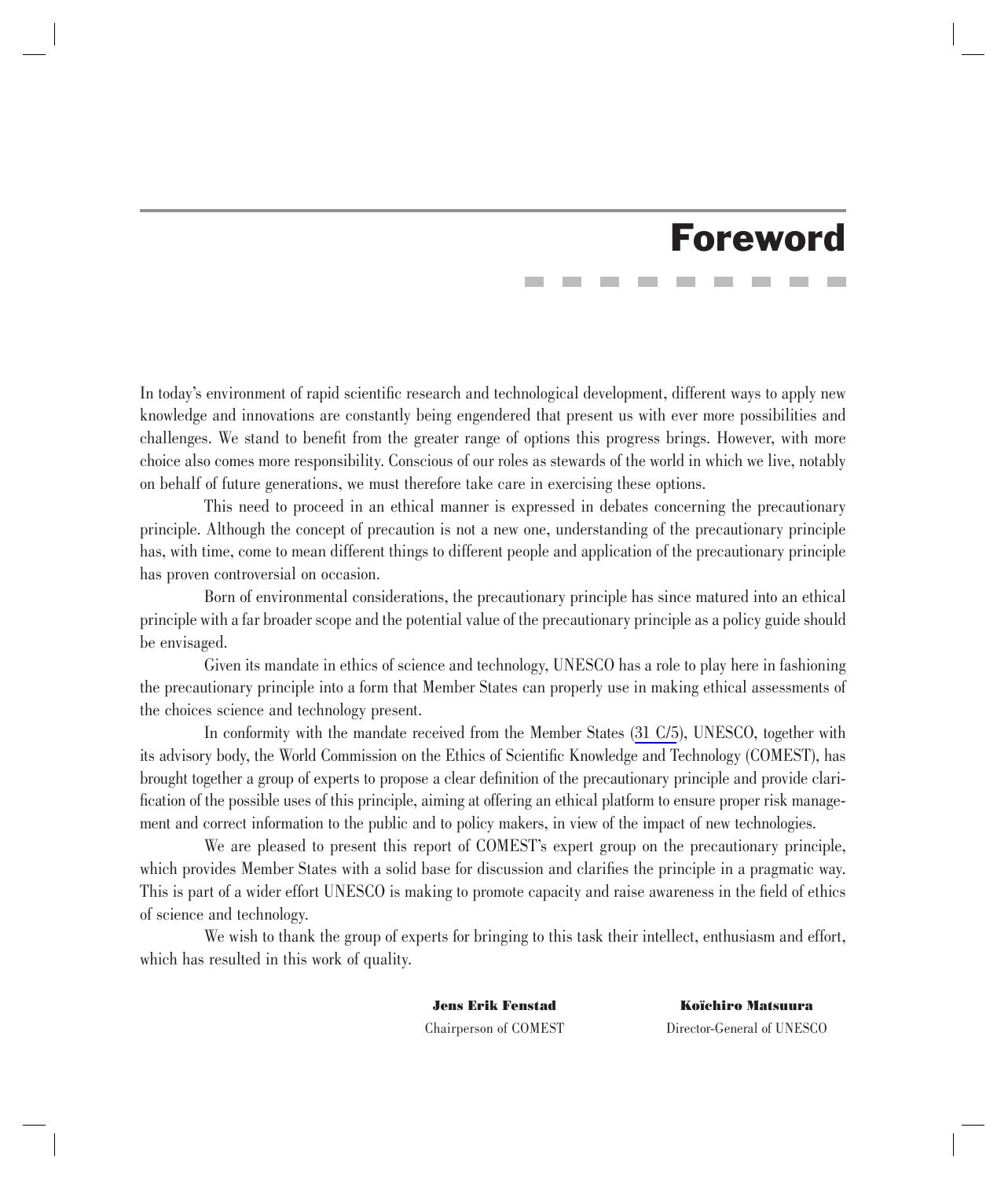### Foreword

In today's environment of rapid scientific research and technological development, different ways to apply new knowledge and innovations are constantly being engendered that present us with ever more possibilities and challenges. We stand to benefit from the greater range of options this progress brings. However, with more choice also comes more responsibility. Conscious of our roles as stewards of the world in which we live, notably on behalf of future generations, we must therefore take care in exercising these options.

This need to proceed in an ethical manner is expressed in debates concerning the precautionary principle. Although the concept of precaution is not a new one, understanding of the precautionary principle has, with time, come to mean different things to different people and application of the precautionary principle has proven controversial on occasion.

Born of environmental considerations, the precautionary principle has since matured into an ethical principle with a far broader scope and the potential value of the precautionary principle as a policy guide should be envisaged.

Given its mandate in ethics of science and technology, UNESCO has a role to play here in fashioning the precautionary principle into a form that Member States can properly use in making ethical assessments of the choices science and technology present.

In conformity with the mandate received from the Member States (31 C/5), UNESCO, together with its advisory body, the World Commission on the Ethics of Scientific Knowledge and Technology (COMEST), has brought together a group of experts to propose a clear definition of the precautionary principle and provide clarification of the possible uses of this principle, aiming at offering an ethical platform to ensure proper risk management and correct information to the public and to policy makers, in view of the impact of new technologies.

We are pleased to present this report of COMEST's expert group on the precautionary principle, which provides Member States with a solid base for discussion and clarifies the principle in a pragmatic way. This is part of a wider effort UNESCO is making to promote capacity and raise awareness in the field of ethics of science and technology.

We wish to thank the group of experts for bringing to this task their intellect, enthusiasm and effort, which has resulted in this work of quality.

**Jens Erik Fenstad Koïchiro Matsuura** Chairperson of COMEST Director-General of UNESCO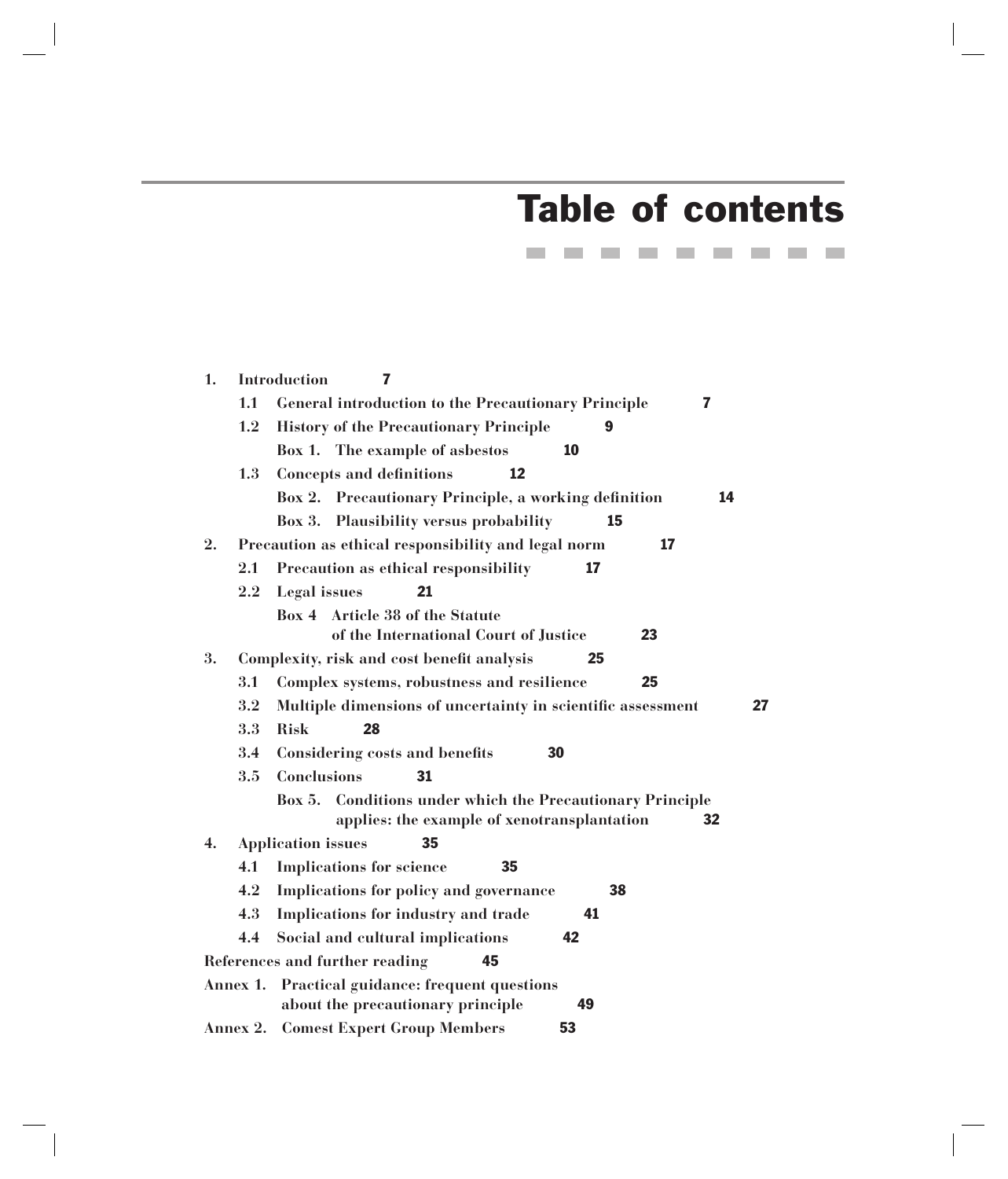## Table of contents

---------

| 1. |          | <b>Introduction</b><br>7                                                                                                        |
|----|----------|---------------------------------------------------------------------------------------------------------------------------------|
|    | 1.1      | <b>General introduction to the Precautionary Principle</b><br>$\overline{\mathbf{z}}$                                           |
|    | 1.2      | <b>History of the Precautionary Principle</b><br>9                                                                              |
|    |          | Box 1. The example of asbestos<br>10                                                                                            |
|    | 1.3      | 12<br><b>Concepts and definitions</b>                                                                                           |
|    |          | Box 2. Precautionary Principle, a working definition<br>14                                                                      |
|    |          | Box 3. Plausibility versus probability<br>15                                                                                    |
| 2. |          | Precaution as ethical responsibility and legal norm<br>17                                                                       |
|    | 2.1      | Precaution as ethical responsibility<br>17                                                                                      |
|    | $2.2\,$  | Legal issues<br>21                                                                                                              |
|    |          | Box 4 Article 38 of the Statute<br>of the International Court of Justice<br>23                                                  |
| 3. |          | 25<br>Complexity, risk and cost benefit analysis                                                                                |
|    | 3.1      | Complex systems, robustness and resilience<br>25                                                                                |
|    | $3.2\,$  | Multiple dimensions of uncertainty in scientific assessment<br>27                                                               |
|    | 3.3      | 28<br><b>Risk</b>                                                                                                               |
|    | 3.4      | <b>Considering costs and benefits</b><br>30                                                                                     |
|    | 3.5      | 31<br><b>Conclusions</b>                                                                                                        |
|    |          | <b>Conditions under which the Precautionary Principle</b><br><b>Box 5.</b><br>applies: the example of xenotransplantation<br>32 |
| 4. |          | <b>Application issues</b><br>35                                                                                                 |
|    | 4.1      | <b>Implications for science</b><br>35                                                                                           |
|    | 4.2      | Implications for policy and governance<br>38                                                                                    |
|    | 4.3      | Implications for industry and trade<br>41                                                                                       |
|    | 4.4      | Social and cultural implications<br>42                                                                                          |
|    |          | References and further reading<br>45                                                                                            |
|    | Annex 1. | Practical guidance: frequent questions<br>about the precautionary principle<br>49                                               |
|    |          | <b>Annex 2. Comest Expert Group Members</b><br>53                                                                               |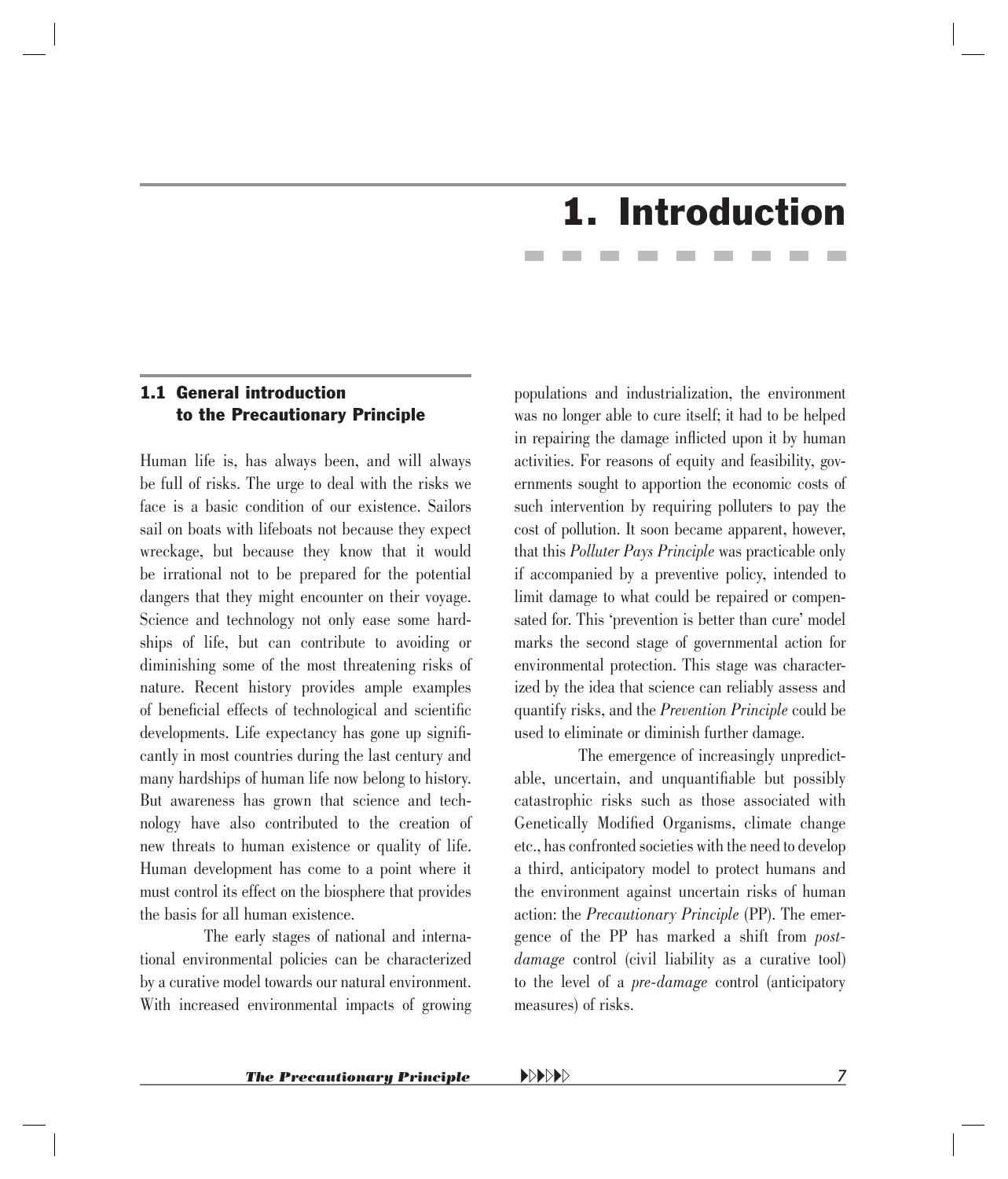## 1. Introduction

#### <span id="page-5-0"></span>1.1 General introduction to the Precautionary Principle

Human life is, has always been, and will always be full of risks. The urge to deal with the risks we face is a basic condition of our existence. Sailors sail on boats with lifeboats not because they expect wreckage, but because they know that it would be irrational not to be prepared for the potential dangers that they might encounter on their voyage. Science and technology not only ease some hardships of life, but can contribute to avoiding or diminishing some of the most threatening risks of nature. Recent history provides ample examples of beneficial effects of technological and scientific developments. Life expectancy has gone up significantly in most countries during the last century and many hardships of human life now belong to history. But awareness has grown that science and technology have also contributed to the creation of new threats to human existence or quality of life. Human development has come to a point where it must control its effect on the biosphere that provides the basis for all human existence.

The early stages of national and international environmental policies can be characterized by a curative model towards our natural environment. With increased environmental impacts of growing populations and industrialization, the environment was no longer able to cure itself; it had to be helped in repairing the damage inflicted upon it by human activities. For reasons of equity and feasibility, governments sought to apportion the economic costs of such intervention by requiring polluters to pay the cost of pollution. It soon became apparent, however, that this *Polluter Pays Principle* was practicable only if accompanied by a preventive policy, intended to limit damage to what could be repaired or compensated for. This 'prevention is better than cure' model marks the second stage of governmental action for environmental protection. This stage was characterized by the idea that science can reliably assess and quantify risks, and the *Prevention Principle* could be used to eliminate or diminish further damage.

The emergence of increasingly unpredictable, uncertain, and unquantifiable but possibly catastrophic risks such as those associated with Genetically Modified Organisms, climate change etc., has confronted societies with the need to develop a third, anticipatory model to protect humans and the environment against uncertain risks of human action: the *Precautionary Principle* (PP). The emergence of the PP has marked a shift from *postdamage* control (civil liability as a curative tool) to the level of a *pre-damage* control (anticipatory measures) of risks.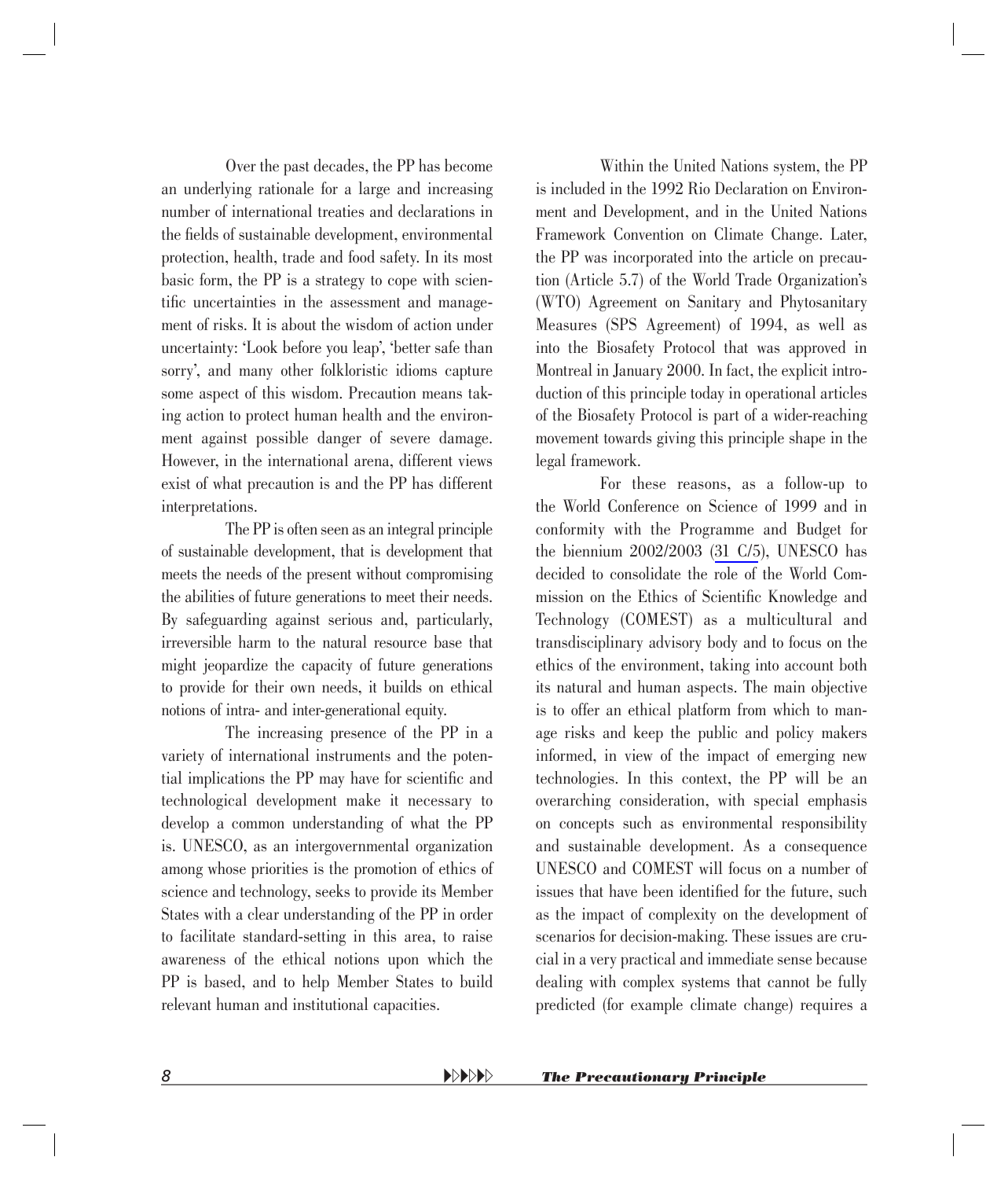Over the past decades, the PP has become an underlying rationale for a large and increasing number of international treaties and declarations in the fields of sustainable development, environmental protection, health, trade and food safety. In its most basic form, the PP is a strategy to cope with scientific uncertainties in the assessment and management of risks. It is about the wisdom of action under uncertainty: 'Look before you leap', 'better safe than sorry', and many other folkloristic idioms capture some aspect of this wisdom. Precaution means taking action to protect human health and the environment against possible danger of severe damage. However, in the international arena, different views exist of what precaution is and the PP has different interpretations.

The PP is often seen as an integral principle of sustainable development, that is development that meets the needs of the present without compromising the abilities of future generations to meet their needs. By safeguarding against serious and, particularly, irreversible harm to the natural resource base that might jeopardize the capacity of future generations to provide for their own needs, it builds on ethical notions of intra- and inter-generational equity.

The increasing presence of the PP in a variety of international instruments and the potential implications the PP may have for scientific and technological development make it necessary to develop a common understanding of what the PP is. UNESCO, as an intergovernmental organization among whose priorities is the promotion of ethics of science and technology, seeks to provide its Member States with a clear understanding of the PP in order to facilitate standard-setting in this area, to raise awareness of the ethical notions upon which the PP is based, and to help Member States to build relevant human and institutional capacities.

Within the United Nations system, the PP is included in the 1992 Rio Declaration on Environment and Development, and in the United Nations Framework Convention on Climate Change. Later, the PP was incorporated into the article on precaution (Article 5.7) of the World Trade Organization's (WTO) Agreement on Sanitary and Phytosanitary Measures (SPS Agreement) of 1994, as well as into the Biosafety Protocol that was approved in Montreal in January 2000. In fact, the explicit introduction of this principle today in operational articles of the Biosafety Protocol is part of a wider-reaching movement towards giving this principle shape in the legal framework.

For these reasons, as a follow-up to the World Conference on Science of 1999 and in conformity with the Programme and Budget for the biennium 2002/2003 (31 C/5), UNESCO has decided to consolidate the role of the World Commission on the Ethics of Scientific Knowledge and Technology (COMEST) as a multicultural and transdisciplinary advisory body and to focus on the ethics of the environment, taking into account both its natural and human aspects. The main objective is to offer an ethical platform from which to manage risks and keep the public and policy makers informed, in view of the impact of emerging new technologies. In this context, the PP will be an overarching consideration, with special emphasis on concepts such as environmental responsibility and sustainable development. As a consequence UNESCO and COMEST will focus on a number of issues that have been identified for the future, such as the impact of complexity on the development of scenarios for decision-making. These issues are crucial in a very practical and immediate sense because dealing with complex systems that cannot be fully predicted (for example climate change) requires a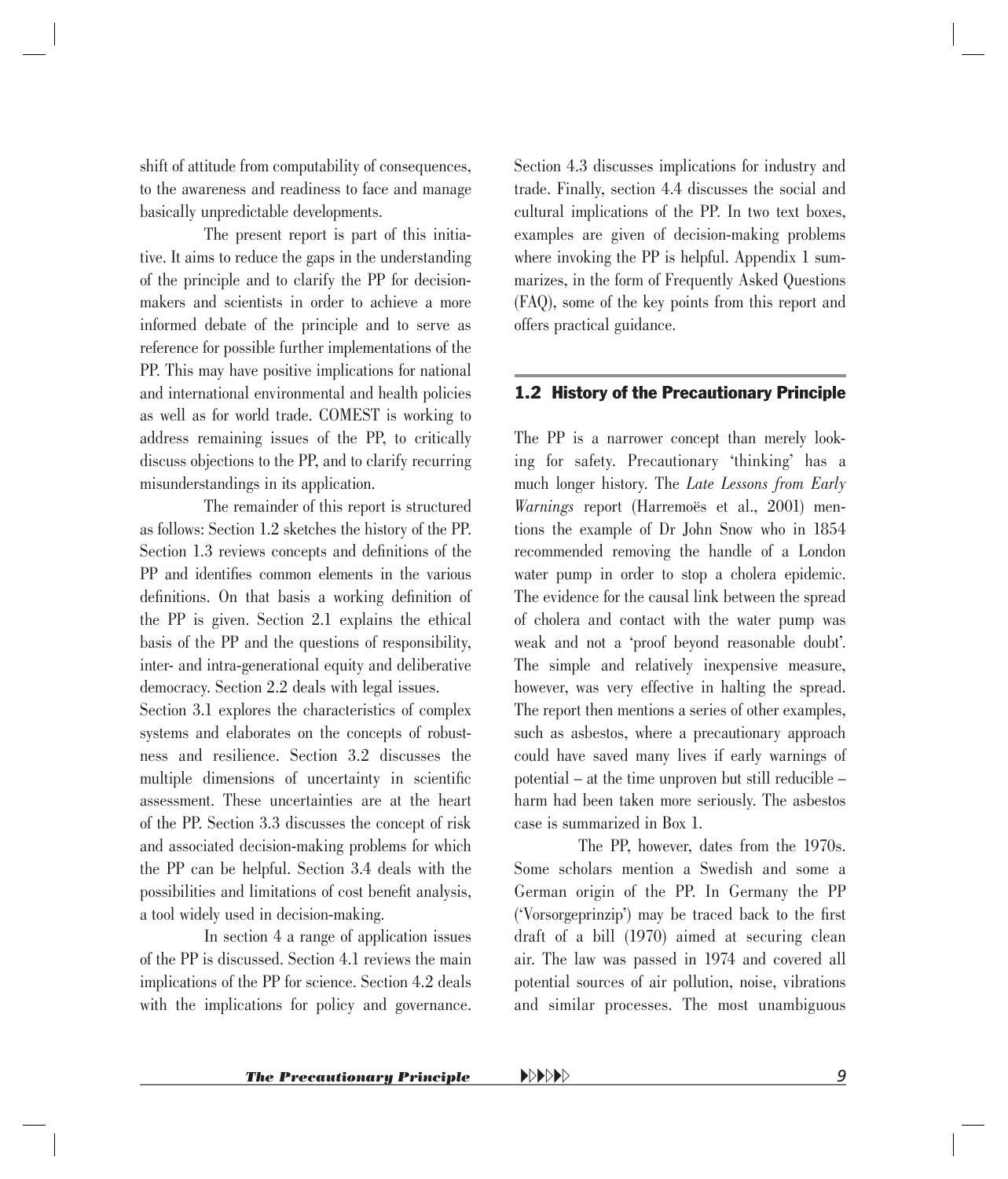<span id="page-7-0"></span>shift of attitude from computability of consequences, to the awareness and readiness to face and manage basically unpredictable developments.

The present report is part of this initiative. It aims to reduce the gaps in the understanding of the principle and to clarify the PP for decisionmakers and scientists in order to achieve a more informed debate of the principle and to serve as reference for possible further implementations of the PP. This may have positive implications for national and international environmental and health policies as well as for world trade. COMEST is working to address remaining issues of the PP, to critically discuss objections to the PP, and to clarify recurring misunderstandings in its application.

The remainder of this report is structured as follows: Section 1.2 sketches the history of the PP. Section 1.3 reviews concepts and definitions of the PP and identifies common elements in the various definitions. On that basis a working definition of the PP is given. Section 2.1 explains the ethical basis of the PP and the questions of responsibility, inter- and intra-generational equity and deliberative democracy. Section 2.2 deals with legal issues.

Section 3.1 explores the characteristics of complex systems and elaborates on the concepts of robustness and resilience. Section 3.2 discusses the multiple dimensions of uncertainty in scientific assessment. These uncertainties are at the heart of the PP. Section 3.3 discusses the concept of risk and associated decision-making problems for which the PP can be helpful. Section 3.4 deals with the possibilities and limitations of cost benefit analysis, a tool widely used in decision-making.

In section 4 a range of application issues of the PP is discussed. Section 4.1 reviews the main implications of the PP for science. Section 4.2 deals with the implications for policy and governance. Section 4.3 discusses implications for industry and trade. Finally, section 4.4 discusses the social and cultural implications of the PP. In two text boxes, examples are given of decision-making problems where invoking the PP is helpful. Appendix 1 summarizes, in the form of Frequently Asked Questions (FAQ), some of the key points from this report and offers practical guidance.

#### 1.2 History of the Precautionary Principle

The PP is a narrower concept than merely looking for safety. Precautionary 'thinking' has a much longer history. The *Late Lessons from Early Warnings* report (Harremoës et al., 2001) mentions the example of Dr John Snow who in 1854 recommended removing the handle of a London water pump in order to stop a cholera epidemic. The evidence for the causal link between the spread of cholera and contact with the water pump was weak and not a 'proof beyond reasonable doubt'. The simple and relatively inexpensive measure, however, was very effective in halting the spread. The report then mentions a series of other examples, such as asbestos, where a precautionary approach could have saved many lives if early warnings of potential – at the time unproven but still reducible – harm had been taken more seriously. The asbestos case is summarized in Box 1.

The PP, however, dates from the 1970s. Some scholars mention a Swedish and some a German origin of the PP. In Germany the PP ('Vorsorgeprinzip') may be traced back to the first draft of a bill (1970) aimed at securing clean air. The law was passed in 1974 and covered all potential sources of air pollution, noise, vibrations and similar processes. The most unambiguous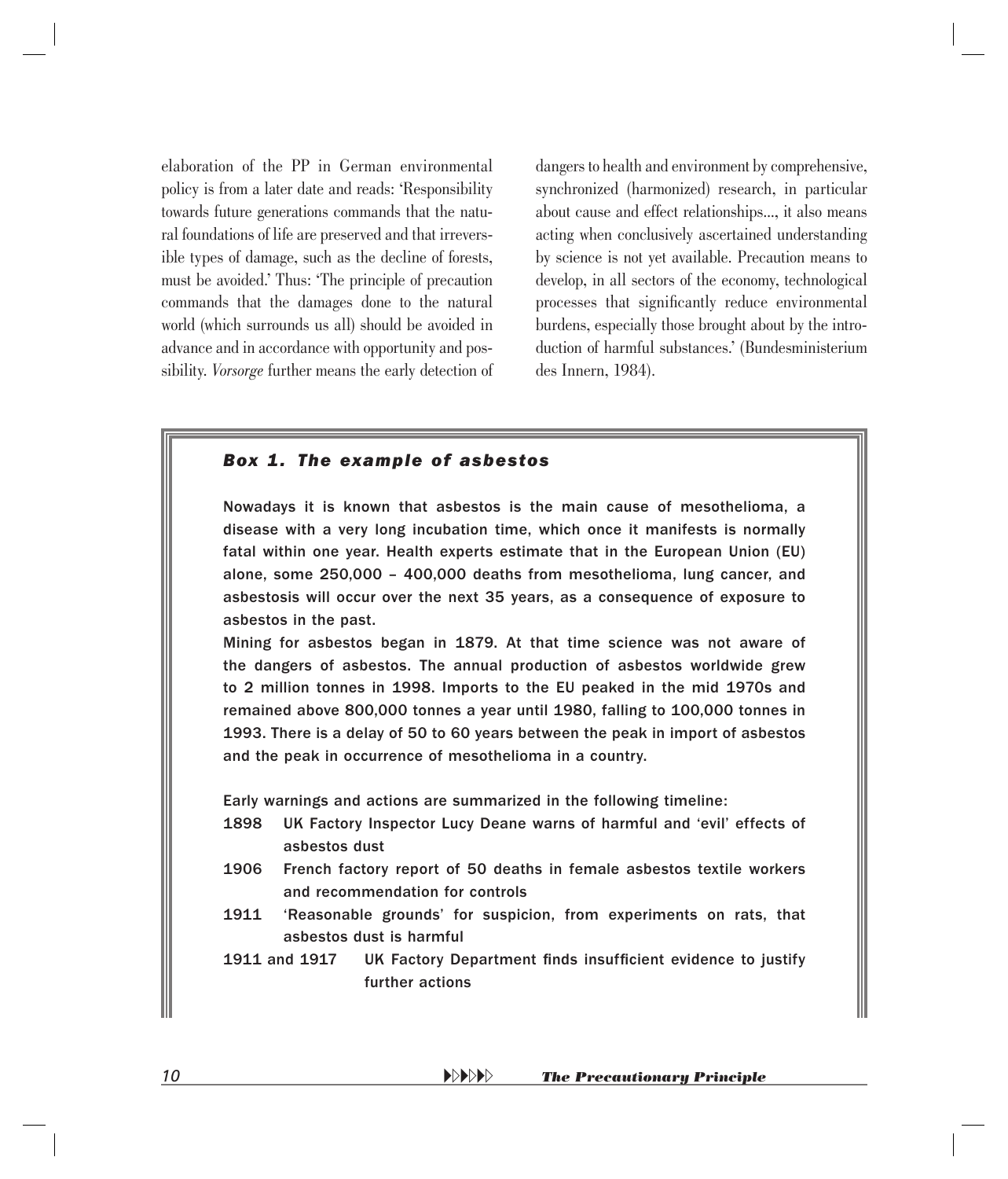<span id="page-8-0"></span>elaboration of the PP in German environmental policy is from a later date and reads: 'Responsibility towards future generations commands that the natural foundations of life are preserved and that irreversible types of damage, such as the decline of forests, must be avoided.' Thus: 'The principle of precaution commands that the damages done to the natural world (which surrounds us all) should be avoided in advance and in accordance with opportunity and possibility. *Vorsorge* further means the early detection of dangers to health and environment by comprehensive, synchronized (harmonized) research, in particular about cause and effect relationships..., it also means acting when conclusively ascertained understanding by science is not yet available. Precaution means to develop, in all sectors of the economy, technological processes that significantly reduce environmental burdens, especially those brought about by the introduction of harmful substances.' (Bundesministerium des Innern, 1984).

#### *Box 1. The example of asbestos*

Nowadays it is known that asbestos is the main cause of mesothelioma, a disease with a very long incubation time, which once it manifests is normally fatal within one year. Health experts estimate that in the European Union (EU) alone, some 250,000 – 400,000 deaths from mesothelioma, lung cancer, and asbestosis will occur over the next 35 years, as a consequence of exposure to asbestos in the past.

Mining for asbestos began in 1879. At that time science was not aware of the dangers of asbestos. The annual production of asbestos worldwide grew to 2 million tonnes in 1998. Imports to the EU peaked in the mid 1970s and remained above 800,000 tonnes a year until 1980, falling to 100,000 tonnes in 1993. There is a delay of 50 to 60 years between the peak in import of asbestos and the peak in occurrence of mesothelioma in a country.

Early warnings and actions are summarized in the following timeline:

- 1898 UK Factory Inspector Lucy Deane warns of harmful and 'evil' effects of asbestos dust
- 1906 French factory report of 50 deaths in female asbestos textile workers and recommendation for controls
- 1911 'Reasonable grounds' for suspicion, from experiments on rats, that asbestos dust is harmful
- 1911 and 1917 UK Factory Department finds insufficient evidence to justify further actions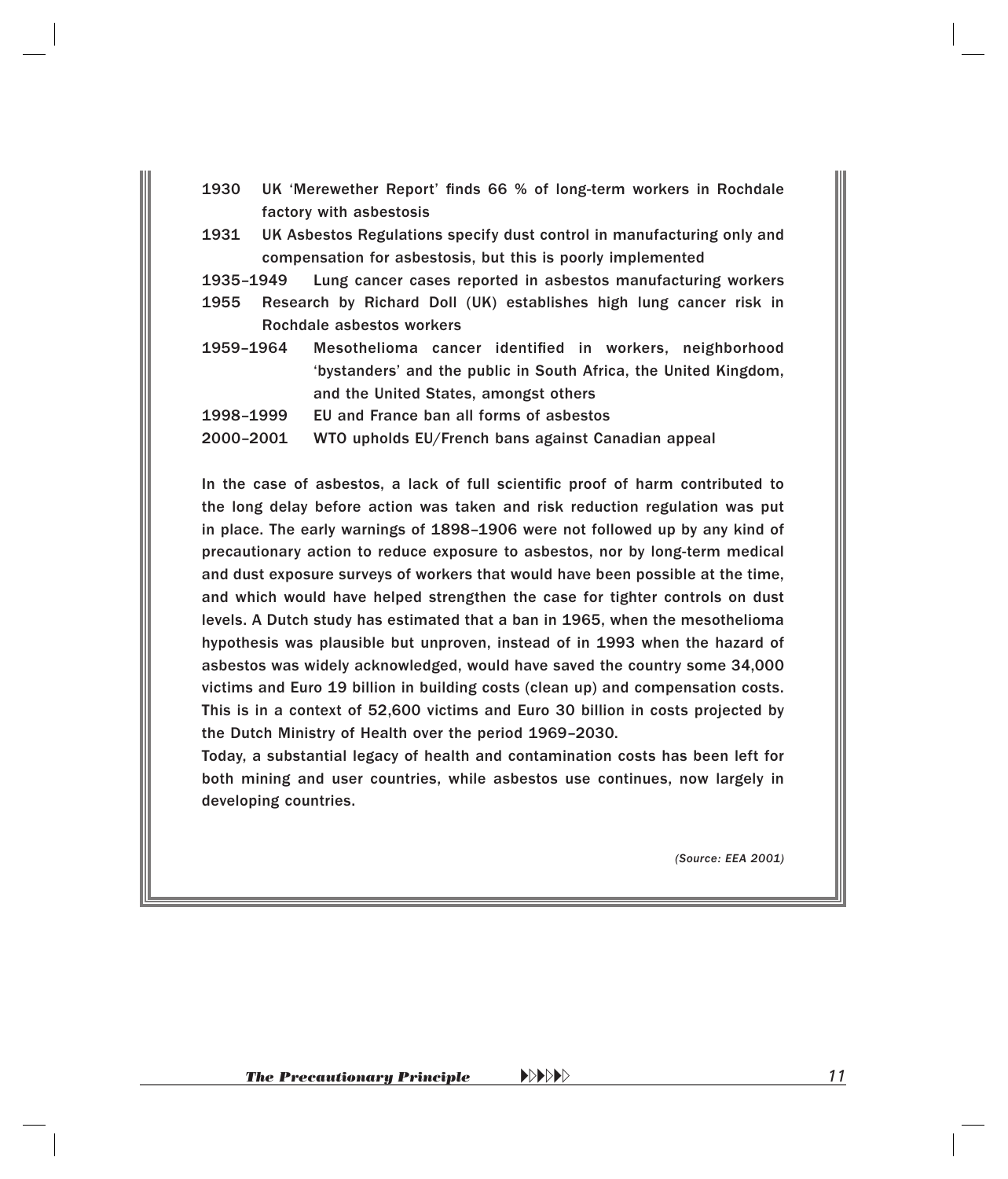- 1930 UK 'Merewether Report' finds 66 % of long-term workers in Rochdale factory with asbestosis
- 1931 UK Asbestos Regulations specify dust control in manufacturing only and compensation for asbestosis, but this is poorly implemented
- 1935–1949 Lung cancer cases reported in asbestos manufacturing workers
- 1955 Research by Richard Doll (UK) establishes high lung cancer risk in Rochdale asbestos workers
- 1959-1964 Mesothelioma cancer identified in workers, neighborhood 'bystanders' and the public in South Africa, the United Kingdom, and the United States, amongst others
- 1998–1999 EU and France ban all forms of asbestos
- 2000–2001 WTO upholds EU/French bans against Canadian appeal

In the case of asbestos, a lack of full scientific proof of harm contributed to the long delay before action was taken and risk reduction regulation was put in place. The early warnings of 1898–1906 were not followed up by any kind of precautionary action to reduce exposure to asbestos, nor by long-term medical and dust exposure surveys of workers that would have been possible at the time, and which would have helped strengthen the case for tighter controls on dust levels. A Dutch study has estimated that a ban in 1965, when the mesothelioma hypothesis was plausible but unproven, instead of in 1993 when the hazard of asbestos was widely acknowledged, would have saved the country some 34,000 victims and Euro 19 billion in building costs (clean up) and compensation costs. This is in a context of 52,600 victims and Euro 30 billion in costs projected by the Dutch Ministry of Health over the period 1969–2030.

Today, a substantial legacy of health and contamination costs has been left for both mining and user countries, while asbestos use continues, now largely in developing countries.

*(Source: EEA 2001)*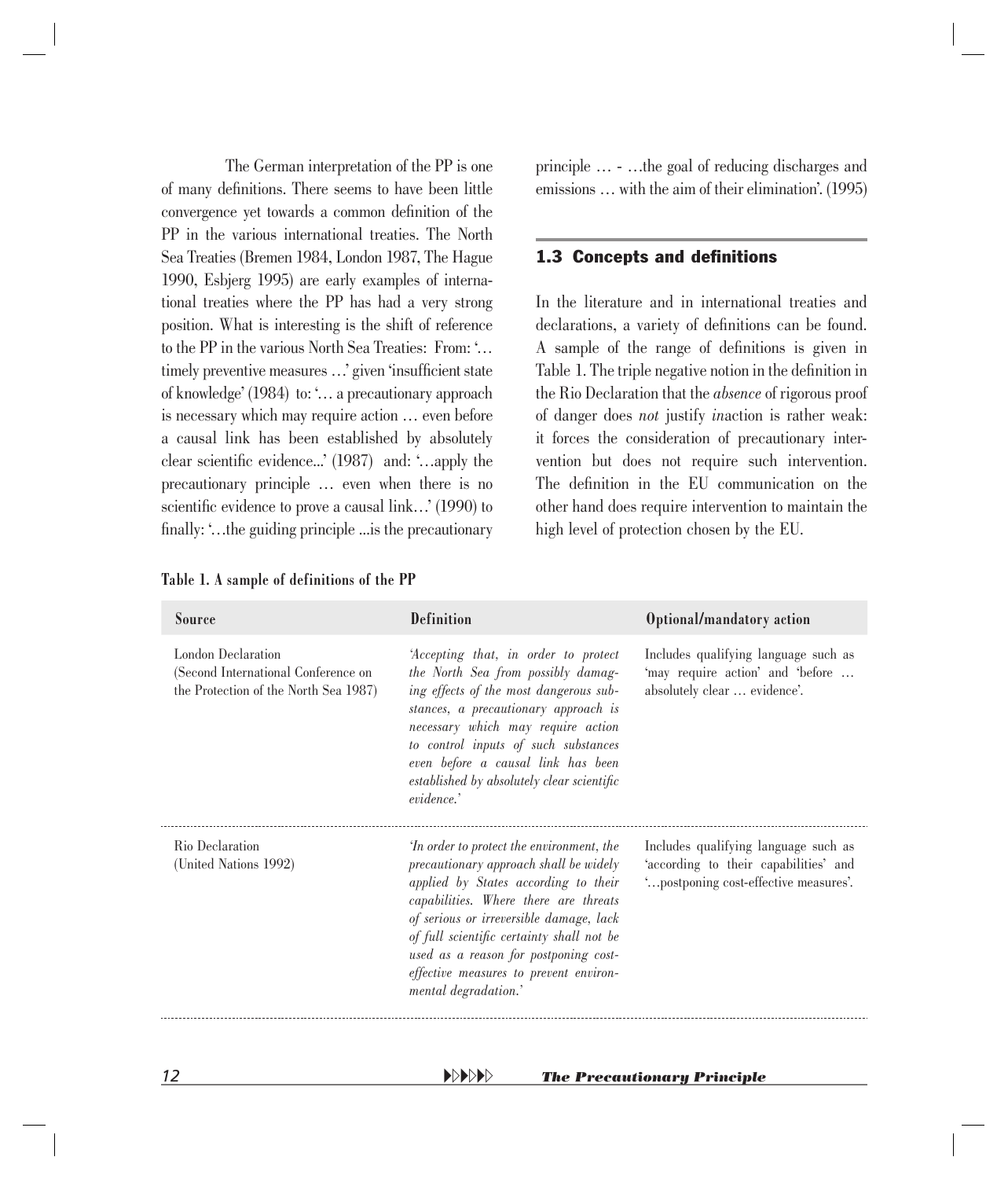<span id="page-10-0"></span>The German interpretation of the PP is one of many definitions. There seems to have been little convergence yet towards a common definition of the PP in the various international treaties. The North Sea Treaties (Bremen 1984, London 1987, The Hague 1990, Esbjerg 1995) are early examples of international treaties where the PP has had a very strong position. What is interesting is the shift of reference to the PP in the various North Sea Treaties: From: '… timely preventive measures ...' given 'insufficient state of knowledge' (1984) to: '… a precautionary approach is necessary which may require action … even before a causal link has been established by absolutely clear scientific evidence...'  $(1987)$  and: '...apply the precautionary principle ... even when there is no scientific evidence to prove a causal link...' (1990) to finally:  $\ldots$  the guiding principle  $\ldots$  is the precautionary

| Table 1. A sample of definitions of the PP |  |  |
|--------------------------------------------|--|--|
|--------------------------------------------|--|--|

principle … - …the goal of reducing discharges and emissions … with the aim of their elimination'. (1995)

#### **1.3 Concepts and definitions**

In the literature and in international treaties and declarations, a variety of definitions can be found. A sample of the range of definitions is given in Table 1. The triple negative notion in the definition in the Rio Declaration that the *absence* of rigorous proof of danger does *not* justify *in*action is rather weak: it forces the consideration of precautionary intervention but does not require such intervention. The definition in the EU communication on the other hand does require intervention to maintain the high level of protection chosen by the EU.

| <b>Definition</b>                                                                                                                                                                                                                                                                                                                                                       | Optional/mandatory action                                                                                             |
|-------------------------------------------------------------------------------------------------------------------------------------------------------------------------------------------------------------------------------------------------------------------------------------------------------------------------------------------------------------------------|-----------------------------------------------------------------------------------------------------------------------|
| 'Accepting that, in order to protect<br>the North Sea from possibly damag-<br>ing effects of the most dangerous sub-<br>stances, a precautionary approach is<br>necessary which may require action<br>to control inputs of such substances<br>even before a causal link has been<br>established by absolutely clear scientific<br>evidence.'                            | Includes qualifying language such as<br>'may require action' and 'before<br>absolutely clear  evidence'.              |
| 'In order to protect the environment, the<br>precautionary approach shall be widely<br>applied by States according to their<br>capabilities. Where there are threats<br>of serious or irreversible damage, lack<br>of full scientific certainty shall not be<br>used as a reason for postponing cost-<br>effective measures to prevent environ-<br>mental degradation.' | Includes qualifying language such as<br>'according to their capabilities' and<br>"postponing cost-effective measures" |
|                                                                                                                                                                                                                                                                                                                                                                         |                                                                                                                       |

*12* -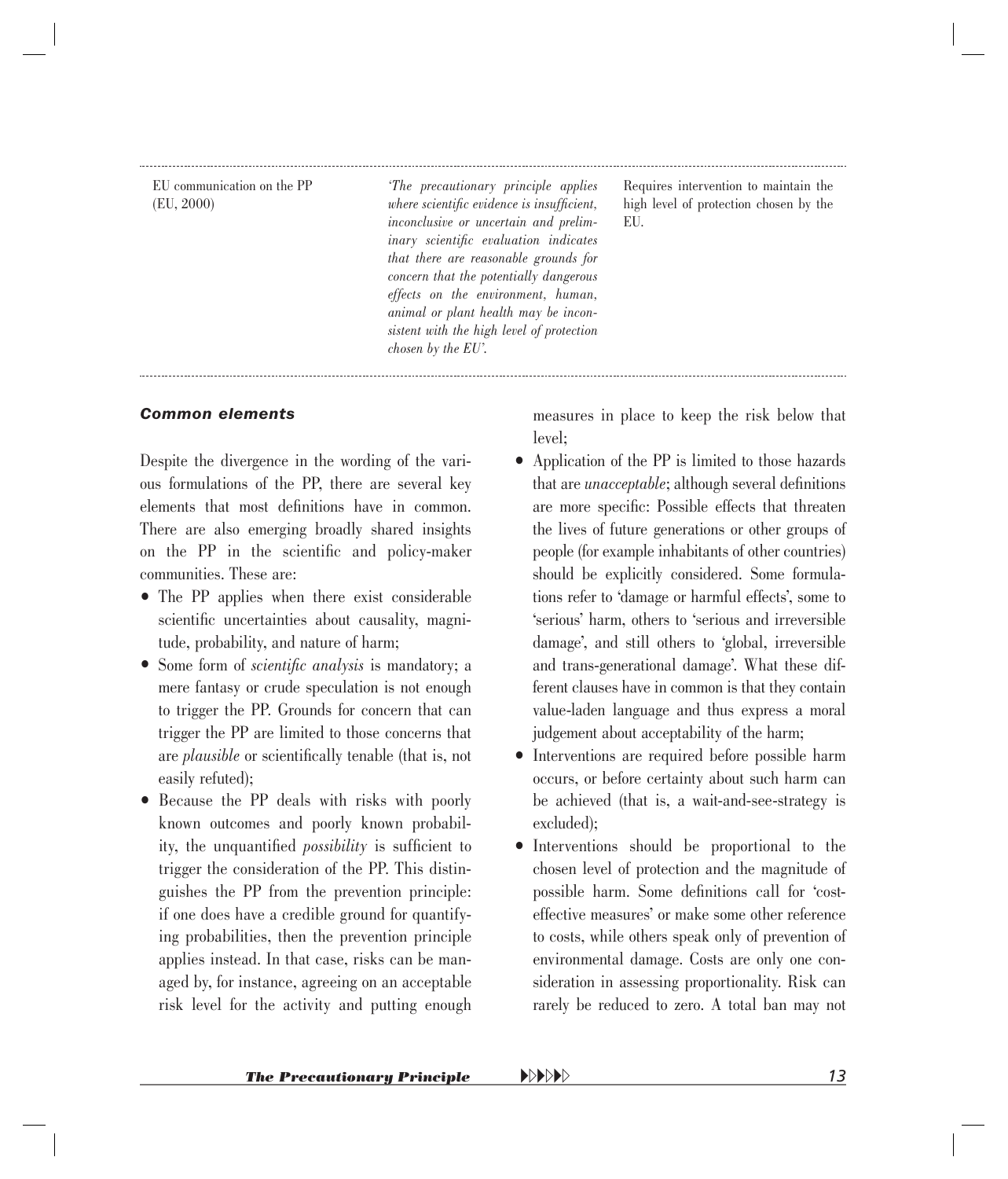EU communication on the PP (EU, 2000)

*'The precautionary principle applies where scientific evidence is insufficient. inconclusive or uncertain and prelim-* $\mu$ *inary scientific evaluation indicates that there are reasonable grounds for concern that the potentially dangerous effects on the environment, human, animal or plant health may be inconsistent with the high level of protection chosen by the EU'.*

Requires intervention to maintain the high level of protection chosen by the EU.

#### *Common elements*

Despite the divergence in the wording of the various formulations of the PP, there are several key elements that most definitions have in common. There are also emerging broadly shared insights on the PP in the scientific and policy-maker communities. These are:

- The PP applies when there exist considerable scientific uncertainties about causality, magnitude, probability, and nature of harm;
- Some form of *scientific analysis* is mandatory; a mere fantasy or crude speculation is not enough to trigger the PP. Grounds for concern that can trigger the PP are limited to those concerns that are *plausible* or scientifically tenable (that is, not easily refuted);
- Because the PP deals with risks with poorly known outcomes and poorly known probability, the unquantified *possibility* is sufficient to trigger the consideration of the PP. This distinguishes the PP from the prevention principle: if one does have a credible ground for quantifying probabilities, then the prevention principle applies instead. In that case, risks can be managed by, for instance, agreeing on an acceptable risk level for the activity and putting enough

measures in place to keep the risk below that level;

- Application of the PP is limited to those hazards that are *unacceptable*; although several definitions are more specific: Possible effects that threaten the lives of future generations or other groups of people (for example inhabitants of other countries) should be explicitly considered. Some formulations refer to 'damage or harmful effects', some to 'serious' harm, others to 'serious and irreversible damage', and still others to 'global, irreversible and trans-generational damage'. What these different clauses have in common is that they contain value-laden language and thus express a moral judgement about acceptability of the harm;
- Interventions are required before possible harm occurs, or before certainty about such harm can be achieved (that is, a wait-and-see-strategy is excluded);
- Interventions should be proportional to the chosen level of protection and the magnitude of possible harm. Some definitions call for 'costeffective measures' or make some other reference to costs, while others speak only of prevention of environmental damage. Costs are only one consideration in assessing proportionality. Risk can rarely be reduced to zero. A total ban may not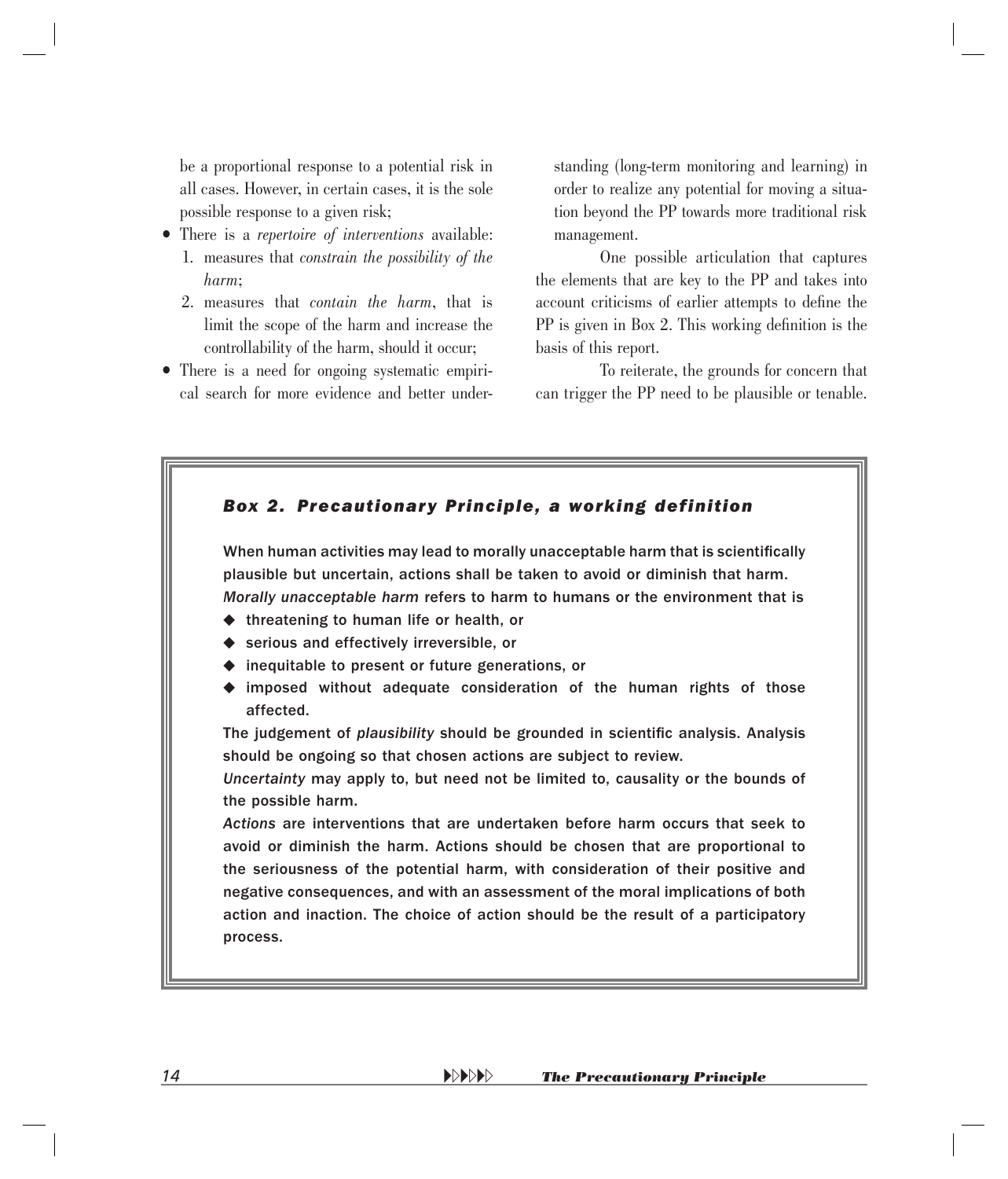<span id="page-12-0"></span>be a proportional response to a potential risk in all cases. However, in certain cases, it is the sole possible response to a given risk;

- There is a *repertoire of interventions* available: 1. measures that *constrain the possibility of the harm*;
	- 2. measures that *contain the harm*, that is limit the scope of the harm and increase the controllability of the harm, should it occur;
- There is a need for ongoing systematic empirical search for more evidence and better under-

standing (long-term monitoring and learning) in order to realize any potential for moving a situation beyond the PP towards more traditional risk management.

One possible articulation that captures the elements that are key to the PP and takes into account criticisms of earlier attempts to define the  $PP$  is given in Box 2. This working definition is the basis of this report.

To reiterate, the grounds for concern that can trigger the PP need to be plausible or tenable.

### *Box 2. Precautionary Principle, a working definition* When human activities may lead to morally unacceptable harm that is scientifically plausible but uncertain, actions shall be taken to avoid or diminish that harm. *Morally unacceptable harm* refers to harm to humans or the environment that is  $\triangleleft$  threatening to human life or health, or ◆ serious and effectively irreversible, or  $\blacklozenge$  inequitable to present or future generations, or imposed without adequate consideration of the human rights of those affected. The judgement of *plausibility* should be grounded in scientific analysis. Analysis should be ongoing so that chosen actions are subject to review. *Uncertainty* may apply to, but need not be limited to, causality or the bounds of the possible harm. *Actions* are interventions that are undertaken before harm occurs that seek to avoid or diminish the harm. Actions should be chosen that are proportional to the seriousness of the potential harm, with consideration of their positive and negative consequences, and with an assessment of the moral implications of both action and inaction. The choice of action should be the result of a participatory process.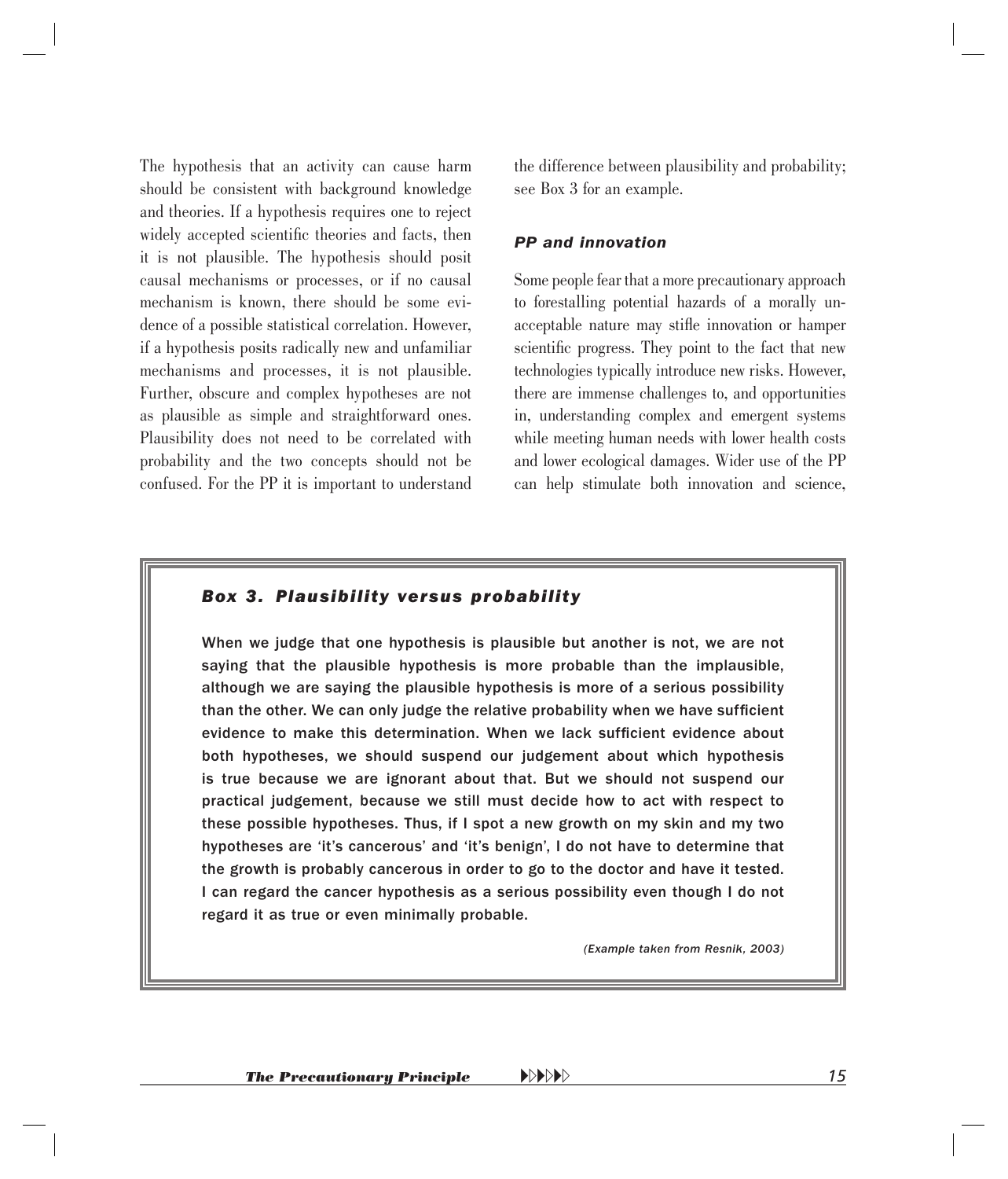<span id="page-13-0"></span>The hypothesis that an activity can cause harm should be consistent with background knowledge and theories. If a hypothesis requires one to reject widely accepted scientific theories and facts, then it is not plausible. The hypothesis should posit causal mechanisms or processes, or if no causal mechanism is known, there should be some evidence of a possible statistical correlation. However, if a hypothesis posits radically new and unfamiliar mechanisms and processes, it is not plausible. Further, obscure and complex hypotheses are not as plausible as simple and straightforward ones. Plausibility does not need to be correlated with probability and the two concepts should not be confused. For the PP it is important to understand

the difference between plausibility and probability; see Box 3 for an example.

#### *PP and innovation*

Some people fear that a more precautionary approach to forestalling potential hazards of a morally unacceptable nature may stifle innovation or hamper scientific progress. They point to the fact that new technologies typically introduce new risks. However, there are immense challenges to, and opportunities in, understanding complex and emergent systems while meeting human needs with lower health costs and lower ecological damages. Wider use of the PP can help stimulate both innovation and science,

#### *Box 3. Plausibility versus probability*

When we judge that one hypothesis is plausible but another is not, we are not saying that the plausible hypothesis is more probable than the implausible, although we are saying the plausible hypothesis is more of a serious possibility than the other. We can only judge the relative probability when we have sufficient evidence to make this determination. When we lack sufficient evidence about both hypotheses, we should suspend our judgement about which hypothesis is true because we are ignorant about that. But we should not suspend our practical judgement, because we still must decide how to act with respect to these possible hypotheses. Thus, if I spot a new growth on my skin and my two hypotheses are 'it's cancerous' and 'it's benign', I do not have to determine that the growth is probably cancerous in order to go to the doctor and have it tested. I can regard the cancer hypothesis as a serious possibility even though I do not regard it as true or even minimally probable.

*(Example taken from Resnik, 2003)*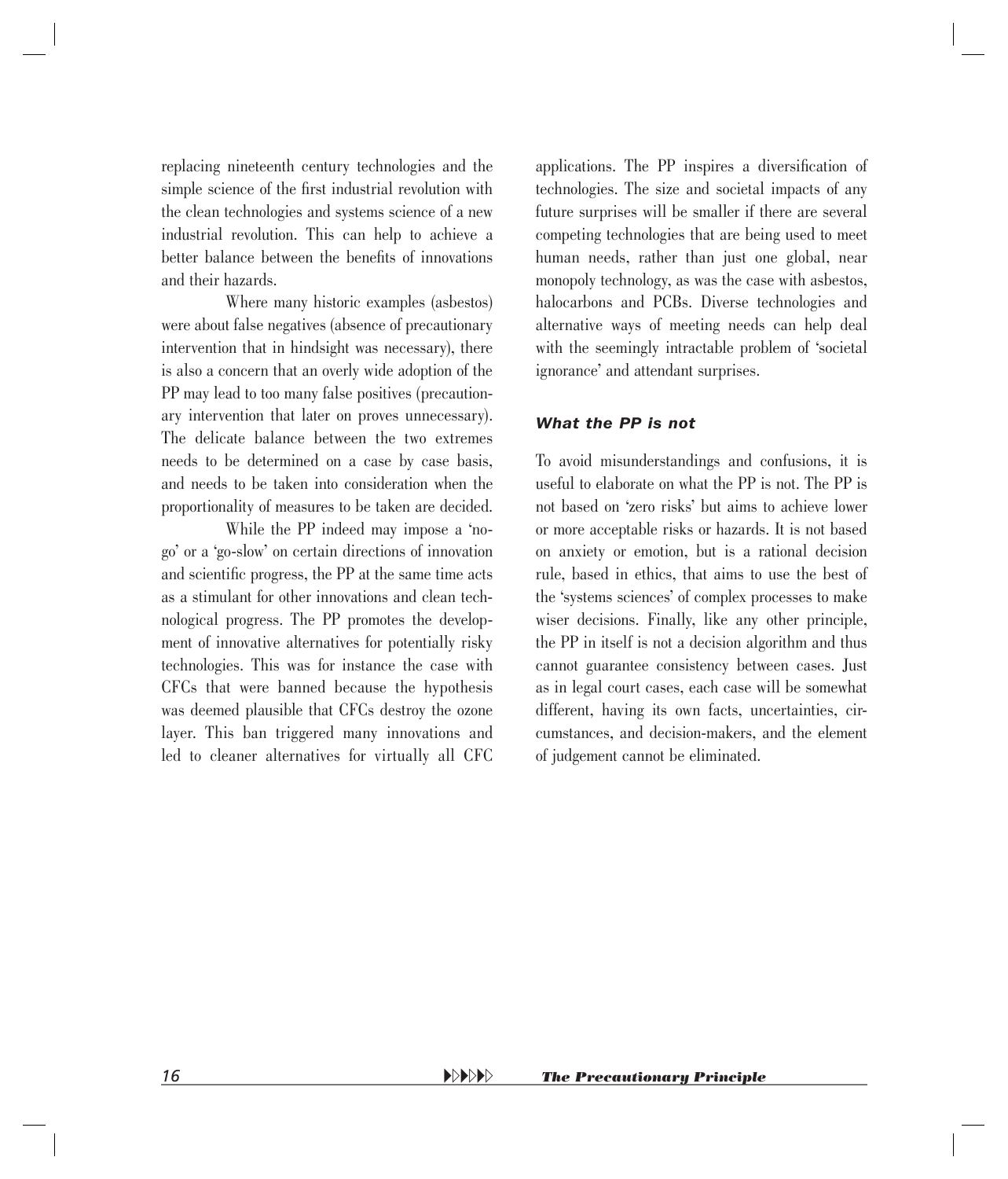replacing nineteenth century technologies and the simple science of the first industrial revolution with the clean technologies and systems science of a new industrial revolution. This can help to achieve a better balance between the benefits of innovations and their hazards.

Where many historic examples (asbestos) were about false negatives (absence of precautionary intervention that in hindsight was necessary), there is also a concern that an overly wide adoption of the PP may lead to too many false positives (precautionary intervention that later on proves unnecessary). The delicate balance between the two extremes needs to be determined on a case by case basis, and needs to be taken into consideration when the proportionality of measures to be taken are decided.

While the PP indeed may impose a 'nogo' or a 'go-slow' on certain directions of innovation and scientific progress, the PP at the same time acts as a stimulant for other innovations and clean technological progress. The PP promotes the development of innovative alternatives for potentially risky technologies. This was for instance the case with CFCs that were banned because the hypothesis was deemed plausible that CFCs destroy the ozone layer. This ban triggered many innovations and led to cleaner alternatives for virtually all CFC

applications. The PP inspires a diversification of technologies. The size and societal impacts of any future surprises will be smaller if there are several competing technologies that are being used to meet human needs, rather than just one global, near monopoly technology, as was the case with asbestos, halocarbons and PCBs. Diverse technologies and alternative ways of meeting needs can help deal with the seemingly intractable problem of 'societal ignorance' and attendant surprises.

#### *What the PP is not*

To avoid misunderstandings and confusions, it is useful to elaborate on what the PP is not. The PP is not based on 'zero risks' but aims to achieve lower or more acceptable risks or hazards. It is not based on anxiety or emotion, but is a rational decision rule, based in ethics, that aims to use the best of the 'systems sciences' of complex processes to make wiser decisions. Finally, like any other principle, the PP in itself is not a decision algorithm and thus cannot guarantee consistency between cases. Just as in legal court cases, each case will be somewhat different, having its own facts, uncertainties, circumstances, and decision-makers, and the element of judgement cannot be eliminated.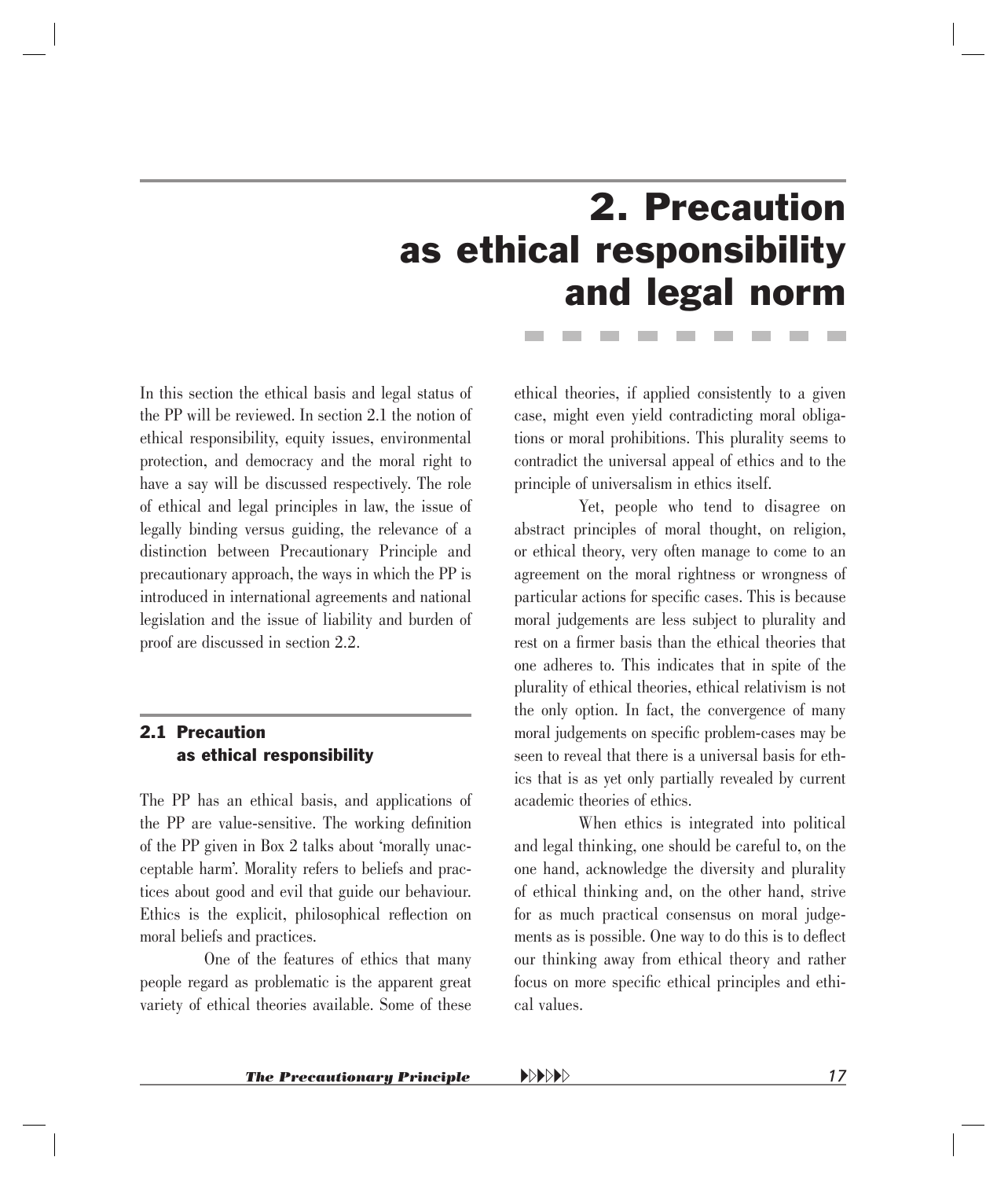## 2. Precaution as ethical responsibility and legal norm

<span id="page-15-0"></span>In this section the ethical basis and legal status of the PP will be reviewed. In section 2.1 the notion of ethical responsibility, equity issues, environmental protection, and democracy and the moral right to have a say will be discussed respectively. The role of ethical and legal principles in law, the issue of legally binding versus guiding, the relevance of a distinction between Precautionary Principle and precautionary approach, the ways in which the PP is introduced in international agreements and national legislation and the issue of liability and burden of proof are discussed in section 2.2.

#### 2.1 Precaution as ethical responsibility

The PP has an ethical basis, and applications of the PP are value-sensitive. The working definition of the PP given in Box 2 talks about 'morally unacceptable harm'. Morality refers to beliefs and practices about good and evil that guide our behaviour. Ethics is the explicit, philosophical reflection on moral beliefs and practices.

One of the features of ethics that many people regard as problematic is the apparent great variety of ethical theories available. Some of these

ethical theories, if applied consistently to a given case, might even yield contradicting moral obligations or moral prohibitions. This plurality seems to contradict the universal appeal of ethics and to the principle of universalism in ethics itself.

Yet, people who tend to disagree on abstract principles of moral thought, on religion, or ethical theory, very often manage to come to an agreement on the moral rightness or wrongness of particular actions for specific cases. This is because moral judgements are less subject to plurality and rest on a firmer basis than the ethical theories that one adheres to. This indicates that in spite of the plurality of ethical theories, ethical relativism is not the only option. In fact, the convergence of many moral judgements on specific problem-cases may be seen to reveal that there is a universal basis for ethics that is as yet only partially revealed by current academic theories of ethics.

When ethics is integrated into political and legal thinking, one should be careful to, on the one hand, acknowledge the diversity and plurality of ethical thinking and, on the other hand, strive for as much practical consensus on moral judgements as is possible. One way to do this is to deflect our thinking away from ethical theory and rather focus on more specific ethical principles and ethical values.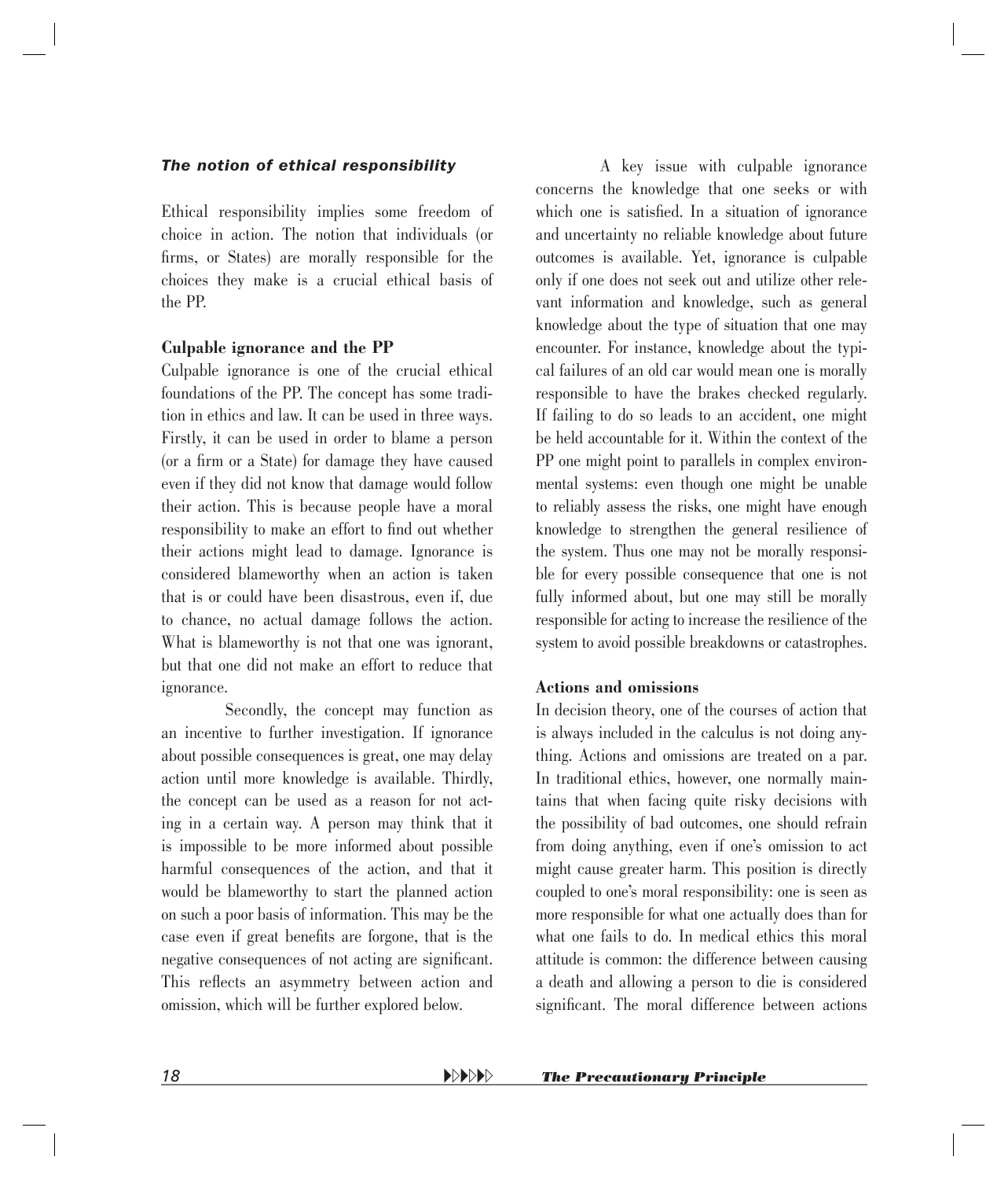#### *The notion of ethical responsibility*

Ethical responsibility implies some freedom of choice in action. The notion that individuals (or firms, or States) are morally responsible for the choices they make is a crucial ethical basis of the PP.

#### **Culpable ignorance and the PP**

Culpable ignorance is one of the crucial ethical foundations of the PP. The concept has some tradition in ethics and law. It can be used in three ways. Firstly, it can be used in order to blame a person (or a firm or a State) for damage they have caused even if they did not know that damage would follow their action. This is because people have a moral responsibility to make an effort to find out whether their actions might lead to damage. Ignorance is considered blameworthy when an action is taken that is or could have been disastrous, even if, due to chance, no actual damage follows the action. What is blameworthy is not that one was ignorant, but that one did not make an effort to reduce that ignorance.

Secondly, the concept may function as an incentive to further investigation. If ignorance about possible consequences is great, one may delay action until more knowledge is available. Thirdly, the concept can be used as a reason for not acting in a certain way. A person may think that it is impossible to be more informed about possible harmful consequences of the action, and that it would be blameworthy to start the planned action on such a poor basis of information. This may be the case even if great benefits are forgone, that is the negative consequences of not acting are significant. This reflects an asymmetry between action and omission, which will be further explored below.

A key issue with culpable ignorance concerns the knowledge that one seeks or with which one is satisfied. In a situation of ignorance and uncertainty no reliable knowledge about future outcomes is available. Yet, ignorance is culpable only if one does not seek out and utilize other relevant information and knowledge, such as general knowledge about the type of situation that one may encounter. For instance, knowledge about the typical failures of an old car would mean one is morally responsible to have the brakes checked regularly. If failing to do so leads to an accident, one might be held accountable for it. Within the context of the PP one might point to parallels in complex environmental systems: even though one might be unable to reliably assess the risks, one might have enough knowledge to strengthen the general resilience of the system. Thus one may not be morally responsible for every possible consequence that one is not fully informed about, but one may still be morally responsible for acting to increase the resilience of the system to avoid possible breakdowns or catastrophes.

#### **Actions and omissions**

In decision theory, one of the courses of action that is always included in the calculus is not doing anything. Actions and omissions are treated on a par. In traditional ethics, however, one normally maintains that when facing quite risky decisions with the possibility of bad outcomes, one should refrain from doing anything, even if one's omission to act might cause greater harm. This position is directly coupled to one's moral responsibility: one is seen as more responsible for what one actually does than for what one fails to do. In medical ethics this moral attitude is common: the difference between causing a death and allowing a person to die is considered significant. The moral difference between actions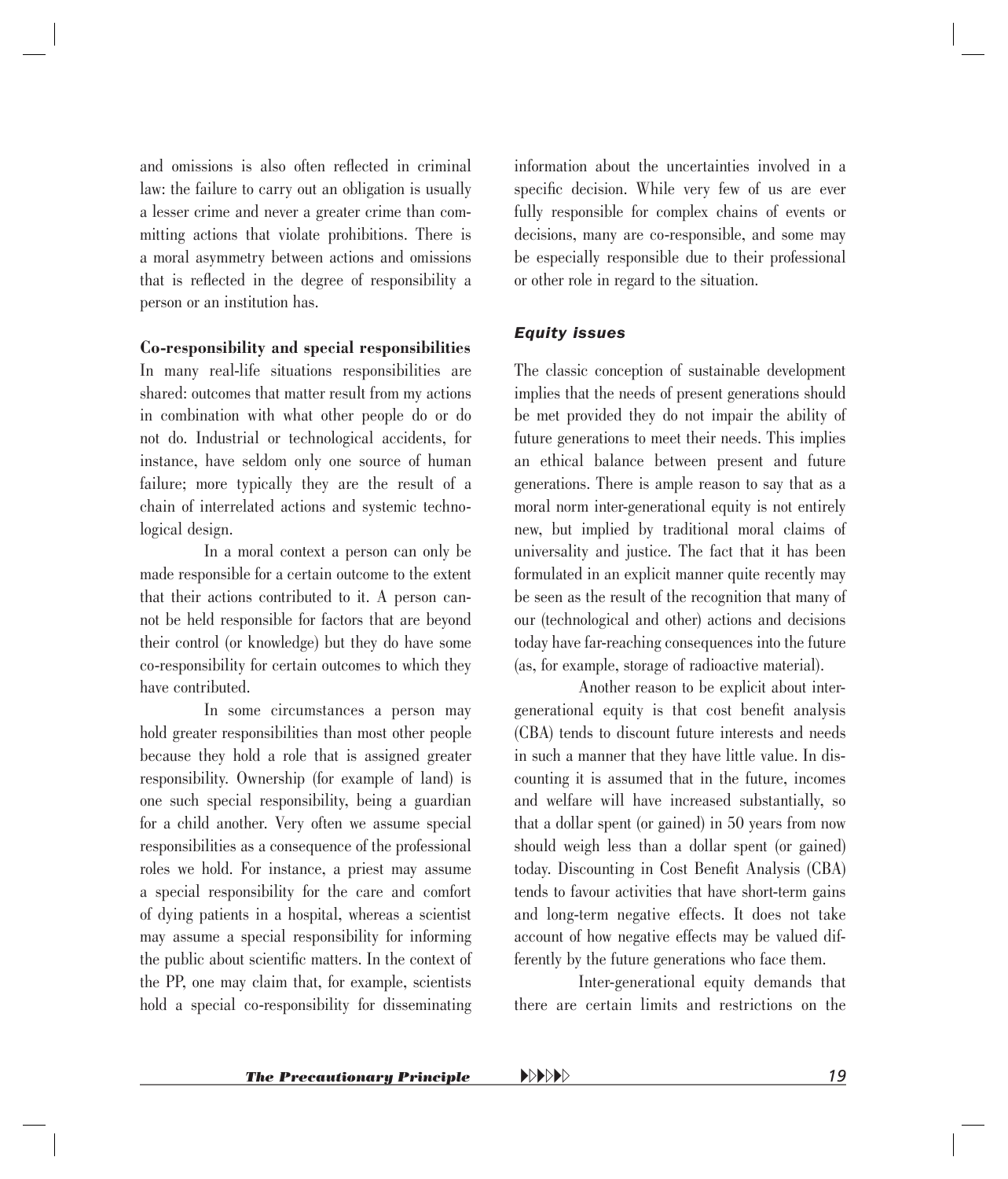and omissions is also often reflected in criminal law: the failure to carry out an obligation is usually a lesser crime and never a greater crime than committing actions that violate prohibitions. There is a moral asymmetry between actions and omissions that is reflected in the degree of responsibility a person or an institution has.

#### **Co-responsibility and special responsibilities**

In many real-life situations responsibilities are shared: outcomes that matter result from my actions in combination with what other people do or do not do. Industrial or technological accidents, for instance, have seldom only one source of human failure; more typically they are the result of a chain of interrelated actions and systemic technological design.

In a moral context a person can only be made responsible for a certain outcome to the extent that their actions contributed to it. A person cannot be held responsible for factors that are beyond their control (or knowledge) but they do have some co-responsibility for certain outcomes to which they have contributed.

In some circumstances a person may hold greater responsibilities than most other people because they hold a role that is assigned greater responsibility. Ownership (for example of land) is one such special responsibility, being a guardian for a child another. Very often we assume special responsibilities as a consequence of the professional roles we hold. For instance, a priest may assume a special responsibility for the care and comfort of dying patients in a hospital, whereas a scientist may assume a special responsibility for informing the public about scientific matters. In the context of the PP, one may claim that, for example, scientists hold a special co-responsibility for disseminating information about the uncertainties involved in a specific decision. While very few of us are ever fully responsible for complex chains of events or decisions, many are co-responsible, and some may be especially responsible due to their professional or other role in regard to the situation.

#### *Equity issues*

The classic conception of sustainable development implies that the needs of present generations should be met provided they do not impair the ability of future generations to meet their needs. This implies an ethical balance between present and future generations. There is ample reason to say that as a moral norm inter-generational equity is not entirely new, but implied by traditional moral claims of universality and justice. The fact that it has been formulated in an explicit manner quite recently may be seen as the result of the recognition that many of our (technological and other) actions and decisions today have far-reaching consequences into the future (as, for example, storage of radioactive material).

Another reason to be explicit about intergenerational equity is that cost benefit analysis (CBA) tends to discount future interests and needs in such a manner that they have little value. In discounting it is assumed that in the future, incomes and welfare will have increased substantially, so that a dollar spent (or gained) in 50 years from now should weigh less than a dollar spent (or gained) today. Discounting in Cost Benefit Analysis (CBA) tends to favour activities that have short-term gains and long-term negative effects. It does not take account of how negative effects may be valued differently by the future generations who face them.

Inter-generational equity demands that there are certain limits and restrictions on the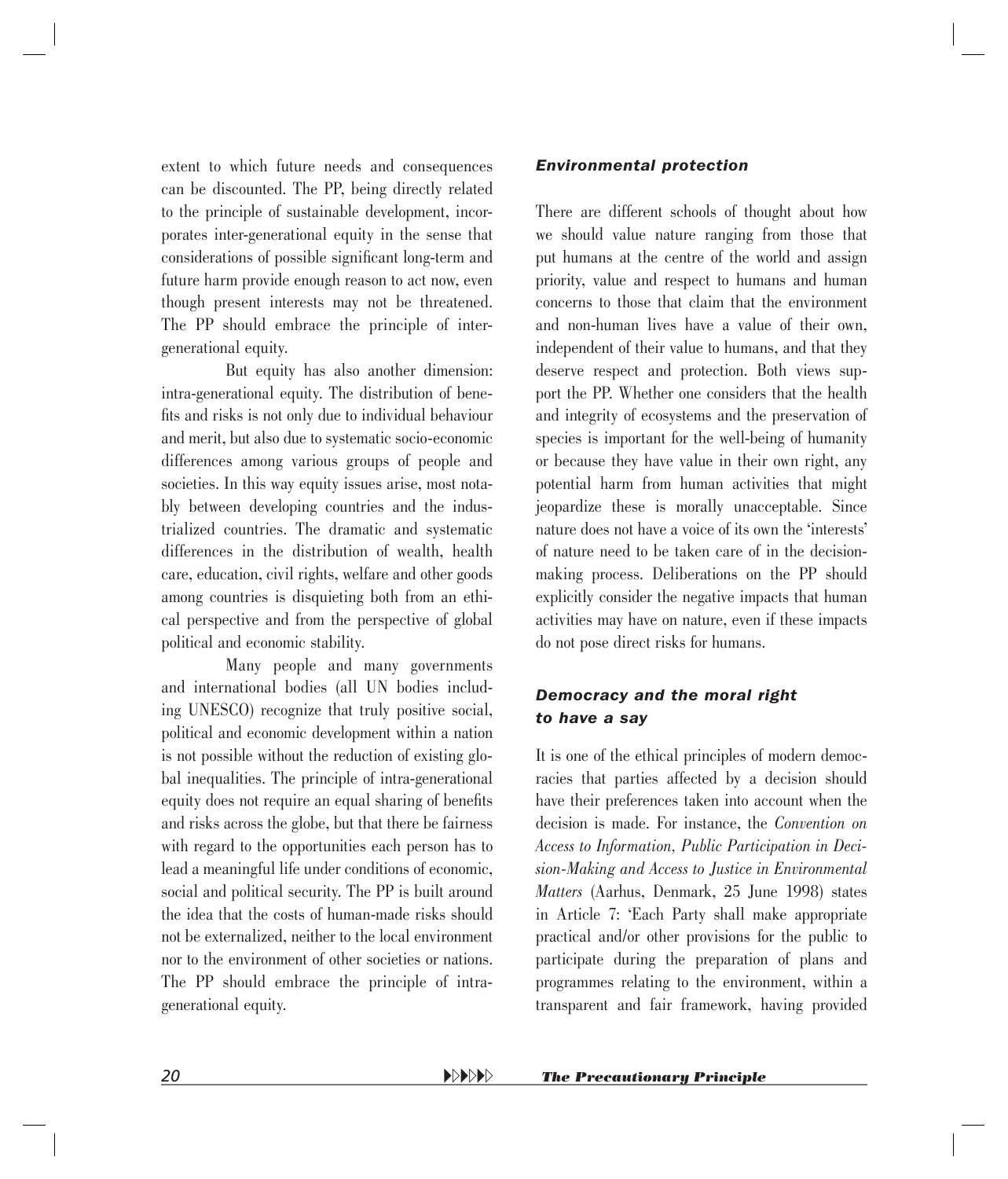extent to which future needs and consequences can be discounted. The PP, being directly related to the principle of sustainable development, incorporates inter-generational equity in the sense that considerations of possible significant long-term and future harm provide enough reason to act now, even though present interests may not be threatened. The PP should embrace the principle of intergenerational equity.

But equity has also another dimension: intra-generational equity. The distribution of benefits and risks is not only due to individual behaviour and merit, but also due to systematic socio-economic differences among various groups of people and societies. In this way equity issues arise, most notably between developing countries and the industrialized countries. The dramatic and systematic differences in the distribution of wealth, health care, education, civil rights, welfare and other goods among countries is disquieting both from an ethical perspective and from the perspective of global political and economic stability.

Many people and many governments and international bodies (all UN bodies including UNESCO) recognize that truly positive social, political and economic development within a nation is not possible without the reduction of existing global inequalities. The principle of intra-generational equity does not require an equal sharing of benefits and risks across the globe, but that there be fairness with regard to the opportunities each person has to lead a meaningful life under conditions of economic, social and political security. The PP is built around the idea that the costs of human-made risks should not be externalized, neither to the local environment nor to the environment of other societies or nations. The PP should embrace the principle of intragenerational equity.

#### *Environmental protection*

There are different schools of thought about how we should value nature ranging from those that put humans at the centre of the world and assign priority, value and respect to humans and human concerns to those that claim that the environment and non-human lives have a value of their own, independent of their value to humans, and that they deserve respect and protection. Both views support the PP. Whether one considers that the health and integrity of ecosystems and the preservation of species is important for the well-being of humanity or because they have value in their own right, any p otential harm from human activities that might jeopardize these is morally unacceptable. Since nature does not have a voice of its own the 'interests' of nature need to be taken care of in the decisionmaking process. Deliberations on the PP should explicitly consider the negative impacts that human activities may have on nature, even if these impacts do not pose direct risks for humans.

#### *Democracy and the moral right to have a say*

It is one of the ethical principles of modern democracies that parties affected by a decision should have their preferences taken into account when the decision is made. For instance, the *Convention on Access to Information, Public Participation in Decision-Making and Access to Justice in Environmental Matters* (Aarhus, Denmark, 25 June 1998) states in Article 7: 'Each Party shall make appropriate practical and/or other provisions for the public to participate during the preparation of plans and programmes relating to the environment, within a transparent and fair framework, having provided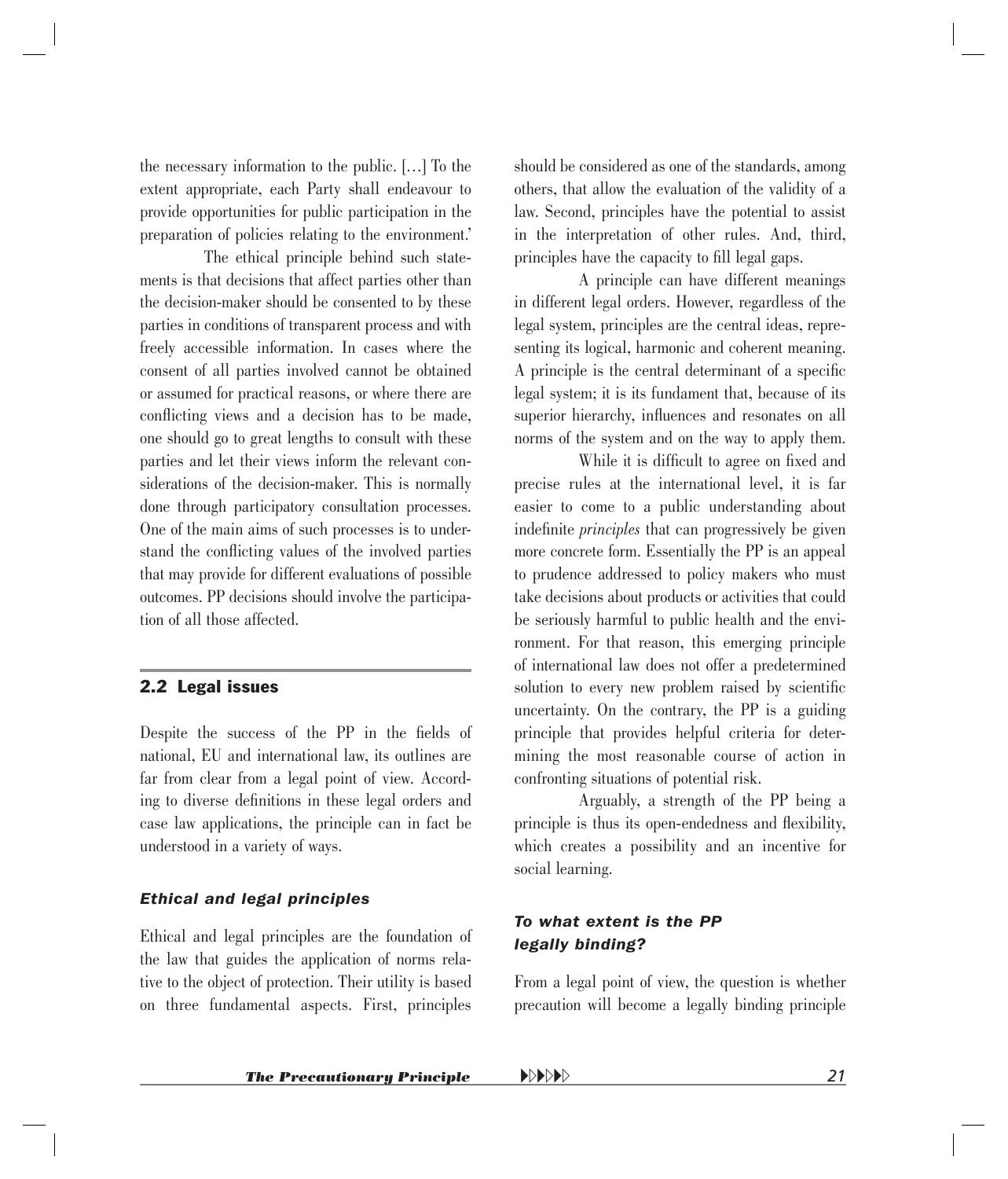<span id="page-19-0"></span>the necessary information to the public. […] To the extent appropriate, each Party shall endeavour to provide opportunities for public participation in the preparation of policies relating to the environment.'

The ethical principle behind such statements is that decisions that affect parties other than the decision-maker should be consented to by these parties in conditions of transparent process and with freely accessible information. In cases where the consent of all parties involved cannot be obtained or assumed for practical reasons, or where there are conflicting views and a decision has to be made, one should go to great lengths to consult with these parties and let their views inform the relevant considerations of the decision-maker. This is normally done through participatory consultation processes. One of the main aims of such processes is to understand the conflicting values of the involved parties that may provide for different evaluations of possible outcomes. PP decisions should involve the participation of all those affected.

#### 2.2 Legal issues

Despite the success of the PP in the fields of national, EU and international law, its outlines are far from clear from a legal point of view. According to diverse definitions in these legal orders and case law applications, the principle can in fact be understood in a variety of ways.

#### *Ethical and legal principles*

Ethical and legal principles are the foundation of the law that guides the application of norms relative to the object of protection. Their utility is based on three fundamental aspects. First, principles

should be considered as one of the standards, among others, that allow the evaluation of the validity of a law. Second, principles have the potential to assist in the interpretation of other rules. And, third, principles have the capacity to fill legal gaps.

A principle can have different meanings in different legal orders. However, regardless of the legal system, principles are the central ideas, representing its logical, harmonic and coherent meaning. A principle is the central determinant of a specific legal system; it is its fundament that, because of its superior hierarchy, influences and resonates on all norms of the system and on the way to apply them.

While it is difficult to agree on fixed and p recise rules at the international level, it is far easier to come to a public understanding about indefinite *principles* that can progressively be given more concrete form. Essentially the PP is an appeal to prudence addressed to policy makers who must take decisions about products or activities that could be seriously harmful to public health and the environment. For that reason, this emerging principle of international law does not offer a predetermined solution to every new problem raised by scientific uncertainty. On the contrary, the PP is a guiding principle that provides helpful criteria for determining the most reasonable course of action in confronting situations of potential risk.

Arguably, a strength of the PP being a principle is thus its open-endedness and flexibility, which creates a possibility and an incentive for social learning.

#### *To what extent is the PP legally binding?*

From a legal point of view, the question is whether precaution will become a legally binding principle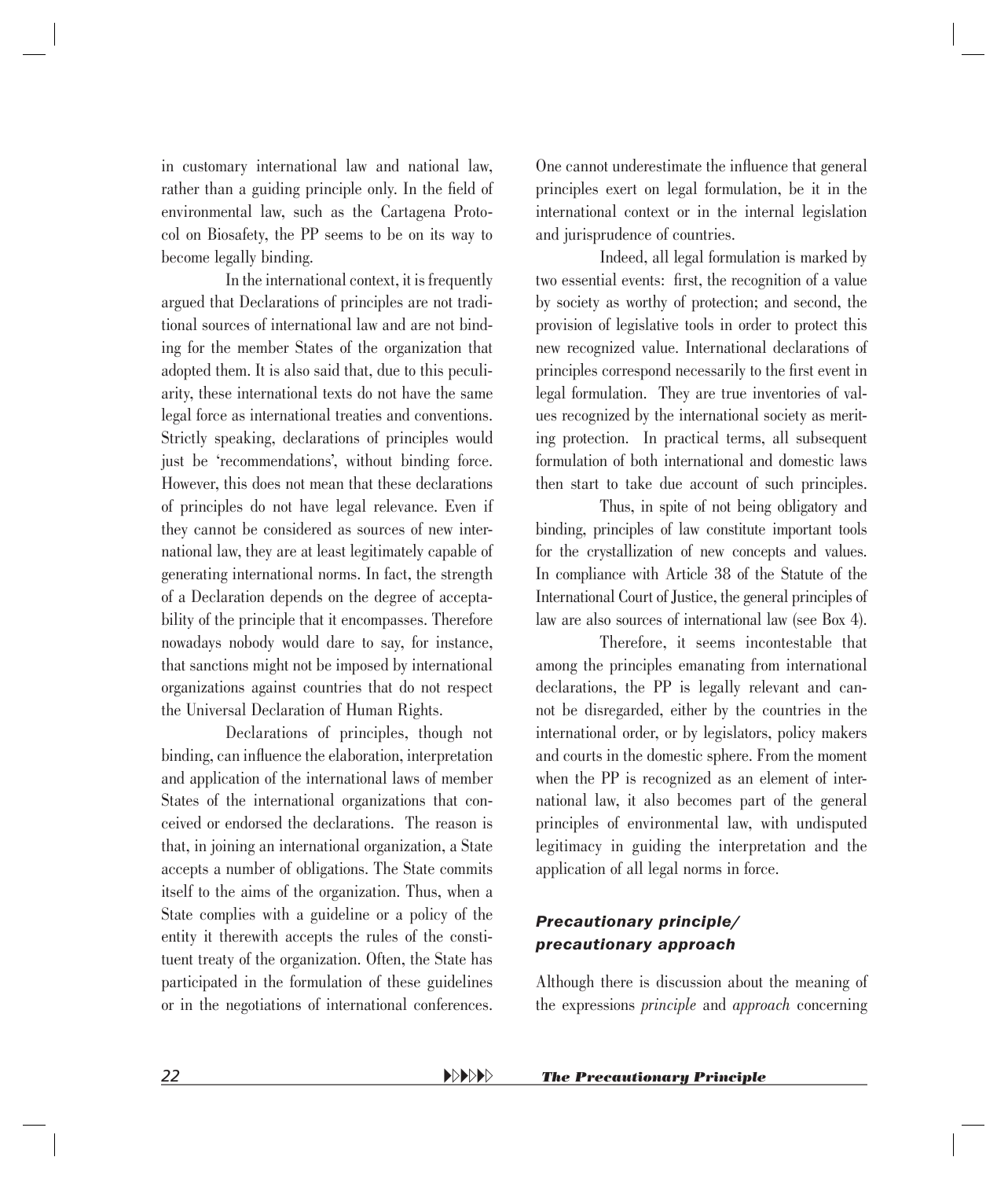in customary international law and national law, rather than a guiding principle only. In the field of environmental law, such as the Cartagena Protocol on Biosafety, the PP seems to be on its way to become legally binding.

In the international context, it is frequently argued that Declarations of principles are not traditional sources of international law and are not binding for the member States of the organization that adopted them. It is also said that, due to this peculiarity, these international texts do not have the same legal force as international treaties and conventions. Strictly speaking, declarations of principles would just be 'recommendations', without binding force. However, this does not mean that these declarations of principles do not have legal relevance. Even if they cannot be considered as sources of new international law, they are at least legitimately capable of generating international norms. In fact, the strength of a Declaration depends on the degree of acceptability of the principle that it encompasses. Therefore nowadays nobody would dare to say, for instance, that sanctions might not be imposed by international organizations against countries that do not respect the Universal Declaration of Human Rights.

Declarations of principles, though not binding, can influence the elaboration, interpretation and application of the international laws of member States of the international organizations that conceived or endorsed the declarations. The reason is that, in joining an international organization, a State accepts a number of obligations. The State commits itself to the aims of the organization. Thus, when a State complies with a guideline or a policy of the entity it therewith accepts the rules of the constituent treaty of the organization. Often, the State has participated in the formulation of these guidelines or in the negotiations of international conferences. One cannot underestimate the influence that general principles exert on legal formulation, be it in the international context or in the internal legislation and jurisprudence of countries.

Indeed, all legal formulation is marked by two essential events: first, the recognition of a value by society as worthy of protection; and second, the provision of legislative tools in order to protect this new recognized value. International declarations of principles correspond necessarily to the first event in legal formulation. They are true inventories of values recognized by the international society as meriting protection. In practical terms, all subsequent formulation of both international and domestic laws then start to take due account of such principles.

Thus, in spite of not being obligatory and binding, principles of law constitute important tools for the crystallization of new concepts and values. In compliance with Article 38 of the Statute of the International Court of Justice, the general principles of law are also sources of international law (see Box 4).

Therefore, it seems incontestable that among the principles emanating from international declarations, the PP is legally relevant and cannot be disregarded, either by the countries in the international order, or by legislators, policy makers and courts in the domestic sphere. From the moment when the PP is recognized as an element of international law, it also becomes part of the general principles of environmental law, with undisputed legitimacy in guiding the interpretation and the application of all legal norms in force.

#### *Precautionary principle/ precautionary approach*

Although there is discussion about the meaning of the expressions *principle* and *approach* concerning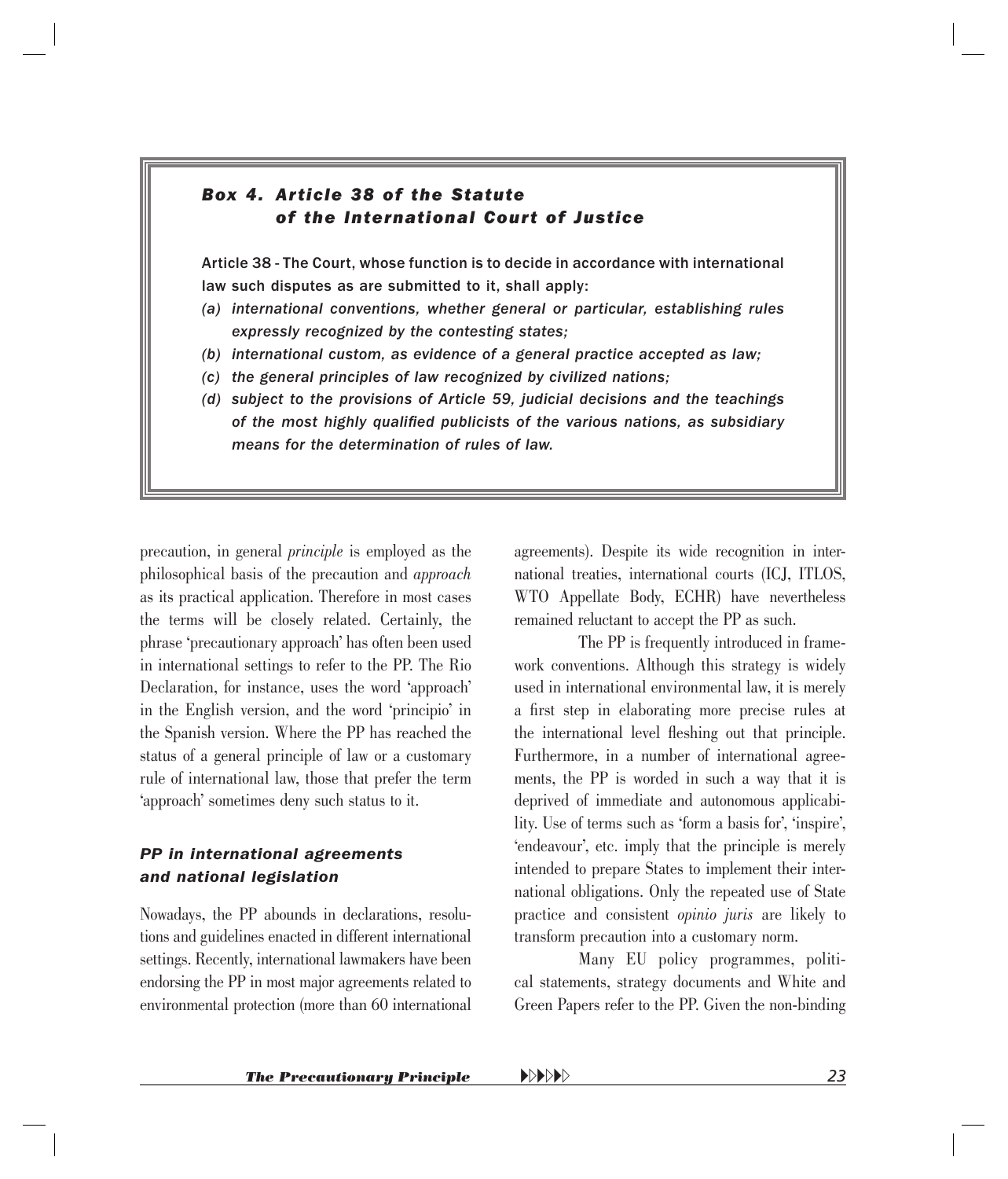#### <span id="page-21-0"></span>*Box 4. Article 38 of the Statute of the International Court of Justice*

Article 38 - The Court, whose function is to decide in accordance with international law such disputes as are submitted to it, shall apply:

- *(a) international conventions, whether general or particular, establishing rules expressly recognized by the contesting states;*
- *(b) international custom, as evidence of a general practice accepted as law;*
- *(c) the general principles of law recognized by civilized nations;*
- *(d) subject to the provisions of Article 59, judicial decisions and the teachings*  of the most highly qualified publicists of the various nations, as subsidiary *means for the determination of rules of law.*

precaution, in general *principle* is employed as the philosophical basis of the precaution and *approach*  as its practical application. Therefore in most cases the terms will be closely related. Certainly, the phrase 'precautionary approach' has often been used in international settings to refer to the PP. The Rio Declaration, for instance, uses the word 'approach' in the English version, and the word 'principio' in the Spanish version. Where the PP has reached the status of a general principle of law or a customary rule of international law, those that prefer the term 'approach' sometimes deny such status to it.

#### *PP in international agreements and national legislation*

Nowadays, the PP abounds in declarations, resolutions and guidelines enacted in different international settings. Recently, international lawmakers have been endorsing the PP in most major agreements related to environmental protection (more than 60 international

agreements). Despite its wide recognition in international treaties, international courts (ICJ, ITLOS, WTO Appellate Body, ECHR) have nevertheless remained reluctant to accept the PP as such.

The PP is frequently introduced in framework conventions. Although this strategy is widely used in international environmental law, it is merely a first step in elaborating more precise rules at the international level fleshing out that principle. Furthermore, in a number of international agreements, the PP is worded in such a way that it is deprived of immediate and autonomous applicability. Use of terms such as 'form a basis for', 'inspire', 'endeavour', etc. imply that the principle is merely intended to prepare States to implement their international obligations. Only the repeated use of State practice and consistent *opinio juris* are likely to transform precaution into a customary norm.

Many EU policy programmes, political statements, strategy documents and White and Green Papers refer to the PP. Given the non-binding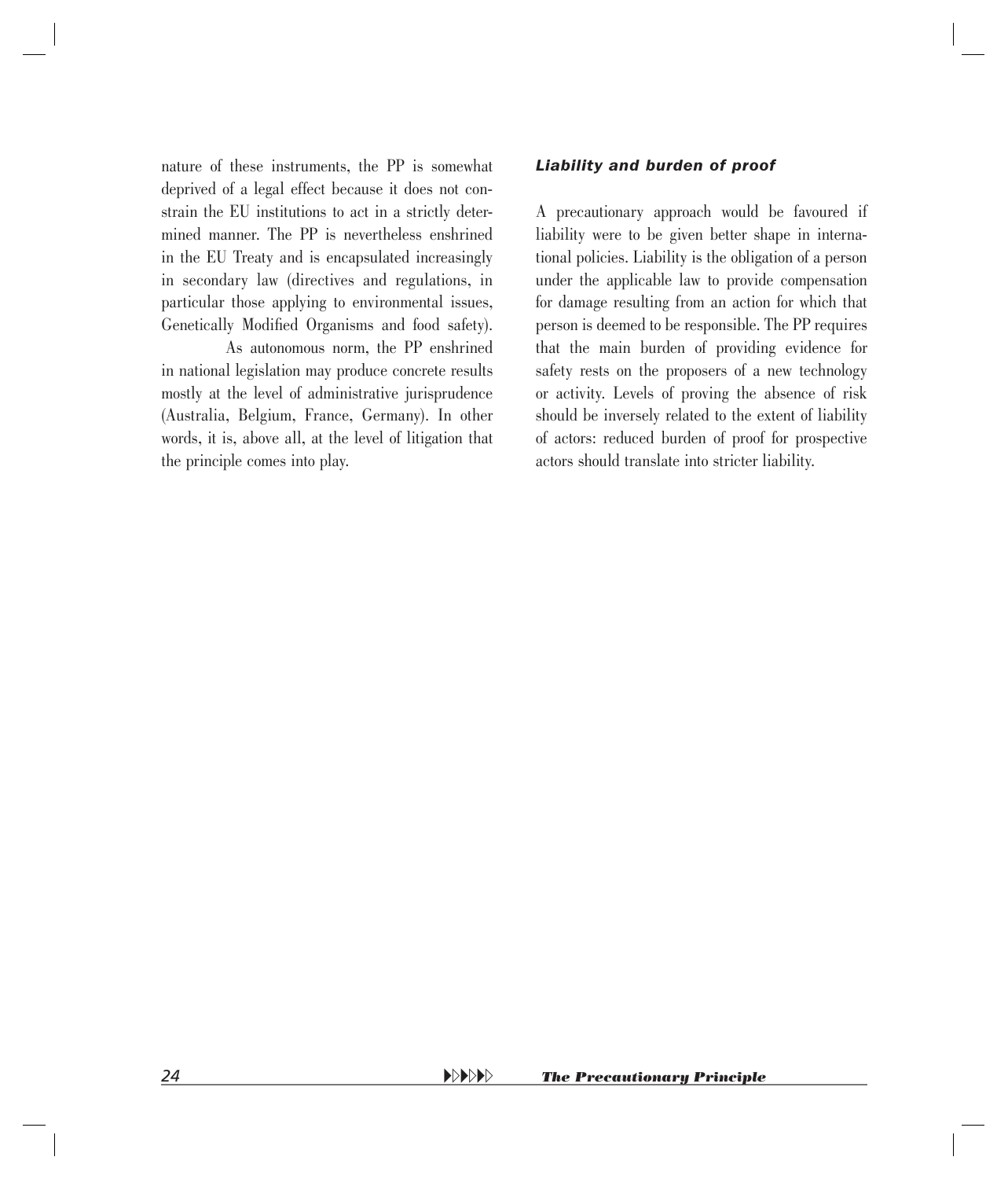nature of these instruments, the PP is somewhat deprived of a legal effect because it does not constrain the EU institutions to act in a strictly determined manner. The PP is nevertheless enshrined in the EU Treaty and is encapsulated increasingly in secondary law (directives and regulations, in particular those applying to environmental issues, Genetically Modified Organisms and food safety).

As autonomous norm, the PP enshrined in national legislation may produce concrete results mostly at the level of administrative jurisprudence (Australia, Belgium, France, Germany). In other words, it is, above all, at the level of litigation that the principle comes into play.

#### *Liability and burden of proof*

A precautionary approach would be favoured if liability were to be given better shape in international policies. Liability is the obligation of a person under the applicable law to provide compensation for damage resulting from an action for which that person is deemed to be responsible. The PP requires that the main burden of providing evidence for safety rests on the proposers of a new technology or activity. Levels of proving the absence of risk should be inversely related to the extent of liability of actors: reduced burden of proof for prospective actors should translate into stricter liability.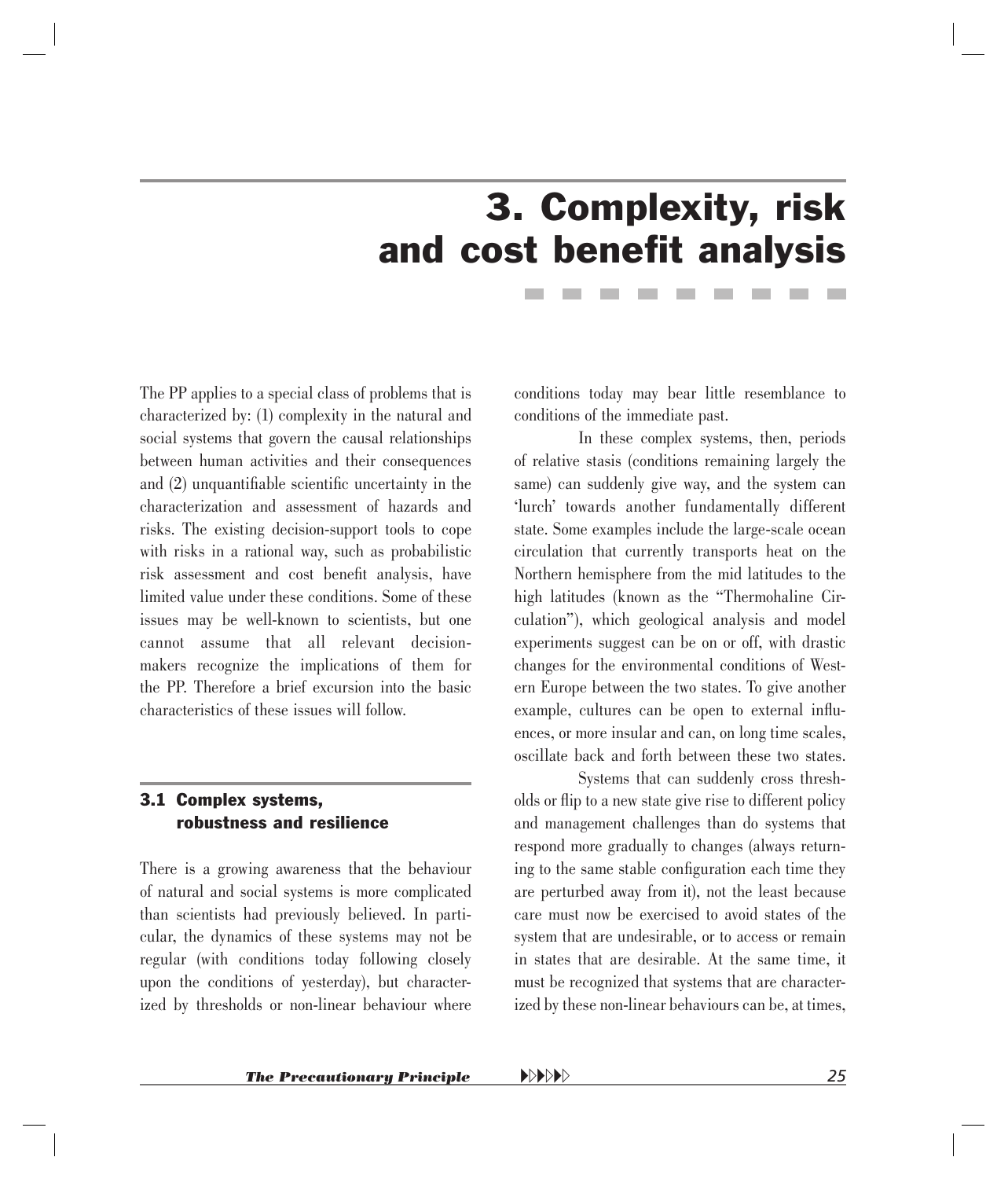## 3. Complexity, risk and cost benefit analysis

<span id="page-23-0"></span>The PP applies to a special class of problems that is characterized by: (1) complexity in the natural and social systems that govern the causal relationships between human activities and their consequences and  $(2)$  unquantifiable scientific uncertainty in the characterization and assessment of hazards and risks. The existing decision-support tools to cope with risks in a rational way, such as probabilistic risk assessment and cost benefit analysis, have limited value under these conditions. Some of these issues may be well-known to scientists, but one cannot assume that all relevant decisionmakers recognize the implications of them for the PP. Therefore a brief excursion into the basic characteristics of these issues will follow.

#### 3.1 Complex systems, robustness and resilience

There is a growing awareness that the behaviour of natural and social systems is more complicated than scientists had previously believed. In particular, the dynamics of these systems may not be regular (with conditions today following closely upon the conditions of yesterday), but characterized by thresholds or non-linear behaviour where conditions today may bear little resemblance to conditions of the immediate past.

In these complex systems, then, periods of relative stasis (conditions remaining largely the same) can suddenly give way, and the system can 'lurch' towards another fundamentally different state. Some examples include the large-scale ocean circulation that currently transports heat on the Northern hemisphere from the mid latitudes to the high latitudes (known as the "Thermohaline Circulation"), which geological analysis and model experiments suggest can be on or off, with drastic changes for the environmental conditions of Western Europe between the two states. To give another example, cultures can be open to external influences, or more insular and can, on long time scales, oscillate back and forth between these two states.

Systems that can suddenly cross thresholds or flip to a new state give rise to different policy and management challenges than do systems that respond more gradually to changes (always returning to the same stable configuration each time they are perturbed away from it), not the least because care must now be exercised to avoid states of the system that are undesirable, or to access or remain in states that are desirable. At the same time, it must be recognized that systems that are characterized by these non-linear behaviours can be, at times,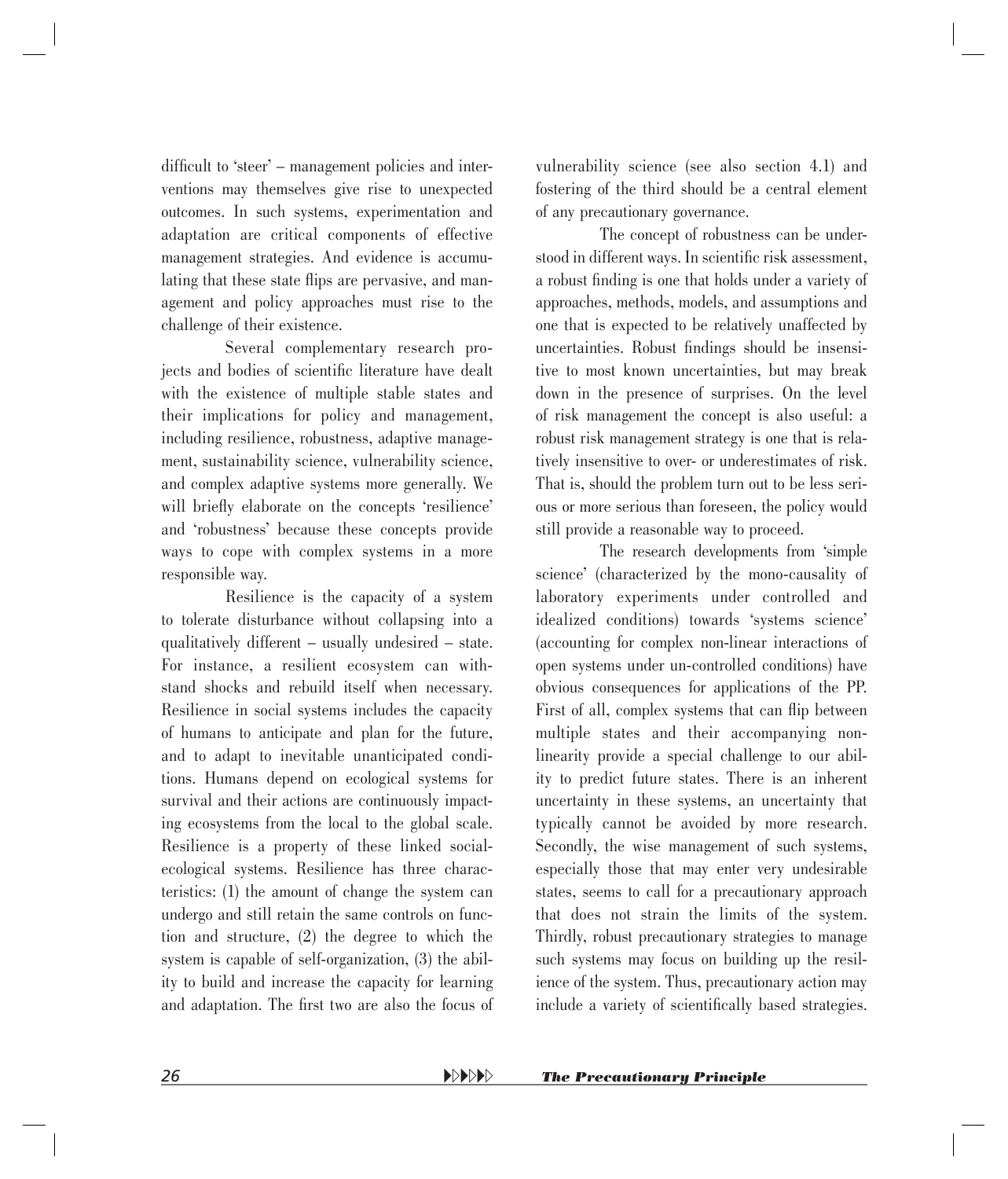difficult to 'steer' – management policies and interventions may themselves give rise to unexpected outcomes. In such systems, experimentation and adaptation are critical components of effective management strategies. And evidence is accumulating that these state flips are pervasive, and management and policy approaches must rise to the challenge of their existence.

Several complementary research projects and bodies of scientific literature have dealt with the existence of multiple stable states and their implications for policy and management, including resilience, robustness, adaptive management, sustainability science, vulnerability science, and complex adaptive systems more generally. We will briefly elaborate on the concepts 'resilience' and 'robustness' because these concepts provide ways to cope with complex systems in a more responsible way.

Resilience is the capacity of a system to tolerate disturbance without collapsing into a qualitatively different – usually undesired – state. For instance, a resilient ecosystem can withstand shocks and rebuild itself when necessary. Resilience in social systems includes the capacity of humans to anticipate and plan for the future, and to adapt to inevitable unanticipated conditions. Humans depend on ecological systems for survival and their actions are continuously impacting ecosystems from the local to the global scale. Resilience is a property of these linked socialecological systems. Resilience has three characteristics: (1) the amount of change the system can undergo and still retain the same controls on function and structure, (2) the degree to which the system is capable of self-organization, (3) the ability to build and increase the capacity for learning and adaptation. The first two are also the focus of vulnerability science (see also section 4.1) and fostering of the third should be a central element of any precautionary governance.

The concept of robustness can be understood in different ways. In scientific risk assessment, a robust finding is one that holds under a variety of approaches, methods, models, and assumptions and one that is expected to be relatively unaffected by uncertainties. Robust findings should be insensitive to most known uncertainties, but may break down in the presence of surprises. On the level of risk management the concept is also useful: a robust risk management strategy is one that is relatively insensitive to over- or underestimates of risk. That is, should the problem turn out to be less serious or more serious than foreseen, the policy would still provide a reasonable way to proceed.

The research developments from 'simple science' (characterized by the mono-causality of laboratory experiments under controlled and idealized conditions) towards 'systems science' (accounting for complex non-linear interactions of open systems under un-controlled conditions) have obvious consequences for applications of the PP. First of all, complex systems that can flip between multiple states and their accompanying nonlinearity provide a special challenge to our ability to predict future states. There is an inherent uncertainty in these systems, an uncertainty that typically cannot be avoided by more research. Secondly, the wise management of such systems, especially those that may enter very undesirable states, seems to call for a precautionary approach that does not strain the limits of the system. Thirdly, robust precautionary strategies to manage such systems may focus on building up the resilience of the system. Thus, precautionary action may include a variety of scientifically based strategies.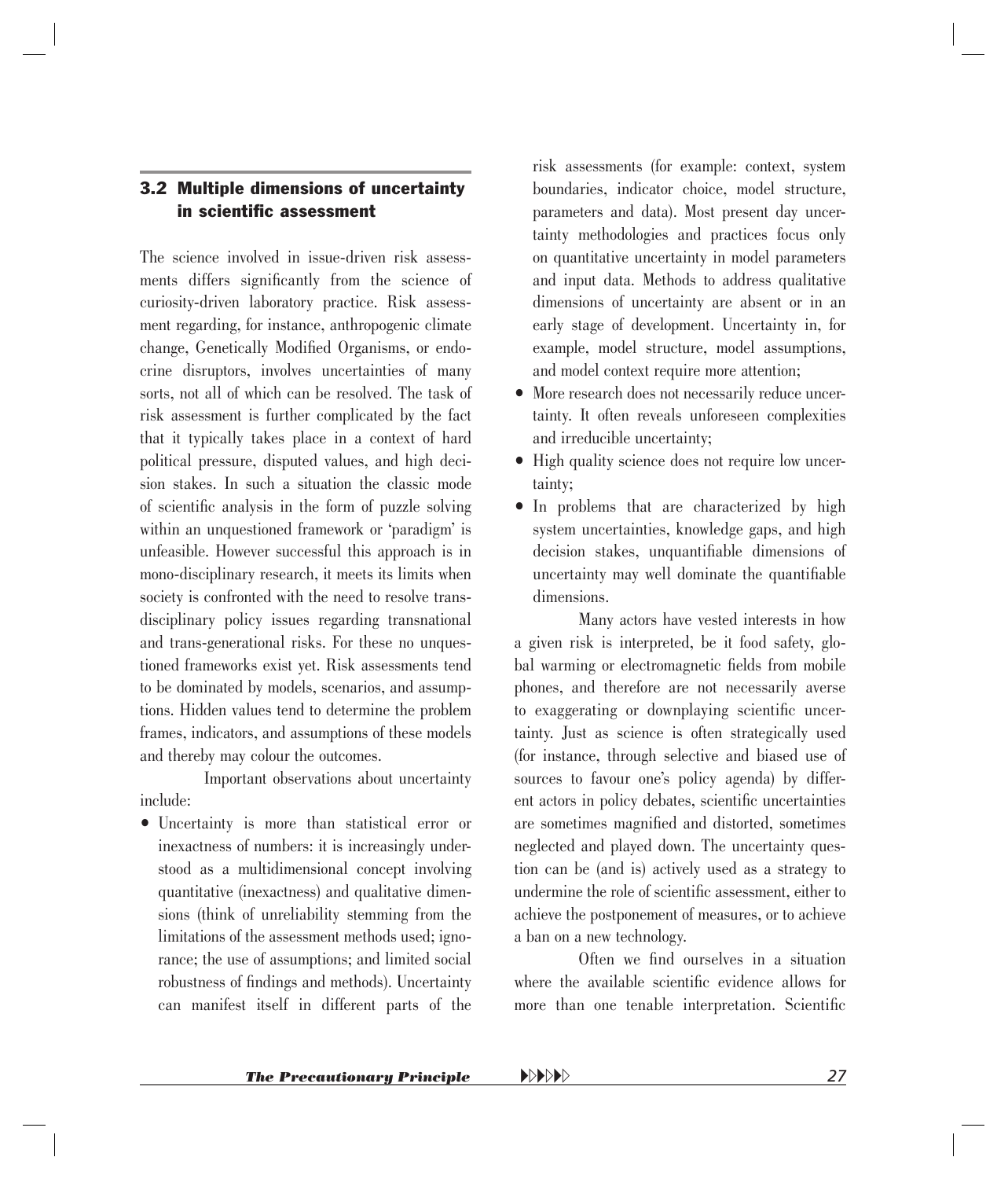#### <span id="page-25-0"></span>3.2 Multiple dimensions of uncertainty in scientific assessment

The science involved in issue-driven risk assessments differs significantly from the science of curiosity-driven laboratory practice. Risk assessment regarding, for instance, anthropogenic climate change, Genetically Modified Organisms, or endocrine disruptors, involves uncertainties of many sorts, not all of which can be resolved. The task of risk assessment is further complicated by the fact that it typically takes place in a context of hard political pressure, disputed values, and high decision stakes. In such a situation the classic mode of scientific analysis in the form of puzzle solving within an unquestioned framework or 'paradigm' is unfeasible. However successful this approach is in mono-disciplinary research, it meets its limits when society is confronted with the need to resolve transdisciplinary policy issues regarding transnational and trans-generational risks. For these no unquestioned frameworks exist yet. Risk assessments tend to be dominated by models, scenarios, and assumptions. Hidden values tend to determine the problem frames, indicators, and assumptions of these models and thereby may colour the outcomes.

Important observations about uncertainty include:

• Uncertainty is more than statistical error or inexactness of numbers: it is increasingly understood as a multidimensional concept involving quantitative (inexactness) and qualitative dimensions (think of unreliability stemming from the limitations of the assessment methods used; ignorance; the use of assumptions; and limited social robustness of findings and methods). Uncertainty can manifest itself in different parts of the risk assessments (for example: context, system boundaries, indicator choice, model structure, parameters and data). Most present day uncertainty methodologies and practices focus only on quantitative uncertainty in model parameters and input data. Methods to address qualitative dimensions of uncertainty are absent or in an early stage of development. Uncertainty in, for example, model structure, model assumptions, and model context require more attention;

- More research does not necessarily reduce uncertainty. It often reveals unforeseen complexities and irreducible uncertainty;
- High quality science does not require low uncertainty;
- In problems that are characterized by high system uncertainties, knowledge gaps, and high decision stakes, unquantifiable dimensions of uncertainty may well dominate the quantifiable dimensions.

Many actors have vested interests in how a given risk is interpreted, be it food safety, global warming or electromagnetic fields from mobile phones, and therefore are not necessarily averse to exaggerating or downplaying scientific uncertainty. Just as science is often strategically used (for instance, through selective and biased use of sources to favour one's policy agenda) by different actors in policy debates, scientific uncertainties are sometimes magnified and distorted, sometimes neglected and played down. The uncertainty question can be (and is) actively used as a strategy to undermine the role of scientific assessment, either to achieve the postponement of measures, or to achieve a ban on a new technology.

Often we find ourselves in a situation where the available scientific evidence allows for more than one tenable interpretation. Scientific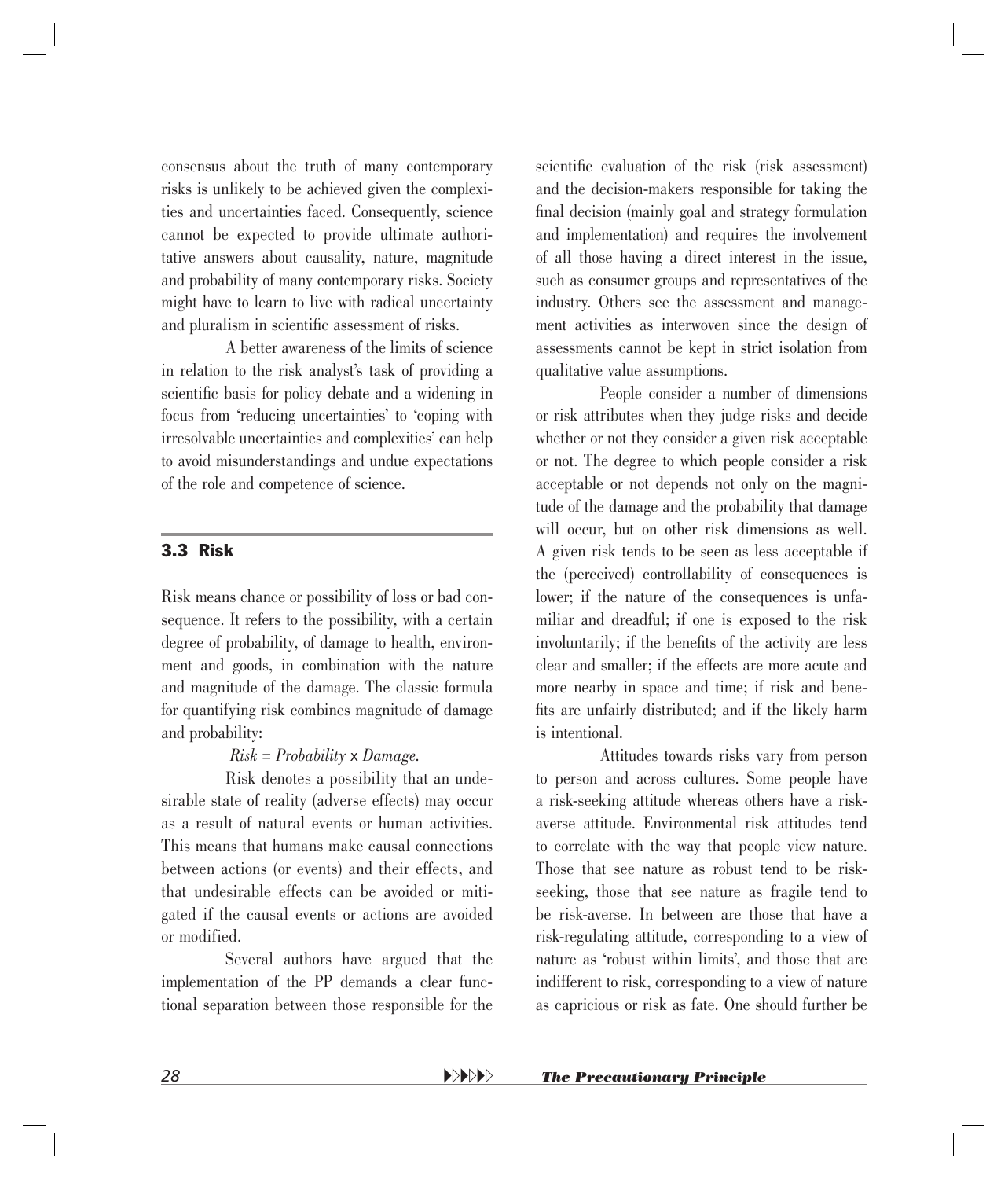<span id="page-26-0"></span>consensus about the truth of many contemporary risks is unlikely to be achieved given the complexities and uncertainties faced. Consequently, science cannot be expected to provide ultimate authoritative answers about causality, nature, magnitude and probability of many contemporary risks. Society might have to learn to live with radical uncertainty and pluralism in scientific assessment of risks.

A better awareness of the limits of science in relation to the risk analyst's task of providing a scientific basis for policy debate and a widening in focus from 'reducing uncertainties' to 'coping with irresolvable uncertainties and complexities' can help to avoid misunderstandings and undue expectations of the role and competence of science.

#### 3.3 Risk

Risk means chance or possibility of loss or bad consequence. It refers to the possibility, with a certain degree of probability, of damage to health, environment and goods, in combination with the nature and magnitude of the damage. The classic formula for quantifying risk combines magnitude of damage and probability:

#### *Risk = Probability* x *Damage.*

Risk denotes a possibility that an undesirable state of reality (adverse effects) may occur as a result of natural events or human activities. This means that humans make causal connections between actions (or events) and their effects, and that undesirable effects can be avoided or mitigated if the causal events or actions are avoided or modified.

Several authors have argued that the implementation of the PP demands a clear functional separation between those responsible for the scientific evaluation of the risk (risk assessment) and the decision-makers responsible for taking the final decision (mainly goal and strategy formulation and implementation) and requires the involvement of all those having a direct interest in the issue, such as consumer groups and representatives of the industry. Others see the assessment and management activities as interwoven since the design of assessments cannot be kept in strict isolation from qualitative value assumptions.

People consider a number of dimensions or risk attributes when they judge risks and decide whether or not they consider a given risk acceptable or not. The degree to which people consider a risk acceptable or not depends not only on the magnitude of the damage and the probability that damage will occur, but on other risk dimensions as well. A given risk tends to be seen as less acceptable if the (perceived) controllability of consequences is lower; if the nature of the consequences is unfamiliar and dreadful; if one is exposed to the risk involuntarily; if the benefits of the activity are less clear and smaller; if the effects are more acute and more nearby in space and time; if risk and benefits are unfairly distributed; and if the likely harm is intentional.

Attitudes towards risks vary from person to person and across cultures. Some people have a risk-seeking attitude whereas others have a riskaverse attitude. Environmental risk attitudes tend to correlate with the way that people view nature. Those that see nature as robust tend to be riskseeking, those that see nature as fragile tend to be risk-averse. In between are those that have a risk-regulating attitude, corresponding to a view of nature as 'robust within limits', and those that are indifferent to risk, corresponding to a view of nature as capricious or risk as fate. One should further be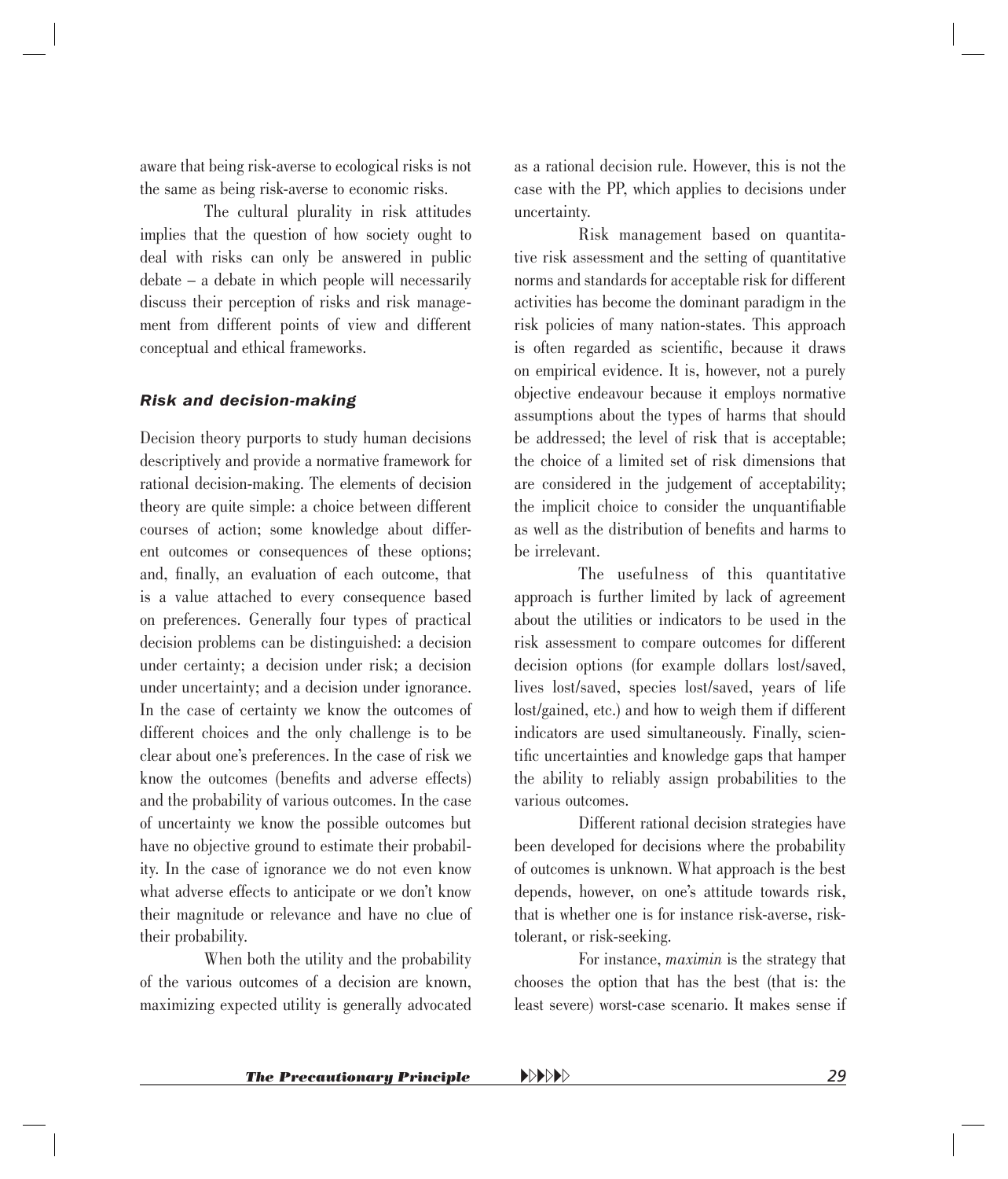aware that being risk-averse to ecological risks is not the same as being risk-averse to economic risks.

The cultural plurality in risk attitudes implies that the question of how society ought to deal with risks can only be answered in public debate – a debate in which people will necessarily discuss their perception of risks and risk management from different points of view and different conceptual and ethical frameworks.

#### *Risk and decision-making*

Decision theory purports to study human decisions descriptively and provide a normative framework for rational decision-making. The elements of decision theory are quite simple: a choice between different courses of action; some knowledge about different outcomes or consequences of these options; and, finally, an evaluation of each outcome, that is a value attached to every consequence based on preferences. Generally four types of practical decision problems can be distinguished: a decision under certainty; a decision under risk; a decision under uncertainty; and a decision under ignorance. In the case of certainty we know the outcomes of different choices and the only challenge is to be clear about one's preferences. In the case of risk we know the outcomes (benefits and adverse effects) and the probability of various outcomes. In the case of uncertainty we know the possible outcomes but have no objective ground to estimate their probability. In the case of ignorance we do not even know what adverse effects to anticipate or we don't know their magnitude or relevance and have no clue of their probability.

When both the utility and the probability of the various outcomes of a decision are known, maximizing expected utility is generally advocated as a rational decision rule. However, this is not the case with the PP, which applies to decisions under uncertainty.

Risk management based on quantitative risk assessment and the setting of quantitative norms and standards for acceptable risk for different activities has become the dominant paradigm in the risk policies of many nation-states. This approach is often regarded as scientific, because it draws on empirical evidence. It is, however, not a purely objective endeavour because it employs normative assumptions about the types of harms that should be addressed; the level of risk that is acceptable; the choice of a limited set of risk dimensions that are considered in the judgement of acceptability; the implicit choice to consider the unquantifiable as well as the distribution of benefits and harms to be irrelevant.

The usefulness of this quantitative approach is further limited by lack of agreement about the utilities or indicators to be used in the risk assessment to compare outcomes for different decision options (for example dollars lost/saved, lives lost/saved, species lost/saved, years of life lost/gained, etc.) and how to weigh them if different indicators are used simultaneously. Finally, scientific uncertainties and knowledge gaps that hamper the ability to reliably assign probabilities to the various outcomes.

Different rational decision strategies have been developed for decisions where the probability of outcomes is unknown. What approach is the best depends, however, on one's attitude towards risk, that is whether one is for instance risk-averse, risktolerant, or risk-seeking.

For instance, *maximin* is the strategy that chooses the option that has the best (that is: the least severe) worst-case scenario. It makes sense if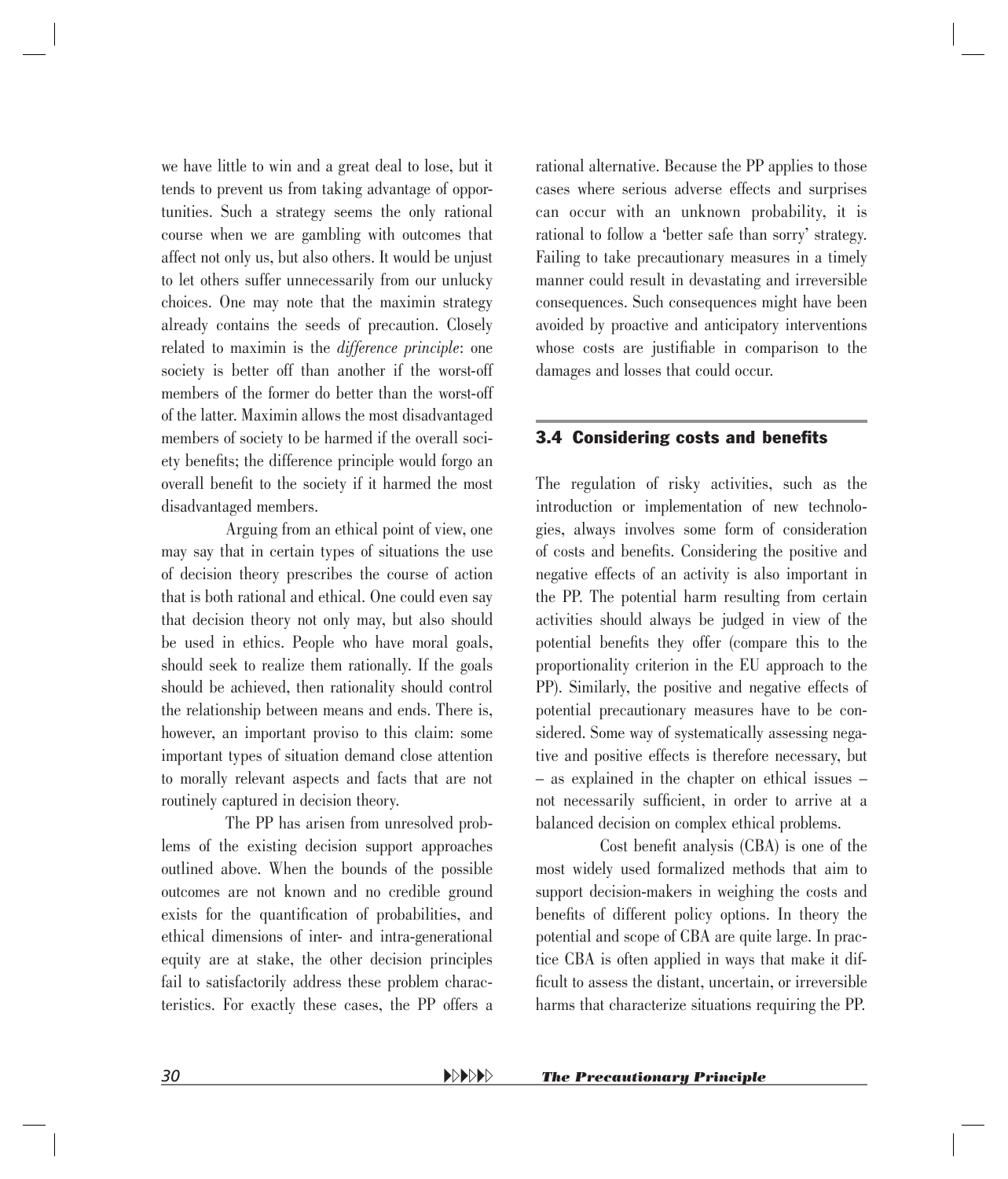<span id="page-28-0"></span>we have little to win and a great deal to lose, but it tends to prevent us from taking advantage of opportunities. Such a strategy seems the only rational course when we are gambling with outcomes that affect not only us, but also others. It would be unjust to let others suffer unnecessarily from our unlucky choices. One may note that the maximin strategy already contains the seeds of precaution. Closely related to maximin is the *difference principle*: one society is better off than another if the worst-off members of the former do better than the worst-off of the latter. Maximin allows the most disadvantaged members of society to be harmed if the overall society benefits; the difference principle would forgo an overall benefit to the society if it harmed the most disadvantaged members.

Arguing from an ethical point of view, one may say that in certain types of situations the use of decision theory prescribes the course of action that is both rational and ethical. One could even say that decision theory not only may, but also should be used in ethics. People who have moral goals, should seek to realize them rationally. If the goals should be achieved, then rationality should control the relationship between means and ends. There is, however, an important proviso to this claim: some important types of situation demand close attention to morally relevant aspects and facts that are not routinely captured in decision theory.

The PP has arisen from unresolved problems of the existing decision support approaches outlined above. When the bounds of the possible outcomes are not known and no credible ground exists for the quantification of probabilities, and ethical dimensions of inter- and intra-generational equity are at stake, the other decision principles fail to satisfactorily address these problem characteristics. For exactly these cases, the PP offers a rational alternative. Because the PP applies to those cases where serious adverse effects and surprises can occur with an unknown probability, it is rational to follow a 'better safe than sorry' strategy. Failing to take precautionary measures in a timely manner could result in devastating and irreversible consequences. Such consequences might have been avoided by proactive and anticipatory interventions whose costs are justifiable in comparison to the damages and losses that could occur.

#### **3.4 Considering costs and benefits**

The regulation of risky activities, such as the introduction or implementation of new technologies, always involves some form of consideration of costs and benefits. Considering the positive and negative effects of an activity is also important in the PP. The potential harm resulting from certain activities should always be judged in view of the potential benefits they offer (compare this to the proportionality criterion in the EU approach to the PP). Similarly, the positive and negative effects of potential precautionary measures have to be considered. Some way of systematically assessing negative and positive effects is therefore necessary, but – as explained in the chapter on ethical issues – not necessarily sufficient, in order to arrive at a balanced decision on complex ethical problems.

Cost benefit analysis (CBA) is one of the most widely used formalized methods that aim to support decision-makers in weighing the costs and benefits of different policy options. In theory the potential and scope of CBA are quite large. In practice CBA is often applied in ways that make it difficult to assess the distant, uncertain, or irreversible harms that characterize situations requiring the PP.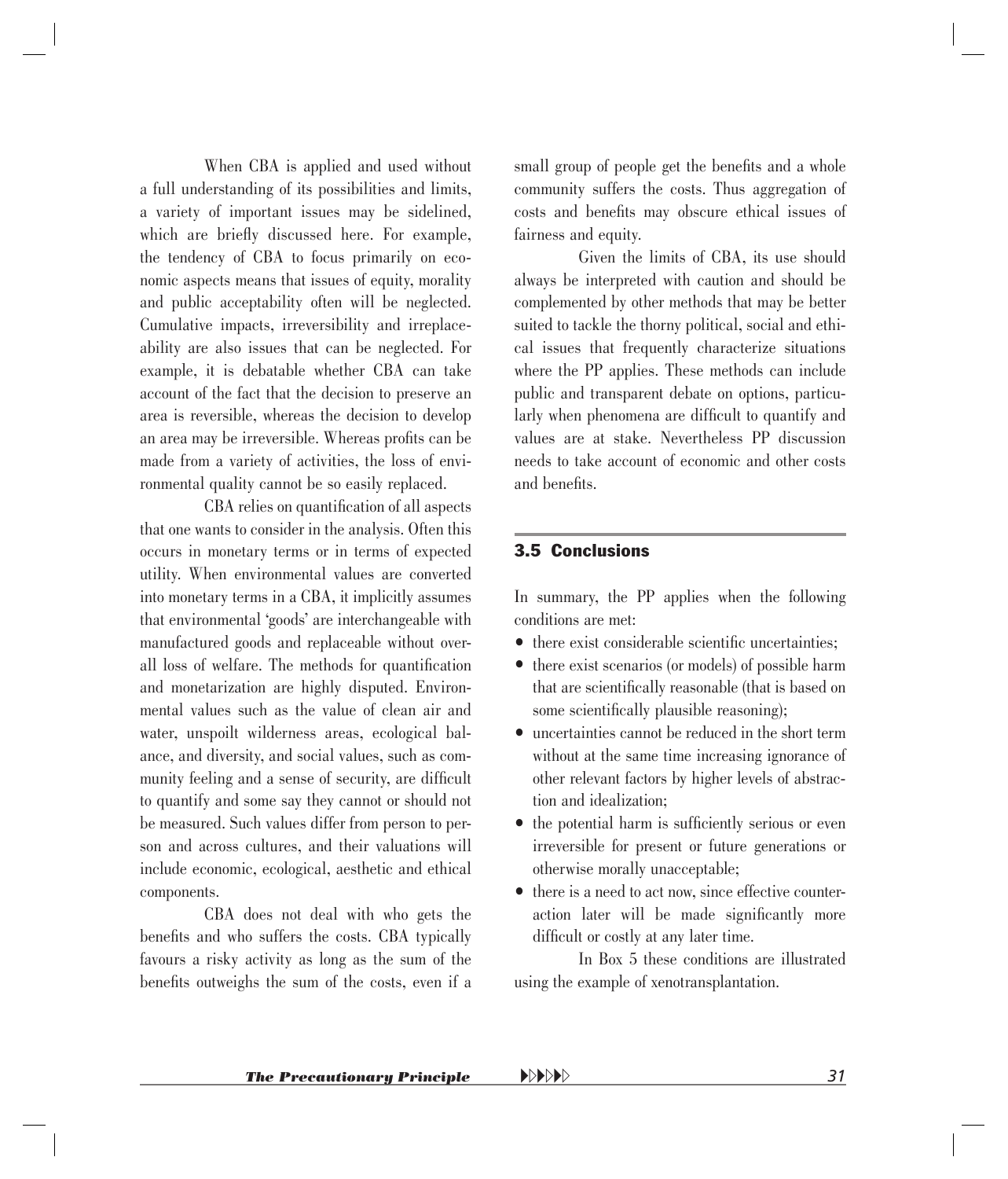<span id="page-29-0"></span>When CBA is applied and used without a full understanding of its possibilities and limits, a variety of important issues may be sidelined, which are briefly discussed here. For example, the tendency of CBA to focus primarily on economic aspects means that issues of equity, morality and public acceptability often will be neglected. Cumulative impacts, irreversibility and irreplaceability are also issues that can be neglected. For example, it is debatable whether CBA can take account of the fact that the decision to preserve an area is reversible, whereas the decision to develop an area may be irreversible. Whereas profits can be made from a variety of activities, the loss of environmental quality cannot be so easily replaced.

CBA relies on quantification of all aspects that one wants to consider in the analysis. Often this occurs in monetary terms or in terms of expected utility. When environmental values are converted into monetary terms in a CBA, it implicitly assumes that environmental 'goods' are interchangeable with manufactured goods and replaceable without overall loss of welfare. The methods for quantification and monetarization are highly disputed. Environmental values such as the value of clean air and water, unspoilt wilderness areas, ecological balance, and diversity, and social values, such as community feeling and a sense of security, are difficult to quantify and some say they cannot or should not be measured. Such values differ from person to person and across cultures, and their valuations will include economic, ecological, aesthetic and ethical components.

CBA does not deal with who gets the benefits and who suffers the costs. CBA typically favours a risky activity as long as the sum of the benefits outweighs the sum of the costs, even if a small group of people get the benefits and a whole community suffers the costs. Thus aggregation of costs and benefits may obscure ethical issues of fairness and equity.

Given the limits of CBA, its use should always be interpreted with caution and should be complemented by other methods that may be better suited to tackle the thorny political, social and ethical issues that frequently characterize situations where the PP applies. These methods can include public and transparent debate on options, particularly when phenomena are difficult to quantify and values are at stake. Nevertheless PP discussion needs to take account of economic and other costs and benefits.

#### 3.5 Conclusions

In summary, the PP applies when the following conditions are met:

- $\bullet$  there exist considerable scientific uncertainties;
- there exist scenarios (or models) of possible harm that are scientifically reasonable (that is based on some scientifically plausible reasoning);
- uncertainties cannot be reduced in the short term without at the same time increasing ignorance of other relevant factors by higher levels of abstraction and idealization;
- $\bullet$  the potential harm is sufficiently serious or even irreversible for present or future generations or otherwise morally unacceptable;
- there is a need to act now, since effective counteraction later will be made significantly more difficult or costly at any later time.

In Box 5 these conditions are illustrated using the example of xenotransplantation.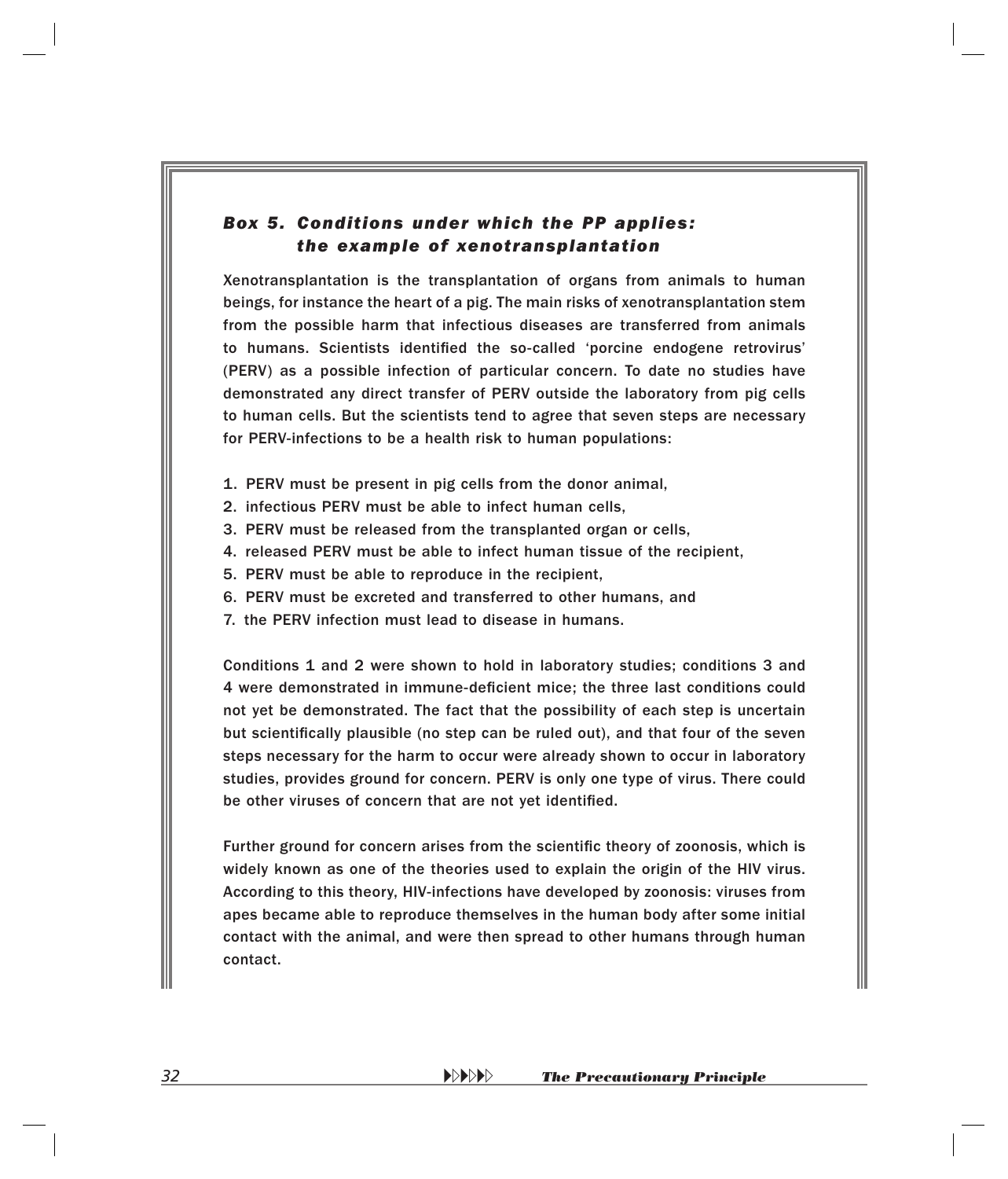#### <span id="page-30-0"></span>*Box 5. Conditions under which the PP applies: the example of xenotransplantation*

Xenotransplantation is the transplantation of organs from animals to human beings, for instance the heart of a pig. The main risks of xenotransplantation stem from the possible harm that infectious diseases are transferred from animals to humans. Scientists identified the so-called 'porcine endogene retrovirus' (PERV) as a possible infection of particular concern. To date no studies have demonstrated any direct transfer of PERV outside the laboratory from pig cells to human cells. But the scientists tend to agree that seven steps are necessary for PERV-infections to be a health risk to human populations:

- 1. PERV must be present in pig cells from the donor animal,
- 2. infectious PERV must be able to infect human cells,
- 3. PERV must be released from the transplanted organ or cells,
- 4. released PERV must be able to infect human tissue of the recipient,
- 5. PERV must be able to reproduce in the recipient,
- 6. PERV must be excreted and transferred to other humans, and
- 7. the PERV infection must lead to disease in humans.

Conditions 1 and 2 were shown to hold in laboratory studies; conditions 3 and 4 were demonstrated in immune-deficient mice; the three last conditions could not yet be demonstrated. The fact that the possibility of each step is uncertain but scientifically plausible (no step can be ruled out), and that four of the seven steps necessary for the harm to occur were already shown to occur in laboratory studies, provides ground for concern. PERV is only one type of virus. There could be other viruses of concern that are not yet identified.

Further ground for concern arises from the scientific theory of zoonosis, which is widely known as one of the theories used to explain the origin of the HIV virus. According to this theory, HIV-infections have developed by zoonosis: viruses from apes became able to reproduce themselves in the human body after some initial contact with the animal, and were then spread to other humans through human contact.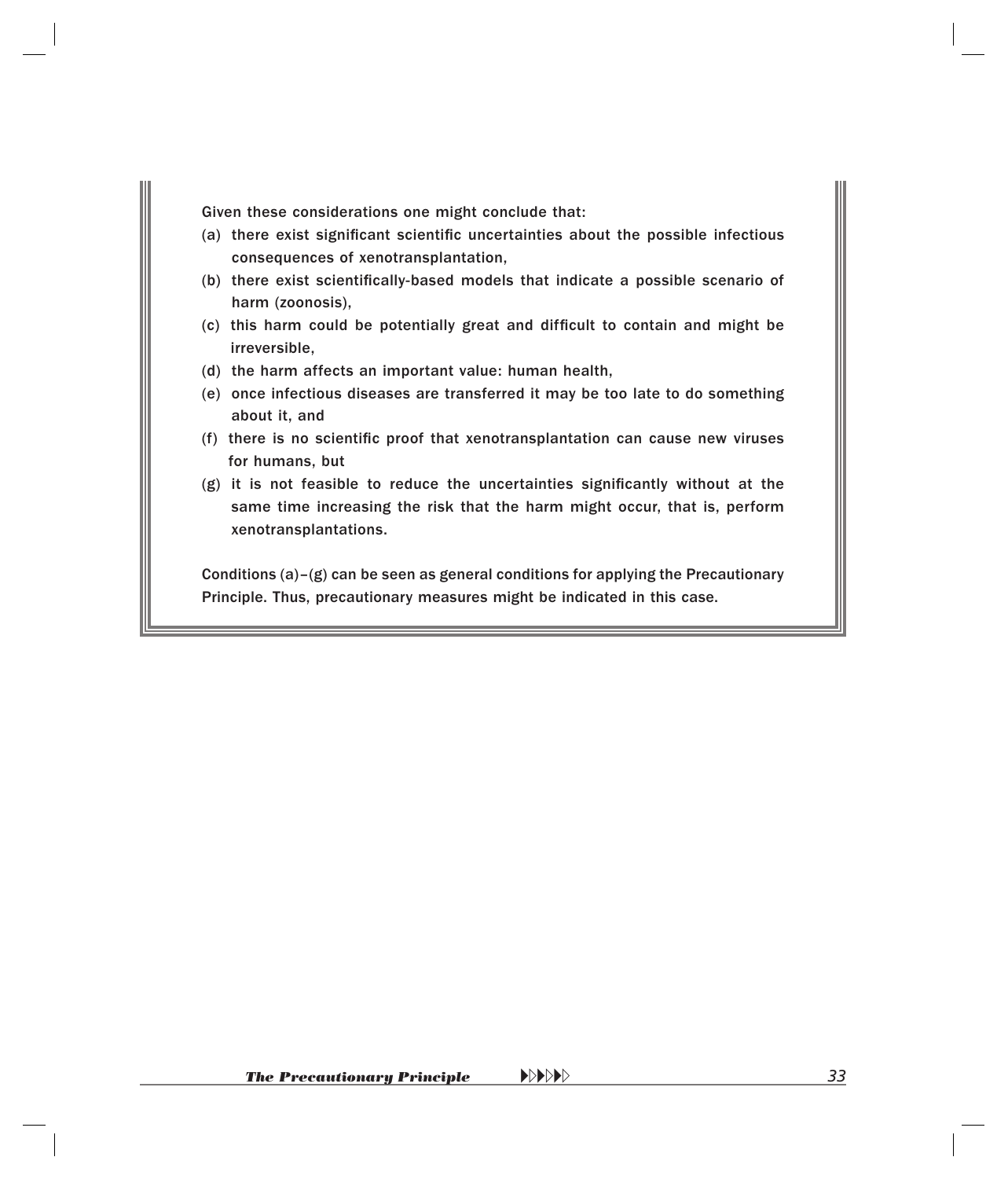Given these considerations one might conclude that:

- (a) there exist significant scientific uncertainties about the possible infectious consequences of xenotransplantation,
- (b) there exist scientifically-based models that indicate a possible scenario of harm (zoonosis),
- (c) this harm could be potentially great and difficult to contain and might be irreversible,
- (d) the harm affects an important value: human health,
- (e)once infectious diseases are transferred it may be too late to do something about it, and
- (f) there is no scientific proof that xenotransplantation can cause new viruses for humans, but
- $(g)$  it is not feasible to reduce the uncertainties significantly without at the same time increasing the risk that the harm might occur, that is, perform xenotransplantations.

Conditions (a)–(g) can be seen as general conditions for applying the Precautionary Principle. Thus, precautionary measures might be indicated in this case.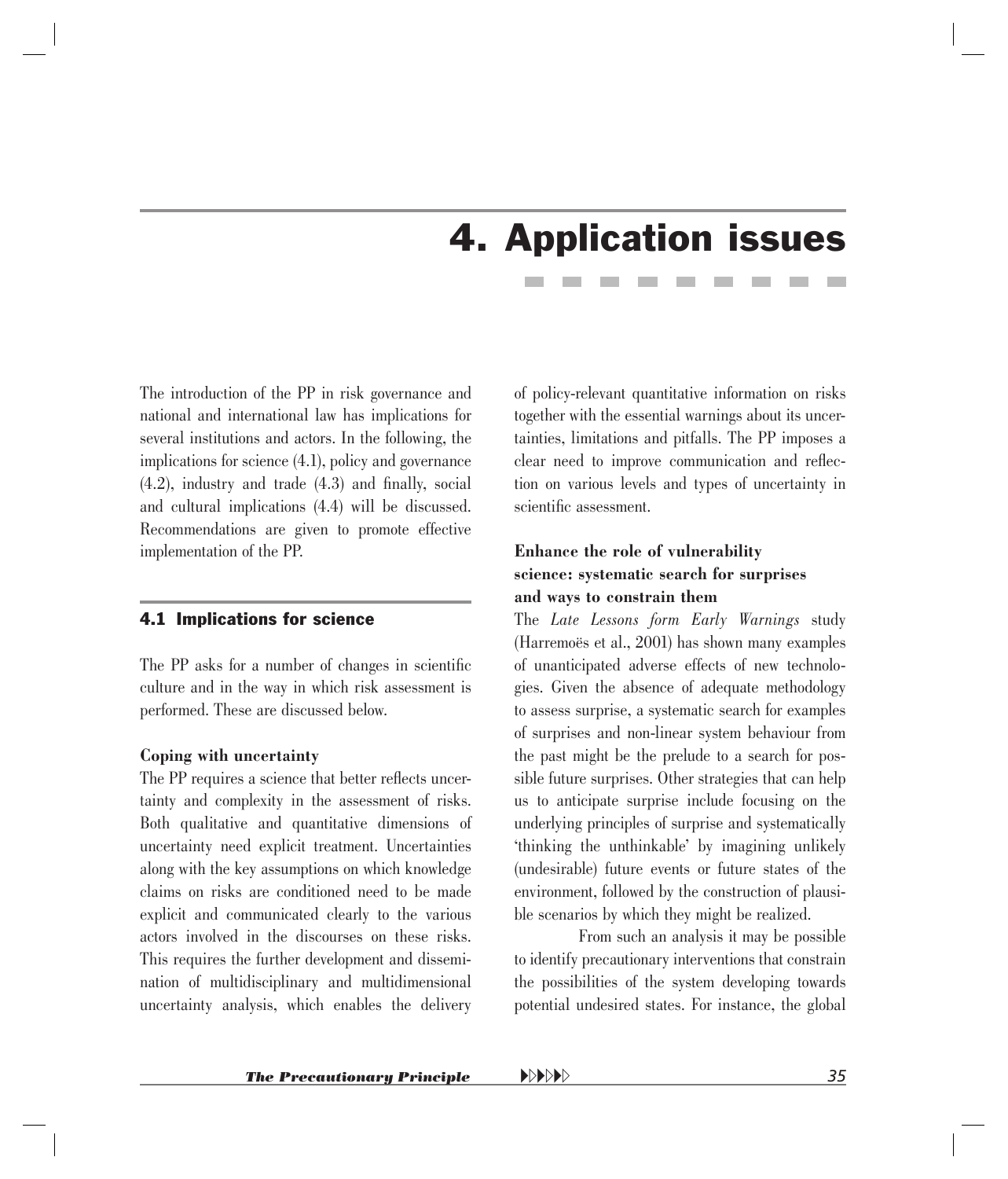## 4. Application issues

<span id="page-32-0"></span>The introduction of the PP in risk governance and national and international law has implications for several institutions and actors. In the following, the implications for science (4.1), policy and governance  $(4.2)$ , industry and trade  $(4.3)$  and finally, social and cultural implications (4.4) will be discussed. Recommendations are given to promote effective implementation of the PP.

#### 4.1 Implications for science

The PP asks for a number of changes in scientific culture and in the way in which risk assessment is performed. These are discussed below.

#### **Coping with uncertainty**

The PP requires a science that better reflects uncertainty and complexity in the assessment of risks. Both qualitative and quantitative dimensions of uncertainty need explicit treatment. Uncertainties along with the key assumptions on which knowledge claims on risks are conditioned need to be made explicit and communicated clearly to the various actors involved in the discourses on these risks. This requires the further development and dissemination of multidisciplinary and multidimensional uncertainty analysis, which enables the delivery

of policy-relevant quantitative information on risks together with the essential warnings about its uncertainties, limitations and pitfalls. The PP imposes a clear need to improve communication and reflection on various levels and types of uncertainty in scientific assessment.

#### **Enhance the role of vulnerability science: systematic search for surprises and ways to constrain them**

The *Late Lessons form Early Warnings* study (Harremoës et al., 2001) has shown many examples of unanticipated adverse effects of new technologies. Given the absence of adequate methodology to assess surprise, a systematic search for examples of surprises and non-linear system behaviour from the past might be the prelude to a search for possible future surprises. Other strategies that can help us to anticipate surprise include focusing on the underlying principles of surprise and systematically 'thinking the unthinkable' by imagining unlikely (undesirable) future events or future states of the environment, followed by the construction of plausible scenarios by which they might be realized.

From such an analysis it may be possible to identify precautionary interventions that constrain the possibilities of the system developing towards potential undesired states. For instance, the global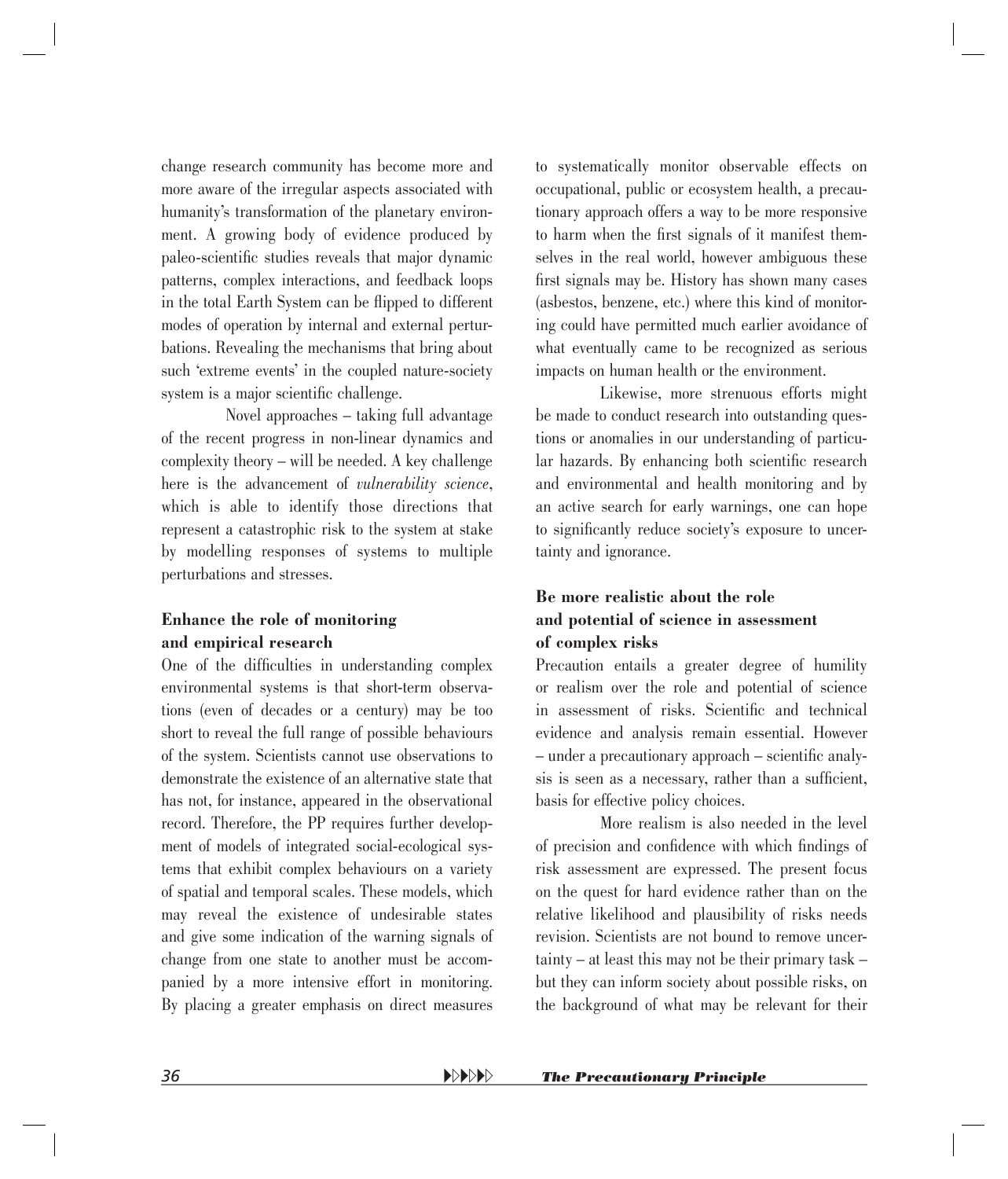change research community has become more and more aware of the irregular aspects associated with humanity's transformation of the planetary environment. A growing body of evidence produced by paleo-scientific studies reveals that major dynamic patterns, complex interactions, and feedback loops in the total Earth System can be flipped to different modes of operation by internal and external perturbations. Revealing the mechanisms that bring about such 'extreme events' in the coupled nature-society system is a major scientific challenge.

Novel approaches – taking full advantage of the recent progress in non-linear dynamics and complexity theory – will be needed. A key challenge here is the advancement of *vulnerability science*, which is able to identify those directions that represent a catastrophic risk to the system at stake by modelling responses of systems to multiple perturbations and stresses.

#### **Enhance the role of monitoring and empirical research**

One of the difficulties in understanding complex environmental systems is that short-term observations (even of decades or a century) may be too short to reveal the full range of possible behaviours of the system. Scientists cannot use observations to demonstrate the existence of an alternative state that has not, for instance, appeared in the observational record. Therefore, the PP requires further development of models of integrated social-ecological systems that exhibit complex behaviours on a variety of spatial and temporal scales. These models, which may reveal the existence of undesirable states and give some indication of the warning signals of change from one state to another must be accompanied by a more intensive effort in monitoring. By placing a greater emphasis on direct measures to systematically monitor observable effects on occupational, public or ecosystem health, a precautionary approach offers a way to be more responsive to harm when the first signals of it manifest themselves in the real world, however ambiguous these first signals may be. History has shown many cases (asbestos, benzene, etc.) where this kind of monitoring could have permitted much earlier avoidance of what eventually came to be recognized as serious impacts on human health or the environment.

Likewise, more strenuous efforts might be made to conduct research into outstanding questions or anomalies in our understanding of particular hazards. By enhancing both scientific research and environmental and health monitoring and by an active search for early warnings, one can hope to significantly reduce society's exposure to uncertainty and ignorance.

#### **Be more realistic about the role and potential of science in assessment of complex risks**

Precaution entails a greater degree of humility or realism over the role and potential of science in assessment of risks. Scientific and technical evidence and analysis remain essential. However  $-$  under a precautionary approach  $-$  scientific analysis is seen as a necessary, rather than a sufficient, basis for effective policy choices.

More realism is also needed in the level of precision and confidence with which findings of risk assessment are expressed. The present focus on the quest for hard evidence rather than on the relative likelihood and plausibility of risks needs revision. Scientists are not bound to remove uncertainty – at least this may not be their primary task – but they can inform society about possible risks, on the background of what may be relevant for their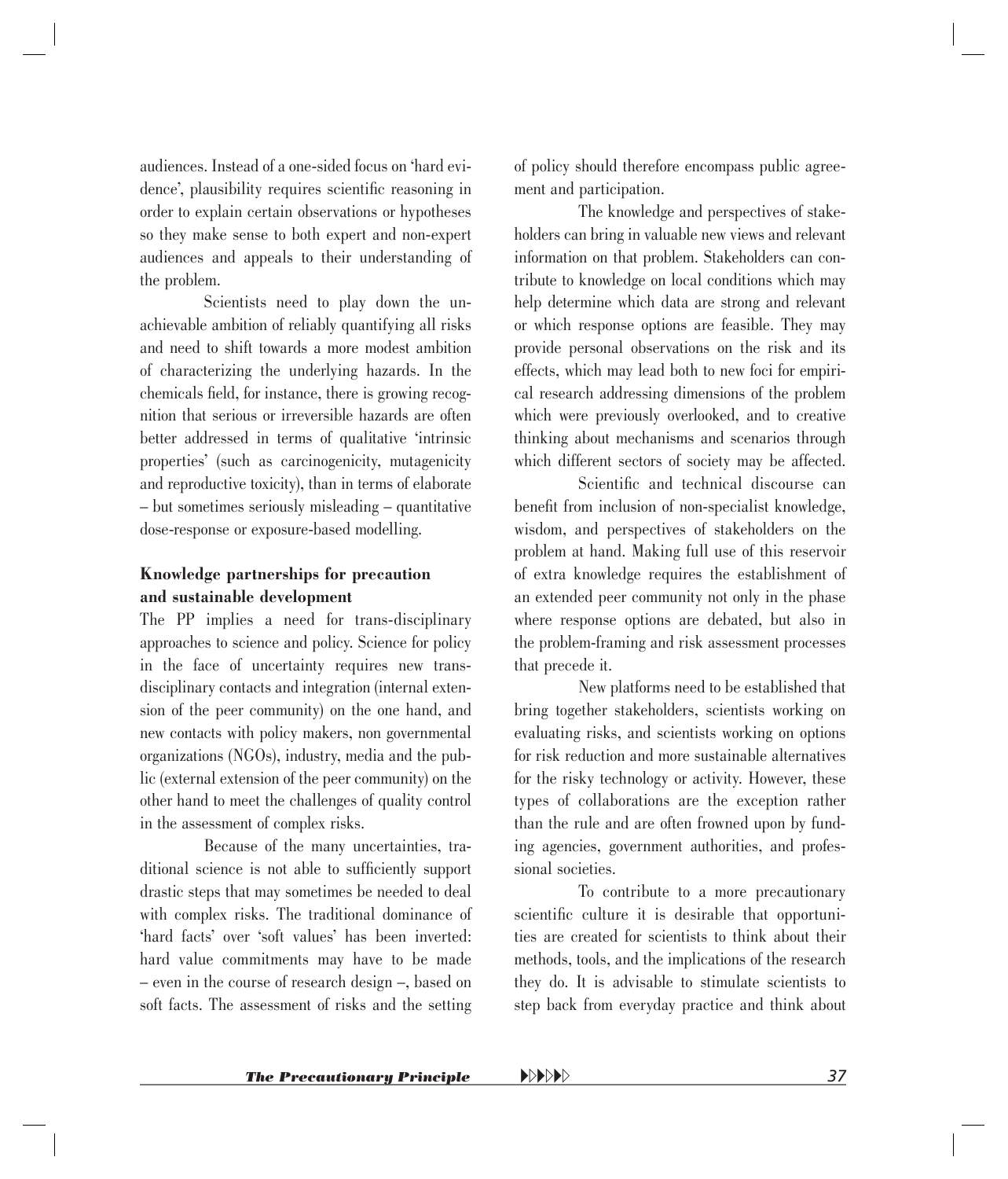audiences. Instead of a one-sided focus on 'hard evidence', plausibility requires scientific reasoning in order to explain certain observations or hypotheses so they make sense to both expert and non-expert audiences and appeals to their understanding of the problem.

Scientists need to play down the unachievable ambition of reliably quantifying all risks and need to shift towards a more modest ambition of characterizing the underlying hazards. In the chemicals field, for instance, there is growing recognition that serious or irreversible hazards are often better addressed in terms of qualitative 'intrinsic properties' (such as carcinogenicity, mutagenicity and reproductive toxicity), than in terms of elaborate – but sometimes seriously misleading – quantitative dose-response or exposure-based modelling.

#### **Knowledge partnerships for precaution and sustainable development**

The PP implies a need for trans-disciplinary approaches to science and policy. Science for policy in the face of uncertainty requires new transdisciplinary contacts and integration (internal extension of the peer community) on the one hand, and new contacts with policy makers, non governmental organizations (NGOs), industry, media and the public (external extension of the peer community) on the other hand to meet the challenges of quality control in the assessment of complex risks.

Because of the many uncertainties, traditional science is not able to sufficiently support drastic steps that may sometimes be needed to deal with complex risks. The traditional dominance of 'hard facts' over 'soft values' has been inverted: hard value commitments may have to be made – even in the course of research design –, based on soft facts. The assessment of risks and the setting of policy should therefore encompass public agreement and participation.

The knowledge and perspectives of stakeholders can bring in valuable new views and relevant information on that problem. Stakeholders can contribute to knowledge on local conditions which may help determine which data are strong and relevant or which response options are feasible. They may provide personal observations on the risk and its effects, which may lead both to new foci for empirical research addressing dimensions of the problem which were previously overlooked, and to creative thinking about mechanisms and scenarios through which different sectors of society may be affected.

Scientific and technical discourse can benefit from inclusion of non-specialist knowledge, wisdom, and perspectives of stakeholders on the problem at hand. Making full use of this reservoir of extra knowledge requires the establishment of an extended peer community not only in the phase where response options are debated, but also in the problem-framing and risk assessment processes that precede it.

New platforms need to be established that bring together stakeholders, scientists working on evaluating risks, and scientists working on options for risk reduction and more sustainable alternatives for the risky technology or activity. However, these types of collaborations are the exception rather than the rule and are often frowned upon by funding agencies, government authorities, and professional societies.

To contribute to a more precautionary scientific culture it is desirable that opportunities are created for scientists to think about their methods, tools, and the implications of the research they do. It is advisable to stimulate scientists to step back from everyday practice and think about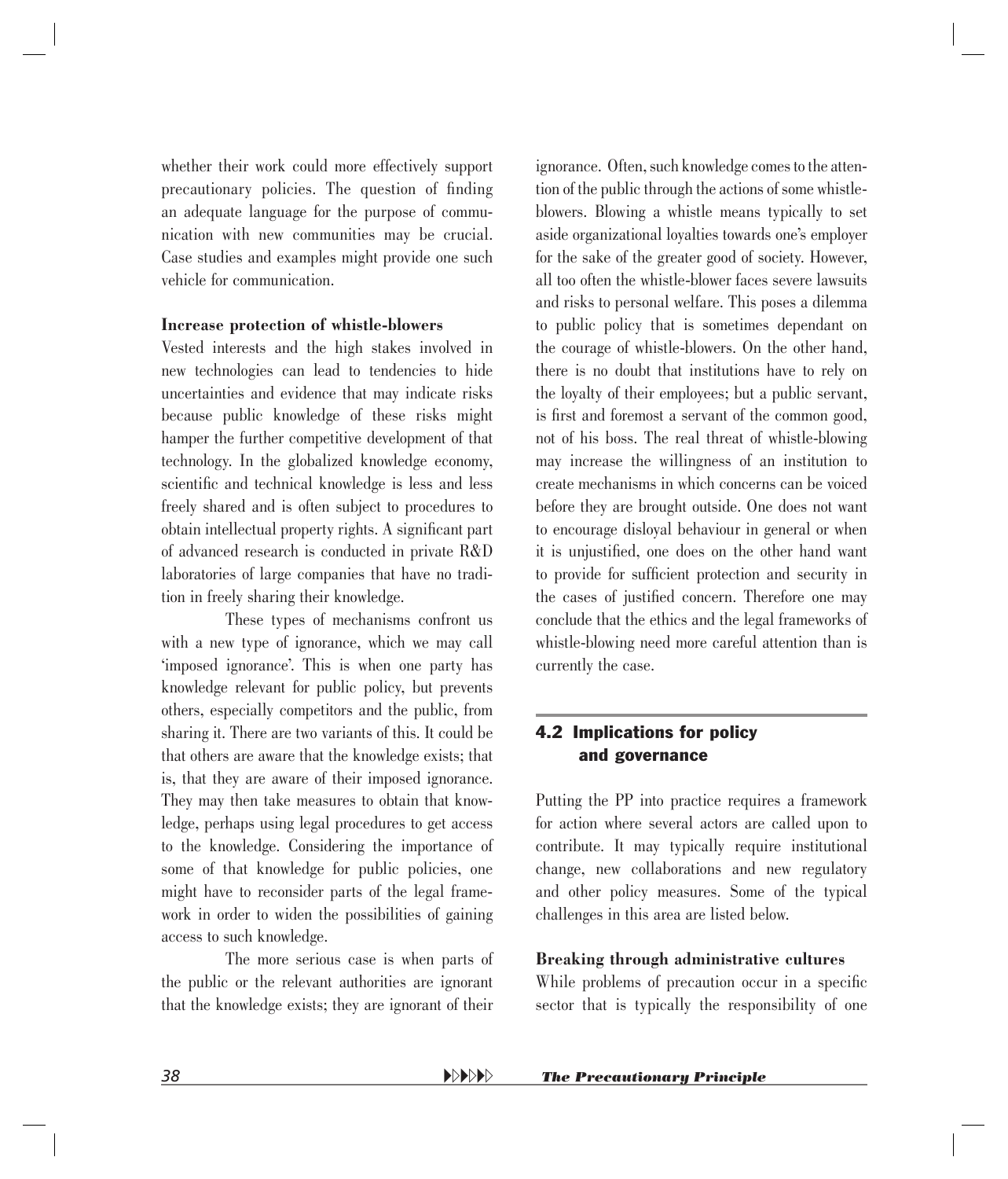<span id="page-35-0"></span>whether their work could more effectively support precautionary policies. The question of finding an adequate language for the purpose of communication with new communities may be crucial. Case studies and examples might provide one such vehicle for communication.

#### **Increase protection of whistle-blowers**

Vested interests and the high stakes involved in new technologies can lead to tendencies to hide uncertainties and evidence that may indicate risks because public knowledge of these risks might hamper the further competitive development of that technology. In the globalized knowledge economy, scientific and technical knowledge is less and less freely shared and is often subject to procedures to obtain intellectual property rights. A significant part of advanced research is conducted in private R&D laboratories of large companies that have no tradition in freely sharing their knowledge.

These types of mechanisms confront us with a new type of ignorance, which we may call 'imposed ignorance'. This is when one party has knowledge relevant for public policy, but prevents others, especially competitors and the public, from sharing it. There are two variants of this. It could be that others are aware that the knowledge exists; that is, that they are aware of their imposed ignorance. They may then take measures to obtain that knowledge, perhaps using legal procedures to get access to the knowledge. Considering the importance of some of that knowledge for public policies, one might have to reconsider parts of the legal framework in order to widen the possibilities of gaining access to such knowledge.

The more serious case is when parts of the public or the relevant authorities are ignorant that the knowledge exists; they are ignorant of their ignorance. Often, such knowledge comes to the attention of the public through the actions of some whistleblowers. Blowing a whistle means typically to set aside organizational loyalties towards one's employer for the sake of the greater good of society. However, all too often the whistle-blower faces severe lawsuits and risks to personal welfare. This poses a dilemma to public policy that is sometimes dependant on the courage of whistle-blowers. On the other hand, there is no doubt that institutions have to rely on the loyalty of their employees; but a public servant, is first and foremost a servant of the common good, not of his boss. The real threat of whistle-blowing may increase the willingness of an institution to create mechanisms in which concerns can be voiced before they are brought outside. One does not want to encourage disloyal behaviour in general or when it is unjustified, one does on the other hand want to provide for sufficient protection and security in the cases of justified concern. Therefore one may conclude that the ethics and the legal frameworks of whistle-blowing need more careful attention than is currently the case.

#### 4.2 Implications for policy and governance

Putting the PP into practice requires a framework for action where several actors are called upon to contribute. It may typically require institutional change, new collaborations and new regulatory and other policy measures. Some of the typical challenges in this area are listed below.

#### **Breaking through administrative cultures**

While problems of precaution occur in a specific sector that is typically the responsibility of one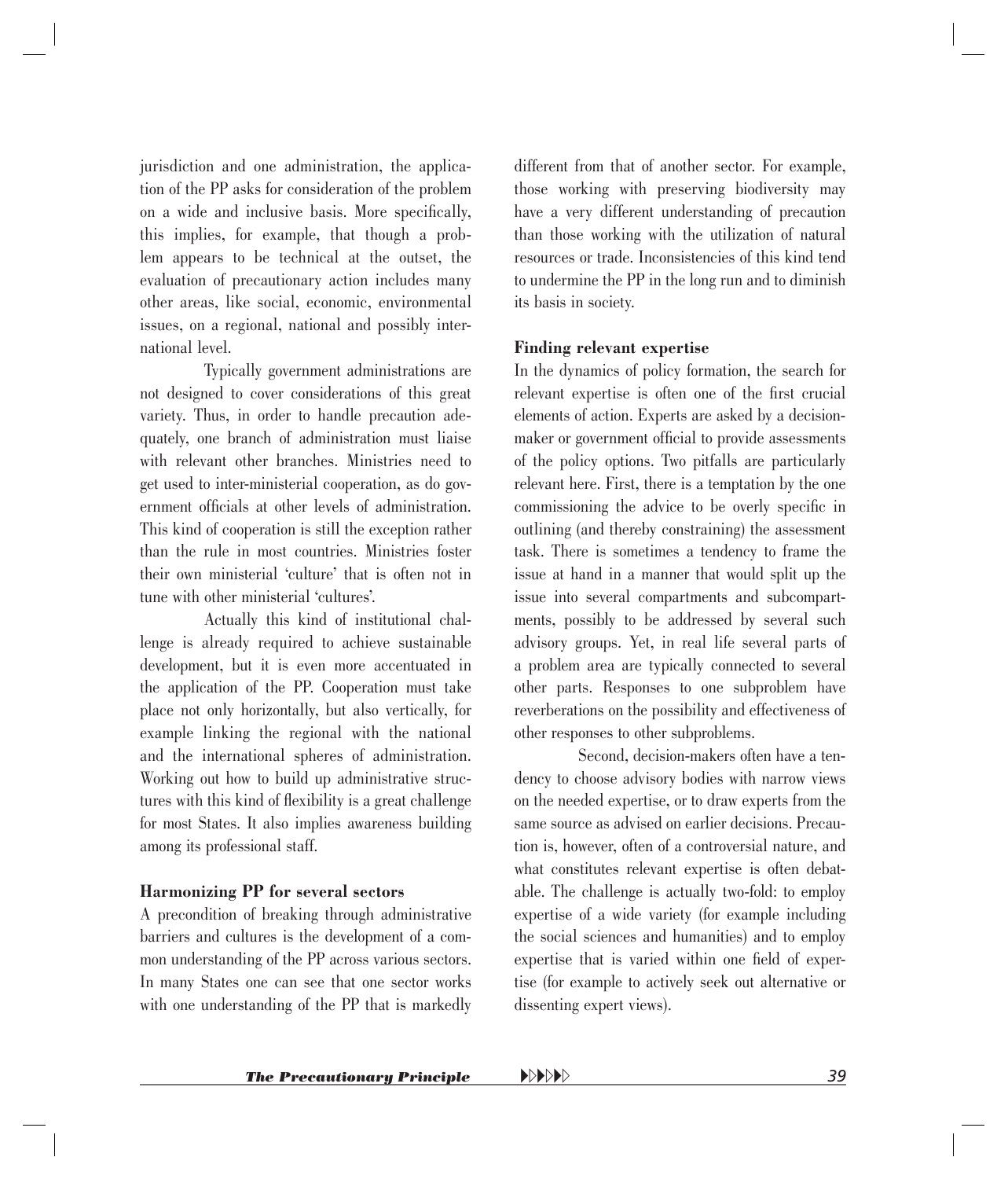jurisdiction and one administration, the application of the PP asks for consideration of the problem on a wide and inclusive basis. More specifically, this implies, for example, that though a problem appears to be technical at the outset, the evaluation of precautionary action includes many other areas, like social, economic, environmental issues, on a regional, national and possibly international level.

Typically government administrations are not designed to cover considerations of this great variety. Thus, in order to handle precaution adequately, one branch of administration must liaise with relevant other branches. Ministries need to get used to inter-ministerial cooperation, as do government officials at other levels of administration. This kind of cooperation is still the exception rather than the rule in most countries. Ministries foster their own ministerial 'culture' that is often not in tune with other ministerial 'cultures'.

Actually this kind of institutional challenge is already required to achieve sustainable development, but it is even more accentuated in the application of the PP. Cooperation must take place not only horizontally, but also vertically, for example linking the regional with the national and the international spheres of administration. Working out how to build up administrative structures with this kind of flexibility is a great challenge for most States. It also implies awareness building among its professional staff.

#### **Harmonizing PP for several sectors**

A precondition of breaking through administrative barriers and cultures is the development of a common understanding of the PP across various sectors. In many States one can see that one sector works with one understanding of the PP that is markedly different from that of another sector. For example, those working with preserving biodiversity may have a very different understanding of precaution than those working with the utilization of natural resources or trade. Inconsistencies of this kind tend to undermine the PP in the long run and to diminish its basis in society.

#### **Finding relevant expertise**

In the dynamics of policy formation, the search for relevant expertise is often one of the first crucial elements of action. Experts are asked by a decisionmaker or government official to provide assessments of the policy options. Two pitfalls are particularly relevant here. First, there is a temptation by the one commissioning the advice to be overly specific in outlining (and thereby constraining) the assessment task. There is sometimes a tendency to frame the issue at hand in a manner that would split up the issue into several compartments and subcompartments, possibly to be addressed by several such advisory groups. Yet, in real life several parts of a problem area are typically connected to several other parts. Responses to one subproblem have reverberations on the possibility and effectiveness of other responses to other subproblems.

Second, decision-makers often have a tendency to choose advisory bodies with narrow views on the needed expertise, or to draw experts from the same source as advised on earlier decisions. Precaution is, however, often of a controversial nature, and what constitutes relevant expertise is often debatable. The challenge is actually two-fold: to employ expertise of a wide variety (for example including the social sciences and humanities) and to employ expertise that is varied within one field of expertise (for example to actively seek out alternative or dissenting expert views).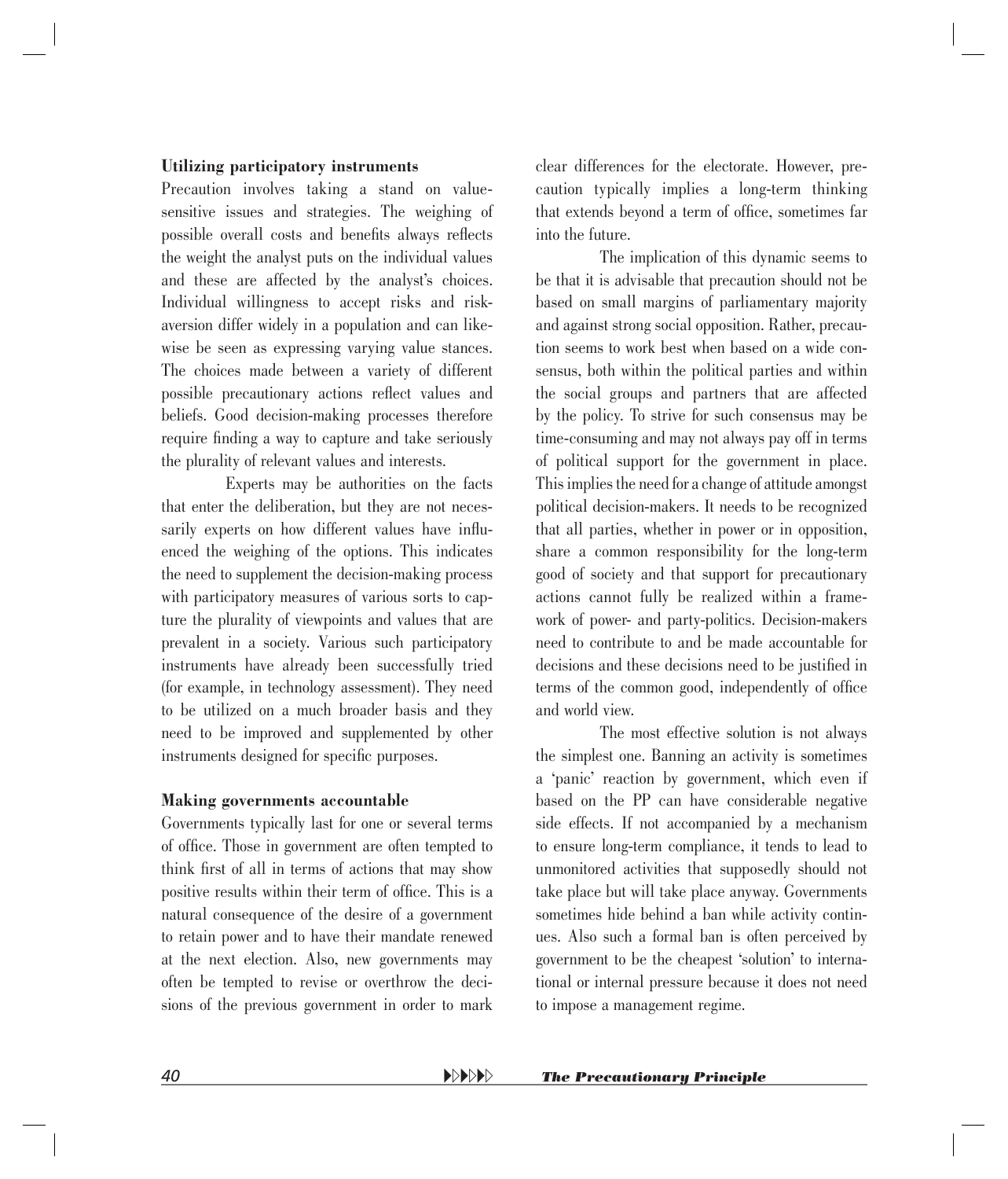#### **Utilizing participatory instruments**

Precaution involves taking a stand on valuesensitive issues and strategies. The weighing of possible overall costs and benefits always reflects the weight the analyst puts on the individual values and these are affected by the analyst's choices. Individual willingness to accept risks and riskaversion differ widely in a population and can likewise be seen as expressing varying value stances. The choices made between a variety of different possible precautionary actions reflect values and beliefs. Good decision-making processes therefore require finding a way to capture and take seriously the plurality of relevant values and interests.

Experts may be authorities on the facts that enter the deliberation, but they are not necessarily experts on how different values have influenced the weighing of the options. This indicates the need to supplement the decision-making process with participatory measures of various sorts to capture the plurality of viewpoints and values that are prevalent in a society. Various such participatory instruments have already been successfully tried (for example, in technology assessment). They need to be utilized on a much broader basis and they need to be improved and supplemented by other instruments designed for specific purposes.

#### **Making governments accountable**

Governments typically last for one or several terms of office. Those in government are often tempted to think first of all in terms of actions that may show positive results within their term of office. This is a natural consequence of the desire of a government to retain power and to have their mandate renewed at the next election. Also, new governments may often be tempted to revise or overthrow the decisions of the previous government in order to mark clear differences for the electorate. However, precaution typically implies a long-term thinking that extends beyond a term of office, sometimes far into the future.

The implication of this dynamic seems to be that it is advisable that precaution should not be based on small margins of parliamentary majority and against strong social opposition. Rather, precaution seems to work best when based on a wide consensus, both within the political parties and within the social groups and partners that are affected by the policy. To strive for such consensus may be time-consuming and may not always pay off in terms of political support for the government in place. This implies the need for a change of attitude amongst political decision-makers. It needs to be recognized that all parties, whether in power or in opposition, share a common responsibility for the long-term good of society and that support for precautionary actions cannot fully be realized within a framework of power- and party-politics. Decision-makers need to contribute to and be made accountable for decisions and these decisions need to be justified in terms of the common good, independently of office and world view.

The most effective solution is not always the simplest one. Banning an activity is sometimes a 'panic' reaction by government, which even if based on the PP can have considerable negative side effects. If not accompanied by a mechanism to ensure long-term compliance, it tends to lead to unmonitored activities that supposedly should not take place but will take place anyway. Governments sometimes hide behind a ban while activity continues. Also such a formal ban is often perceived by government to be the cheapest 'solution' to international or internal pressure because it does not need to impose a management regime.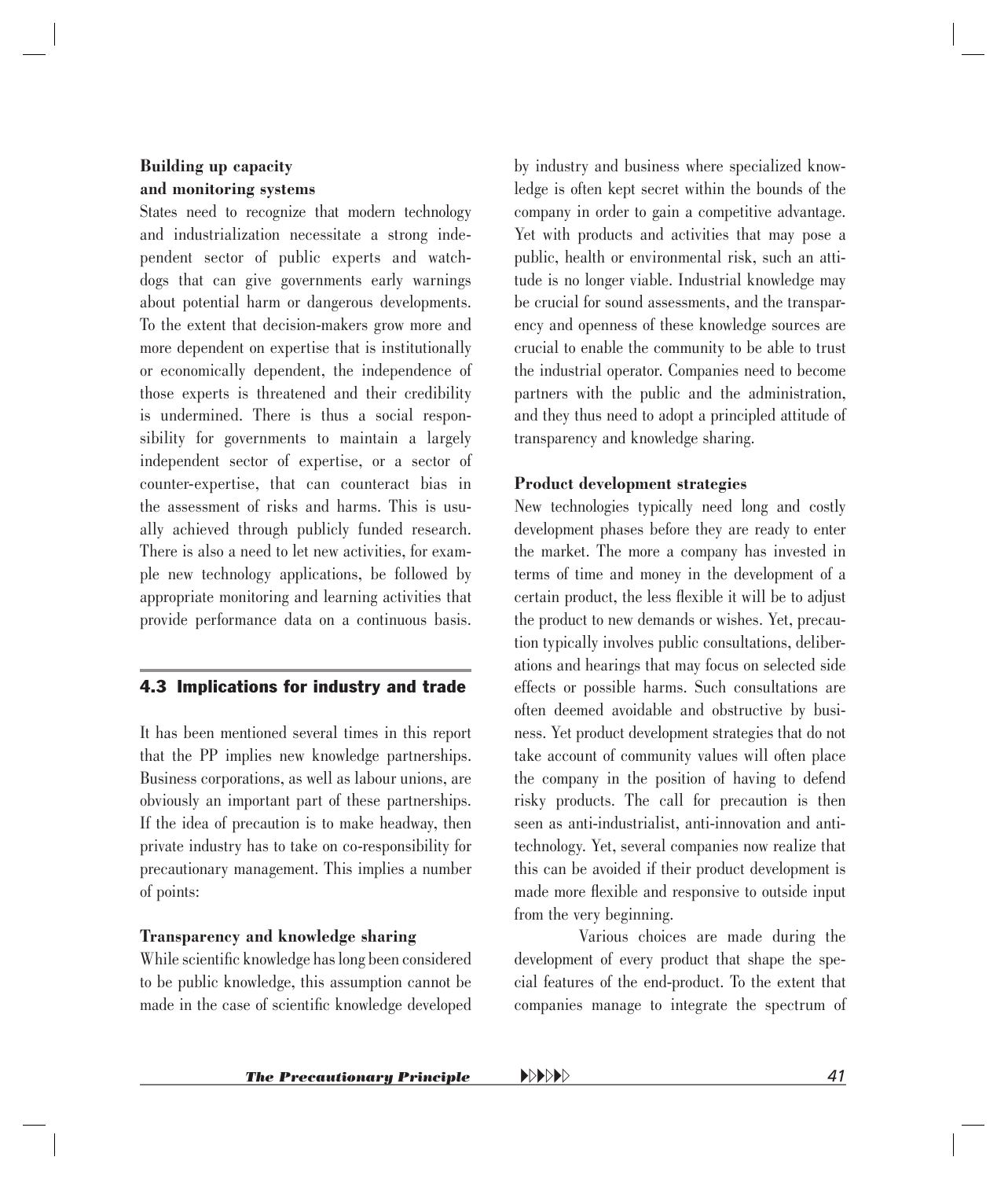#### <span id="page-38-0"></span>**Building up capacity and monitoring systems**

States need to recognize that modern technology and industrialization necessitate a strong independent sector of public experts and watchdogs that can give governments early warnings about potential harm or dangerous developments. To the extent that decision-makers grow more and more dependent on expertise that is institutionally or economically dependent, the independence of those experts is threatened and their credibility is undermined. There is thus a social responsibility for governments to maintain a largely independent sector of expertise, or a sector of counter-expertise, that can counteract bias in the assessment of risks and harms. This is usually achieved through publicly funded research. There is also a need to let new activities, for example new technology applications, be followed by appropriate monitoring and learning activities that provide performance data on a continuous basis.

#### 4.3 Implications for industry and trade

It has been mentioned several times in this report that the PP implies new knowledge partnerships. Business corporations, as well as labour unions, are obviously an important part of these partnerships. If the idea of precaution is to make headway, then private industry has to take on co-responsibility for precautionary management. This implies a number of points:

#### **Transparency and knowledge sharing**

While scientific knowledge has long been considered to be public knowledge, this assumption cannot be made in the case of scientific knowledge developed by industry and business where specialized knowledge is often kept secret within the bounds of the company in order to gain a competitive advantage. Yet with products and activities that may pose a public, health or environmental risk, such an attitude is no longer viable. Industrial knowledge may be crucial for sound assessments, and the transparency and openness of these knowledge sources are crucial to enable the community to be able to trust the industrial operator. Companies need to become partners with the public and the administration, and they thus need to adopt a principled attitude of transparency and knowledge sharing.

#### **Product development strategies**

New technologies typically need long and costly development phases before they are ready to enter the market. The more a company has invested in terms of time and money in the development of a certain product, the less flexible it will be to adjust the product to new demands or wishes. Yet, precaution typically involves public consultations, deliberations and hearings that may focus on selected side effects or possible harms. Such consultations are often deemed avoidable and obstructive by business. Yet product development strategies that do not take account of community values will often place the company in the position of having to defend risky products. The call for precaution is then seen as anti-industrialist, anti-innovation and antitechnology. Yet, several companies now realize that this can be avoided if their product development is made more flexible and responsive to outside input from the very beginning.

Various choices are made during the development of every product that shape the special features of the end-product. To the extent that companies manage to integrate the spectrum of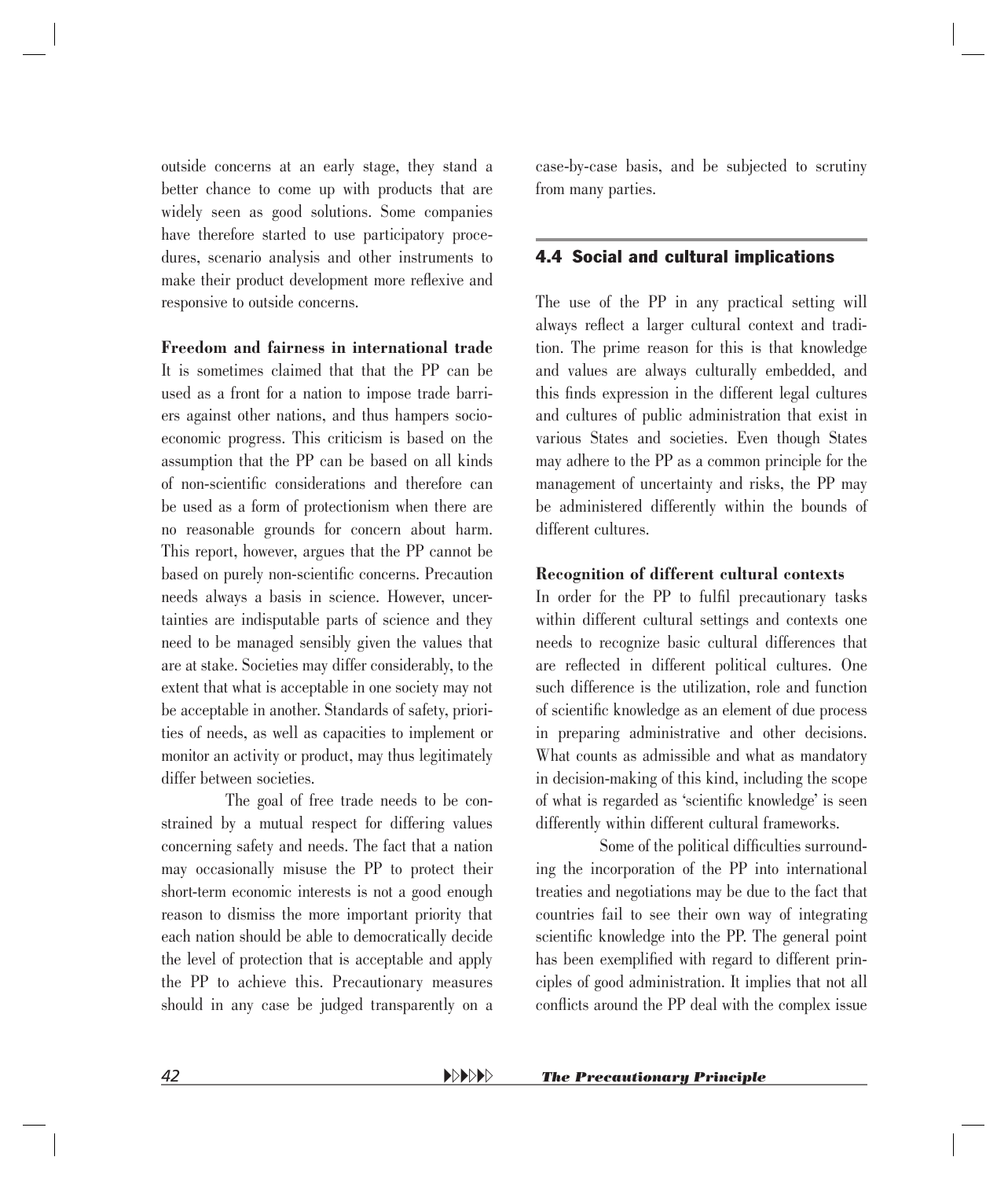<span id="page-39-0"></span>outside concerns at an early stage, they stand a better chance to come up with products that are widely seen as good solutions. Some companies have therefore started to use participatory procedures, scenario analysis and other instruments to make their product development more reflexive and responsive to outside concerns.

**Freedom and fairness in international trade**

It is sometimes claimed that that the PP can be used as a front for a nation to impose trade barriers against other nations, and thus hampers socioeconomic progress. This criticism is based on the assumption that the PP can be based on all kinds of non-scientific considerations and therefore can be used as a form of protectionism when there are no reasonable grounds for concern about harm. This report, however, argues that the PP cannot be based on purely non-scientific concerns. Precaution needs always a basis in science. However, uncertainties are indisputable parts of science and they need to be managed sensibly given the values that are at stake. Societies may differ considerably, to the extent that what is acceptable in one society may not be acceptable in another. Standards of safety, priorities of needs, as well as capacities to implement or monitor an activity or product, may thus legitimately differ between societies.

The goal of free trade needs to be constrained by a mutual respect for differing values concerning safety and needs. The fact that a nation may occasionally misuse the PP to protect their short-term economic interests is not a good enough reason to dismiss the more important priority that each nation should be able to democratically decide the level of protection that is acceptable and apply the PP to achieve this. Precautionary measures should in any case be judged transparently on a case-by-case basis, and be subjected to scrutiny from many parties.

#### 4.4 Social and cultural implications

The use of the PP in any practical setting will always reflect a larger cultural context and tradition. The prime reason for this is that knowledge and values are always culturally embedded, and this finds expression in the different legal cultures and cultures of public administration that exist in various States and societies. Even though States may adhere to the PP as a common principle for the management of uncertainty and risks, the PP may be administered differently within the bounds of different cultures.

#### **Recognition of different cultural contexts**

In order for the PP to fulfil precautionary tasks within different cultural settings and contexts one needs to recognize basic cultural differences that are reflected in different political cultures. One such difference is the utilization, role and function of scientific knowledge as an element of due process in preparing administrative and other decisions. What counts as admissible and what as mandatory in decision-making of this kind, including the scope of what is regarded as 'scientific knowledge' is seen differently within different cultural frameworks.

Some of the political difficulties surrounding the incorporation of the PP into international treaties and negotiations may be due to the fact that countries fail to see their own way of integrating scientific knowledge into the PP. The general point has been exemplified with regard to different principles of good administration. It implies that not all conflicts around the PP deal with the complex issue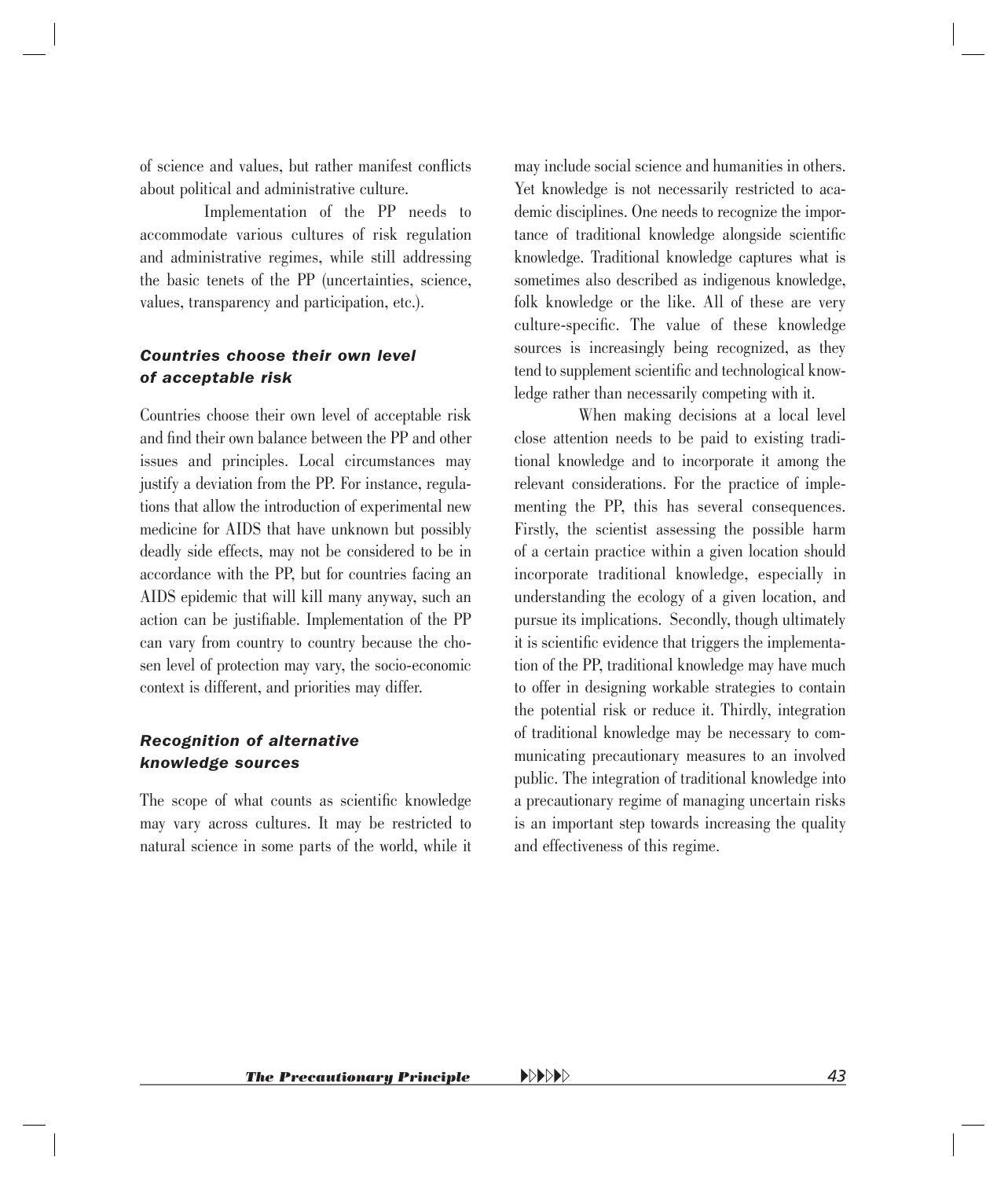of science and values, but rather manifest conflicts about political and administrative culture.

Implementation of the PP needs to accommodate various cultures of risk regulation and administrative regimes, while still addressing the basic tenets of the PP (uncertainties, science, values, transparency and participation, etc.).

#### *Countries choose their own level of acceptable risk*

Countries choose their own level of acceptable risk and find their own balance between the PP and other issues and principles. Local circumstances may justify a deviation from the PP. For instance, regulations that allow the introduction of experimental new medicine for AIDS that have unknown but possibly deadly side effects, may not be considered to be in accordance with the PP, but for countries facing an AIDS epidemic that will kill many anyway, such an action can be justifiable. Implementation of the PP can vary from country to country because the chosen level of protection may vary, the socio-economic context is different, and priorities may differ.

#### *Recognition of alternative knowledge sources*

The scope of what counts as scientific knowledge may vary across cultures. It may be restricted to natural science in some parts of the world, while it

may include social science and humanities in others. Yet knowledge is not necessarily restricted to academic disciplines. One needs to recognize the importance of traditional knowledge alongside scientific knowledge. Traditional knowledge captures what is sometimes also described as indigenous knowledge, folk knowledge or the like. All of these are very culture-specific. The value of these knowledge sources is increasingly being recognized, as they tend to supplement scientific and technological knowledge rather than necessarily competing with it.

When making decisions at a local level close attention needs to be paid to existing traditional knowledge and to incorporate it among the relevant considerations. For the practice of implementing the PP, this has several consequences. Firstly, the scientist assessing the possible harm of a certain practice within a given location should incorporate traditional knowledge, especially in understanding the ecology of a given location, and pursue its implications. Secondly, though ultimately it is scientific evidence that triggers the implementation of the PP, traditional knowledge may have much to offer in designing workable strategies to contain the potential risk or reduce it. Thirdly, integration of traditional knowledge may be necessary to communicating precautionary measures to an involved public. The integration of traditional knowledge into a precautionary regime of managing uncertain risks is an important step towards increasing the quality and effectiveness of this regime.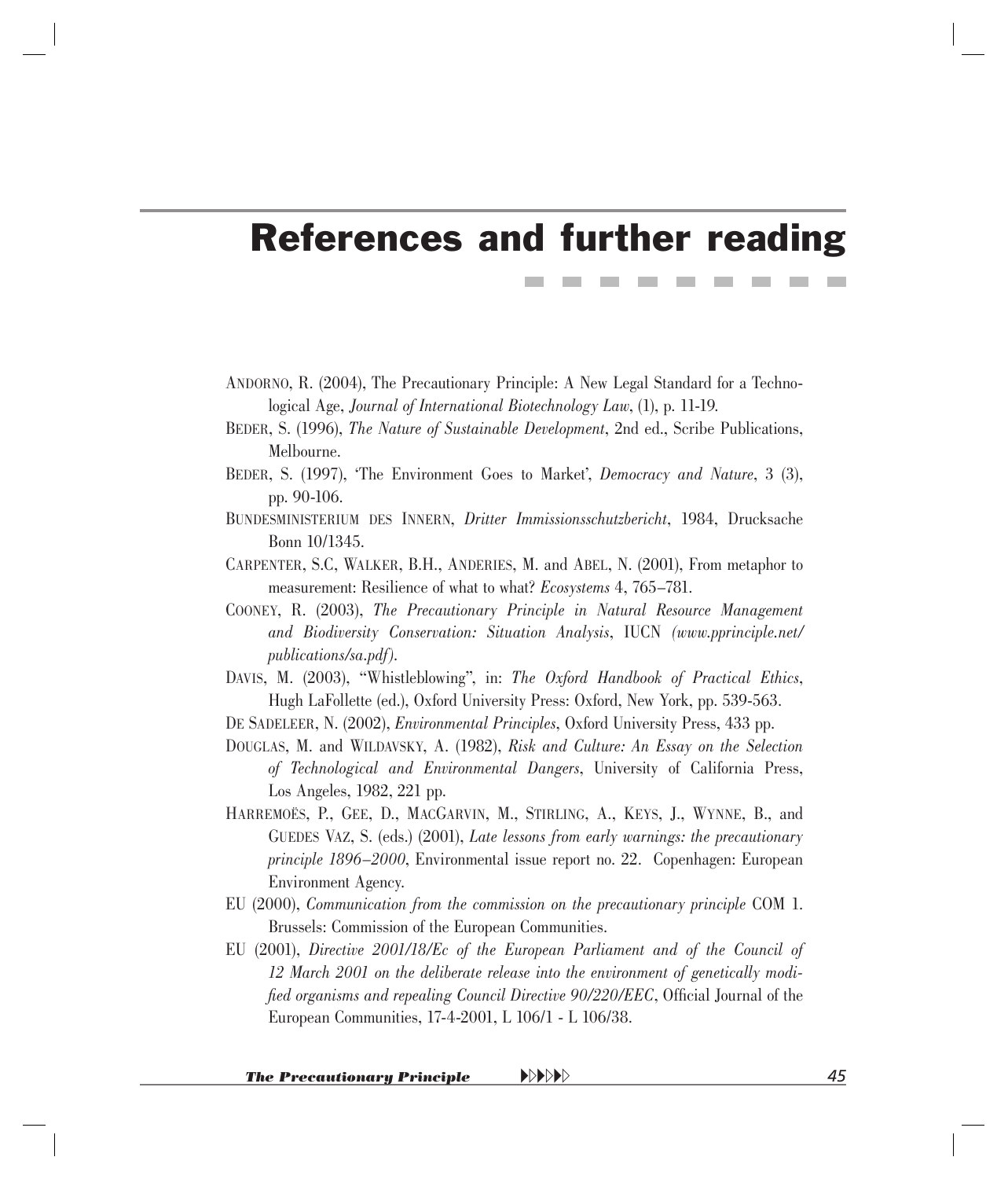## <span id="page-41-0"></span>References and further reading

- ANDORNO, R. (2004), The Precautionary Principle: A New Legal Standard for a Technological Age, *Journal of International Biotechnology Law*, (1), p. 11-19.
- BEDER, S. (1996), *The Nature of Sustainable Development*, 2nd ed., Scribe Publications, Melbourne.
- BEDER, S. (1997), 'The Environment Goes to Market', *Democracy and Nature*, 3 (3), pp. 90-106.
- BUNDESMINISTERIUM DES INNERN, *Dritter Immissionsschutzbericht*, 1984, Drucksache Bonn 10/1345.
- CARPENTER, S.C, WALKER, B.H., ANDERIES, M. and ABEL, N. (2001), From metaphor to measurement: Resilience of what to what? *Ecosystems* 4, 765–781.
- COONEY, R. (2003), *The Precautionary Principle in Natural Resource Management and Biodiversity Conservation: Situation Analysis*, IUCN *([www.pprinciple.net/](http://www.pprinciple.net/publications/sa.pdf)  [publications/sa.pdf\).](http://www.pprinciple.net/publications/sa.pdf)*
- DAVIS, M. (2003), "Whistleblowing", in: *The Oxford Handbook of Practical Ethics*, Hugh LaFollette (ed.), Oxford University Press: Oxford, New York, pp. 539-563.
- DE SADELEER, N. (2002), *Environmental Principles*, Oxford University Press, 433 pp.
- DOUGLAS, M. and WILDAVSKY, A. (1982), *Risk and Culture: An Essay on the Selection of Technological and Environmental Dangers*, University of California Press, Los Angeles, 1982, 221 pp.
- HARREMOËS, P., GEE, D., MACGARVIN, M., STIRLING, A., KEYS, J., WYNNE, B., and GUEDES VAZ, S. (eds.) (2001), *Late lessons from early warnings: the precautionary principle 1896–2000*, Environmental issue report no. 22. Copenhagen: European Environment Agency.
- EU (2000), *Communication from the commission on the precautionary principle* COM 1. Brussels: Commission of the European Communities.
- EU (2001), *Directive 2001/18/Ec of the European Parliament and of the Council of 12 March 2001 on the deliberate release into the environment of genetically modified organisms and repealing Council Directive 90/220/EEC*, Official Journal of the European Communities, 17-4-2001, L 106/1 - L 106/38.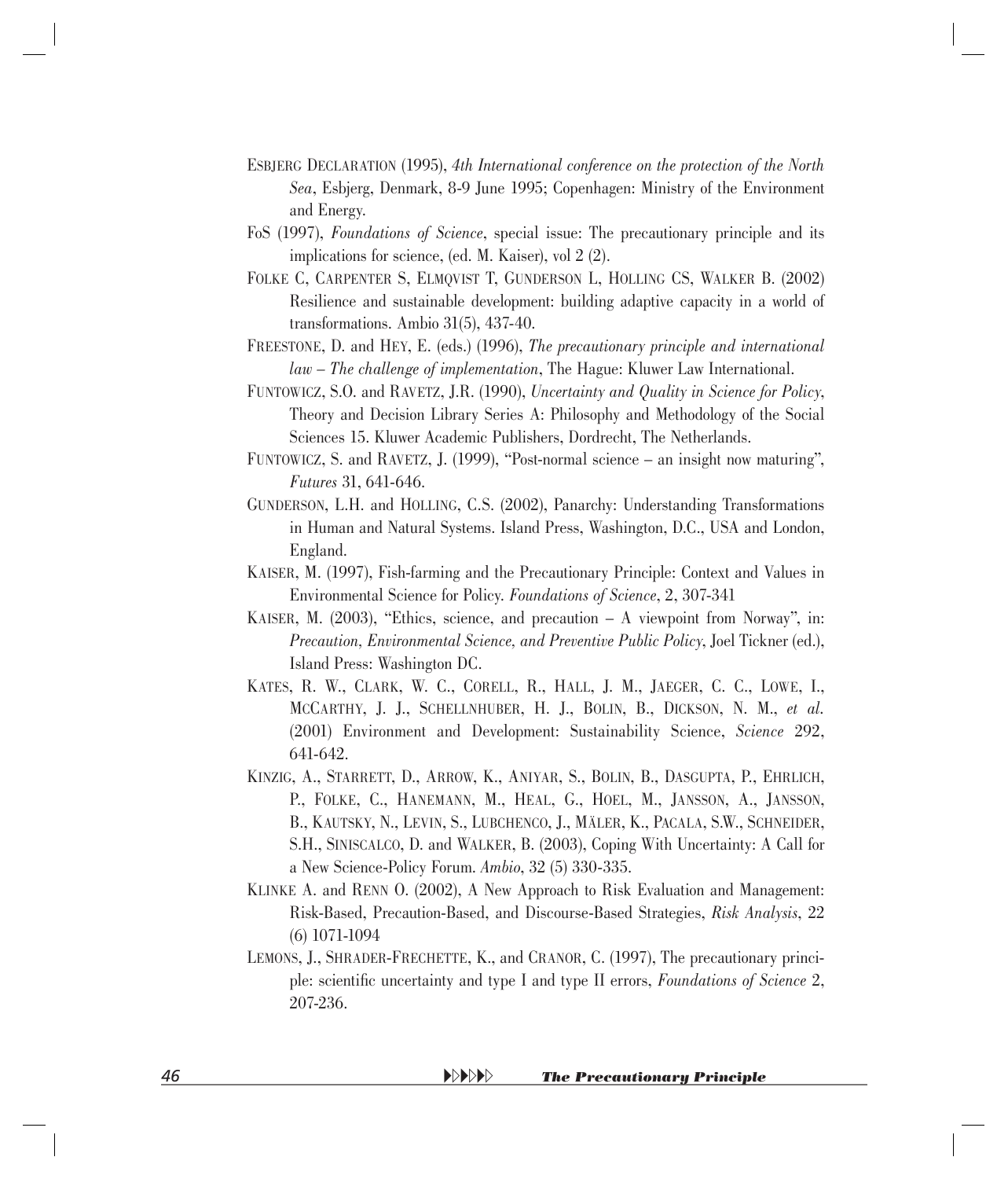- ESBJERG DECLARATION (1995), *4th International conference on the protection of the North Sea*, Esbjerg, Denmark, 8-9 June 1995; Copenhagen: Ministry of the Environment and Energy.
- FoS (1997), *Foundations of Science*, special issue: The precautionary principle and its implications for science, (ed. M. Kaiser), vol 2 (2).
- FOLKE C, CARPENTER S, ELMQVIST T, GUNDERSON L, HOLLING CS, WALKER B. (2002) Resilience and sustainable development: building adaptive capacity in a world of transformations. Ambio 31(5), 437-40.
- FREESTONE, D. and HEY, E. (eds.) (1996), *The precautionary principle and international law – The challenge of implementation*, The Hague: Kluwer Law International.
- FUNTOWICZ, S.O. and RAVETZ, J.R. (1990), *Uncertainty and Quality in Science for Policy*, Theory and Decision Library Series A: Philosophy and Methodology of the Social Sciences 15. Kluwer Academic Publishers, Dordrecht, The Netherlands.
- FUNTOWICZ, S. and RAVETZ, J. (1999), "Post-normal science an insight now maturing", *Futures* 31, 641-646.
- GUNDERSON, L.H. and HOLLING, C.S. (2002), Panarchy: Understanding Transformations in Human and Natural Systems. Island Press, Washington, D.C., USA and London, England.
- KAISER, M. (1997), Fish-farming and the Precautionary Principle: Context and Values in Environmental Science for Policy. *Foundations of Science*, 2, 307-341
- KAISER, M. (2003), "Ethics, science, and precaution A viewpoint from Norway", in: *Precaution, Environmental Science, and Preventive Public Policy*, Joel Tickner (ed.), Island Press: Washington DC.
- KATES, R. W., CLARK, W. C., CORELL, R., HALL, J. M., JAEGER, C. C., LOWE, I., MCCARTHY, J. J., SCHELLNHUBER, H. J., BOLIN, B., DICKSON, N. M., *et al.* (2001) Environment and Development: Sustainability Science, *Science* 292, 641-642.
- KINZIG, A., STARRETT, D., ARROW, K., ANIYAR, S., BOLIN, B., DASGUPTA, P., EHRLICH, P., FOLKE, C., HANEMANN, M., HEAL, G., HOEL, M., JANSSON, A., JANSSON, B., KAUTSKY, N., LEVIN, S., LUBCHENCO, J., MÄLER, K., PACALA, S.W., SCHNEIDER, S.H., SINISCALCO, D. and WALKER, B. (2003), Coping With Uncertainty: A Call for a New Science-Policy Forum. *Ambio*, 32 (5) 330-335.
- KLINKE A. and RENN O. (2002), A New Approach to Risk Evaluation and Management: Risk-Based, Precaution-Based, and Discourse-Based Strategies, *Risk Analysis*, 22 (6) 1071-1094
- LEMONS, J., SHRADER-FRECHETTE, K., and CRANOR, C. (1997), The precautionary principle: scientific uncertainty and type I and type II errors, *Foundations of Science* 2, 207-236.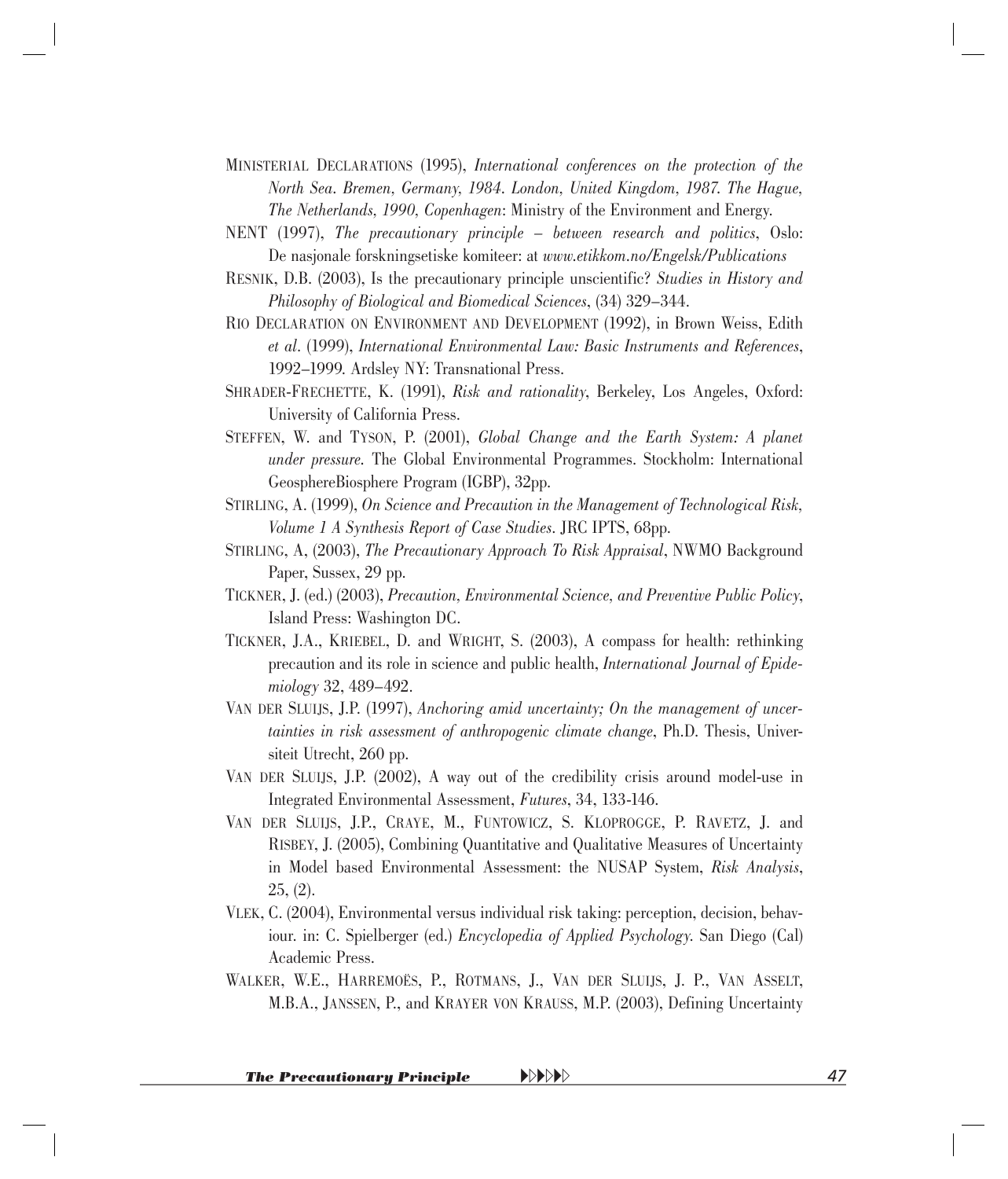- MINISTERIAL DECLARATIONS (1995), *International conferences on the protection of the North Sea. Bremen, Germany, 1984. London, United Kingdom, 1987. The Hague, The Netherlands, 1990, Copenhagen*: Ministry of the Environment and Energy.
- NENT (1997), *The precautionary principle between research and politics*, Oslo: De nasjonale forskningsetiske komiteer: at *[www.etikkom.no/Engelsk/Publications](http://www.etikkom.no/Engelsk/Publications)*
- RESNIK, D.B. (2003), Is the precautionary principle unscientific? *Studies in History and Philosophy of Biological and Biomedical Sciences*, (34) 329–344.
- RIO DECLARATION ON ENVIRONMENT AND DEVELOPMENT (1992), in Brown Weiss, Edith *et al*. (1999), *International Environmental Law: Basic Instruments and References*, 1992–1999. Ardsley NY: Transnational Press.
- SHRADER-FRECHETTE, K. (1991), *Risk and rationality*, Berkeley, Los Angeles, Oxford: University of California Press.
- STEFFEN, W. and TYSON, P. (2001), *Global Change and the Earth System: A planet under pressure.* The Global Environmental Programmes. Stockholm: International GeosphereBiosphere Program (IGBP), 32pp.
- STIRLING, A. (1999), *On Science and Precaution in the Management of Technological Risk, Volume 1 A Synthesis Report of Case Studies*. JRC IPTS, 68pp.
- STIRLING, A, (2003), *The Precautionary Approach To Risk Appraisal*, NWMO Background Paper, Sussex, 29 pp.
- TICKNER, J. (ed.) (2003), *Precaution, Environmental Science, and Preventive Public Policy*, Island Press: Washington DC.
- TICKNER, J.A., KRIEBEL, D. and WRIGHT, S. (2003), A compass for health: rethinking precaution and its role in science and public health, *International Journal of Epidemiology* 32, 489–492.
- VAN DER SLUIJS, J.P. (1997), *Anchoring amid uncertainty; On the management of uncertainties in risk assessment of anthropogenic climate change*, Ph.D. Thesis, Universiteit Utrecht, 260 pp.
- VAN DER SLUIJS, J.P. (2002), A way out of the credibility crisis around model-use in Integrated Environmental Assessment, *Futures*, 34, 133-146.
- VAN DER SLUIJS, J.P., CRAYE, M., FUNTOWICZ, S. KLOPROGGE, P. RAVETZ, J. and RISBEY, J. (2005), Combining Quantitative and Qualitative Measures of Uncertainty in Model based Environmental Assessment: the NUSAP System, *Risk Analysis*, 25, (2).
- VLEK, C. (2004), Environmental versus individual risk taking: perception, decision, behaviour. in: C. Spielberger (ed.) *Encyclopedia of Applied Psychology*. San Diego (Cal) Academic Press.
- WALKER, W.E., HARREMOËS, P., ROTMANS, J., VAN DER SLUIJS, J. P., VAN ASSELT, M.B.A., JANSSEN, P., and KRAYER VON KRAUSS, M.P. (2003), Defining Uncertainty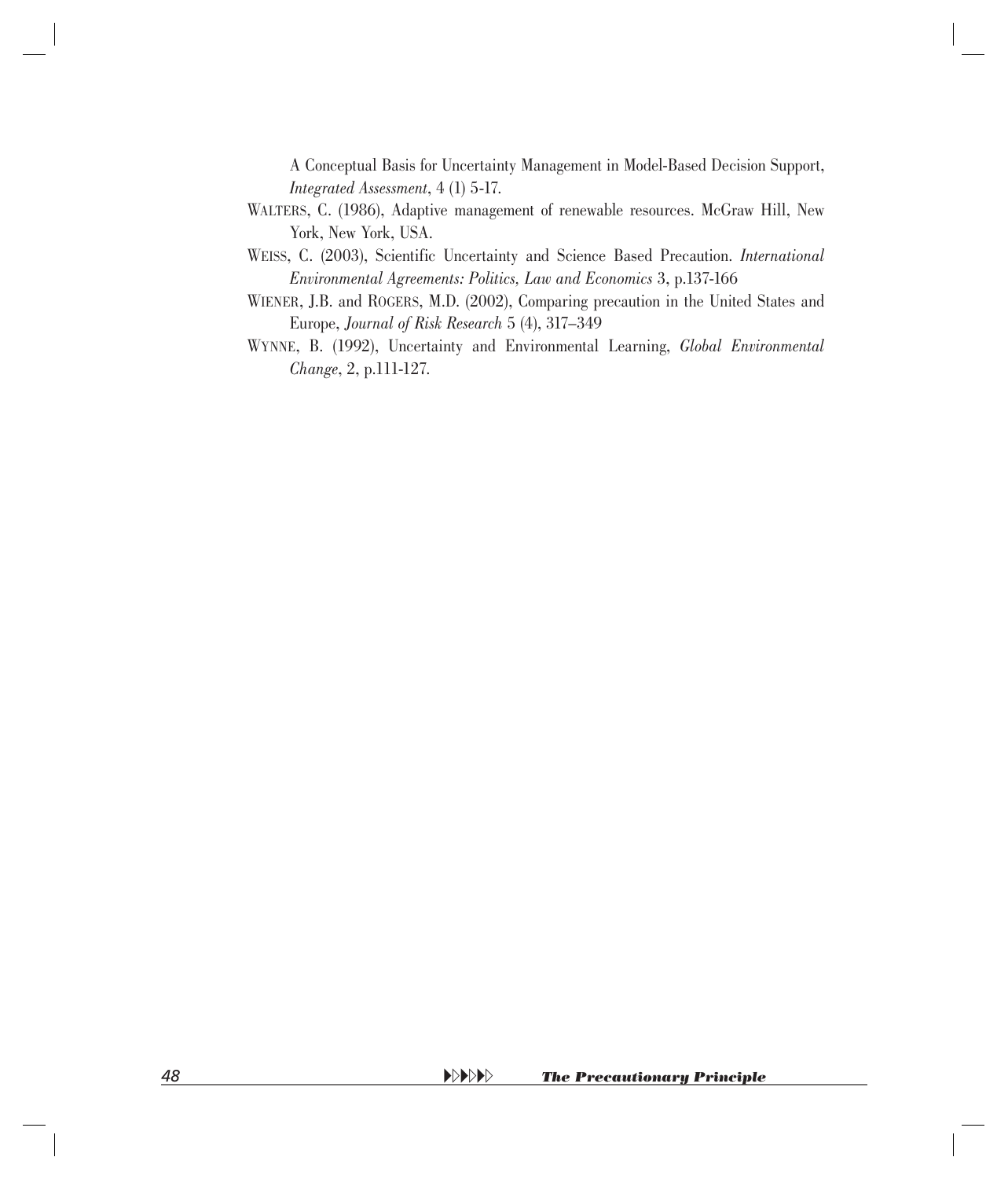A Conceptual Basis for Uncertainty Management in Model-Based Decision Support, *Integrated Assessment*, 4 (1) 5-17.

- WALTERS, C. (1986), Adaptive management of renewable resources. McGraw Hill, New York, New York, USA.
- WEISS, C. (2003), Scientific Uncertainty and Science Based Precaution. *International Environmental Agreements: Politics, Law and Economics* 3, p.137-166
- WIENER, J.B. and ROGERS, M.D. (2002), Comparing precaution in the United States and Europe, *Journal of Risk Research* 5 (4), 317–349
- WYNNE, B. (1992), Uncertainty and Environmental Learning, *Global Environmental Change*, 2, p.111-127.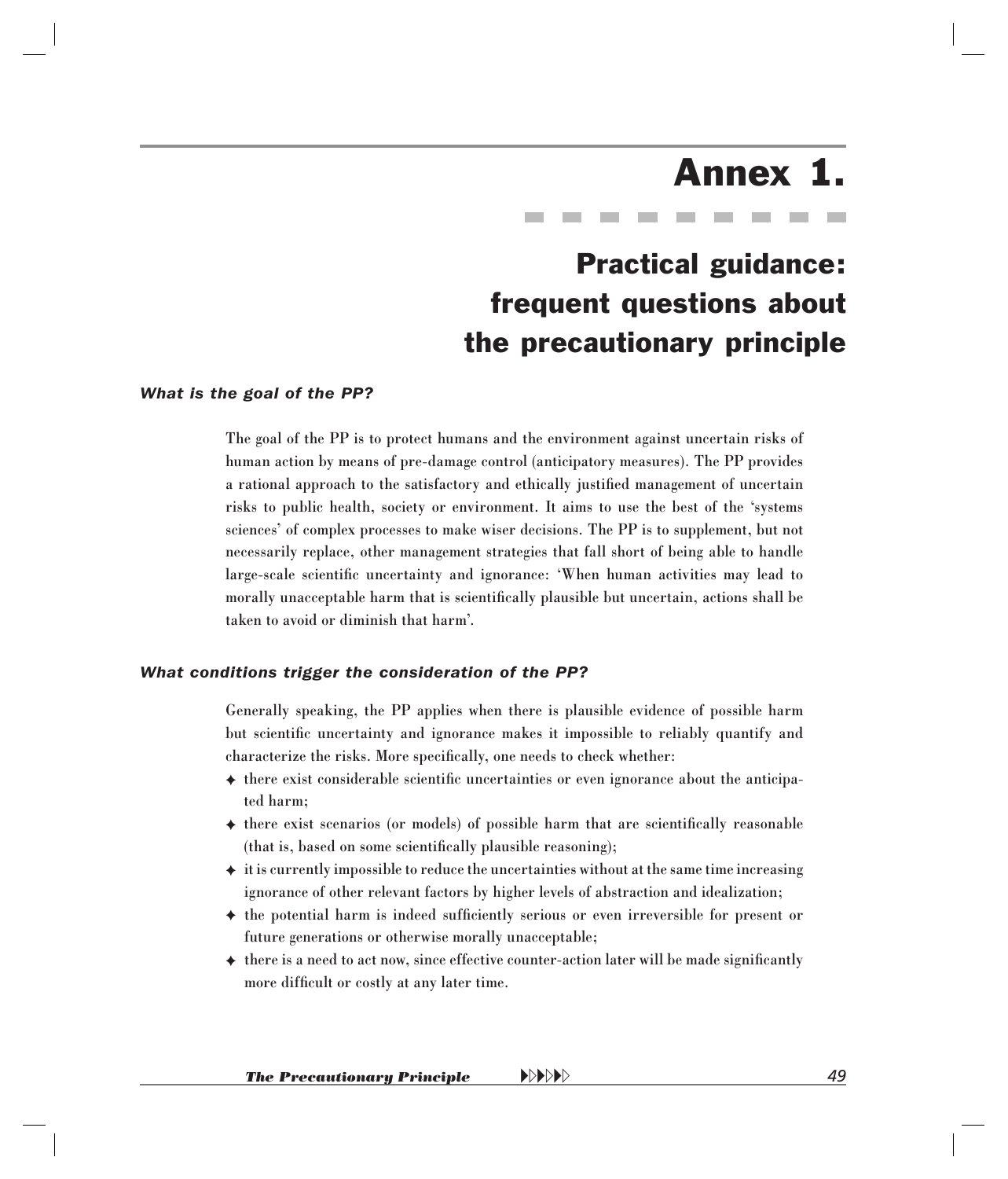## Annex 1.

### Practical guidance: frequent questions about the precautionary principle

#### <span id="page-45-0"></span>*What is the goal of the PP?*

The goal of the PP is to protect humans and the environment against uncertain risks of human action by means of pre-damage control (anticipatory measures). The PP provides a rational approach to the satisfactory and ethically justified management of uncertain risks to public health, society or environment. It aims to use the best of the 'systems sciences' of complex processes to make wiser decisions. The PP is to supplement, but not necessarily replace, other management strategies that fall short of being able to handle large-scale scientific uncertainty and ignorance: 'When human activities may lead to morally unacceptable harm that is scientifically plausible but uncertain, actions shall be taken to avoid or diminish that harm'.

#### *What conditions trigger the consideration of the PP?*

Generally speaking, the PP applies when there is plausible evidence of possible harm but scientific uncertainty and ignorance makes it impossible to reliably quantify and characterize the risks. More specifically, one needs to check whether:

- $\triangleq$  there exist considerable scientific uncertainties or even ignorance about the anticipated harm;
- $\triangleq$  there exist scenarios (or models) of possible harm that are scientifically reasonable (that is, based on some scientifically plausible reasoning);
- ✦ it is currently impossible to reduce the uncertainties without at the same time increasing ignorance of other relevant factors by higher levels of abstraction and idealization;
- $\triangleq$  the potential harm is indeed sufficiently serious or even irreversible for present or future generations or otherwise morally unacceptable;
- $\triangleq$  there is a need to act now, since effective counter-action later will be made significantly more difficult or costly at any later time.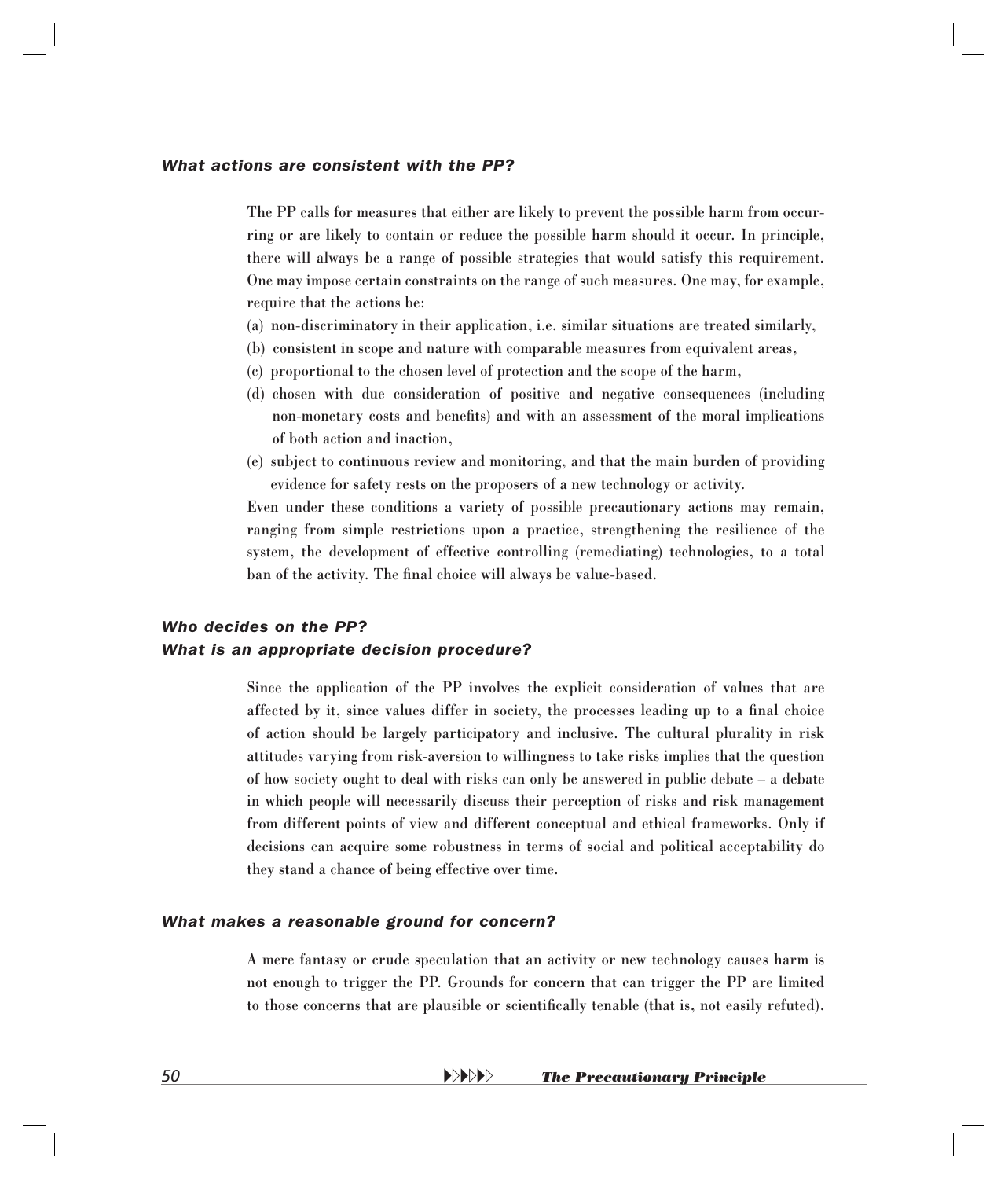#### *What actions are consistent with the PP?*

The PP calls for measures that either are likely to prevent the possible harm from occurring or are likely to contain or reduce the possible harm should it occur. In principle, there will always be a range of possible strategies that would satisfy this requirement. One may impose certain constraints on the range of such measures. One may, for example, require that the actions be:

- (a) non-discriminatory in their application, i.e. similar situations are treated similarly,
- (b) consistent in scope and nature with comparable measures from equivalent areas,
- (c) proportional to the chosen level of protection and the scope of the harm,
- (d) chosen with due consideration of positive and negative consequences (including non-monetary costs and benefits) and with an assessment of the moral implications of both action and inaction,
- (e) subject to continuous review and monitoring, and that the main burden of providing evidence for safety rests on the proposers of a new technology or activity.

Even under these conditions a variety of possible precautionary actions may remain, ranging from simple restrictions upon a practice, strengthening the resilience of the system, the development of effective controlling (remediating) technologies, to a total ban of the activity. The final choice will always be value-based.

#### *Who decides on the PP? What is an appropriate decision procedure?*

Since the application of the PP involves the explicit consideration of values that are affected by it, since values differ in society, the processes leading up to a final choice of action should be largely participatory and inclusive. The cultural plurality in risk attitudes varying from risk-aversion to willingness to take risks implies that the question of how society ought to deal with risks can only be answered in public debate – a debate in which people will necessarily discuss their perception of risks and risk management from different points of view and different conceptual and ethical frameworks. Only if decisions can acquire some robustness in terms of social and political acceptability do they stand a chance of being effective over time.

#### *What makes a reasonable ground for concern?*

A mere fantasy or crude speculation that an activity or new technology causes harm is not enough to trigger the PP. Grounds for concern that can trigger the PP are limited to those concerns that are plausible or scientifically tenable (that is, not easily refuted).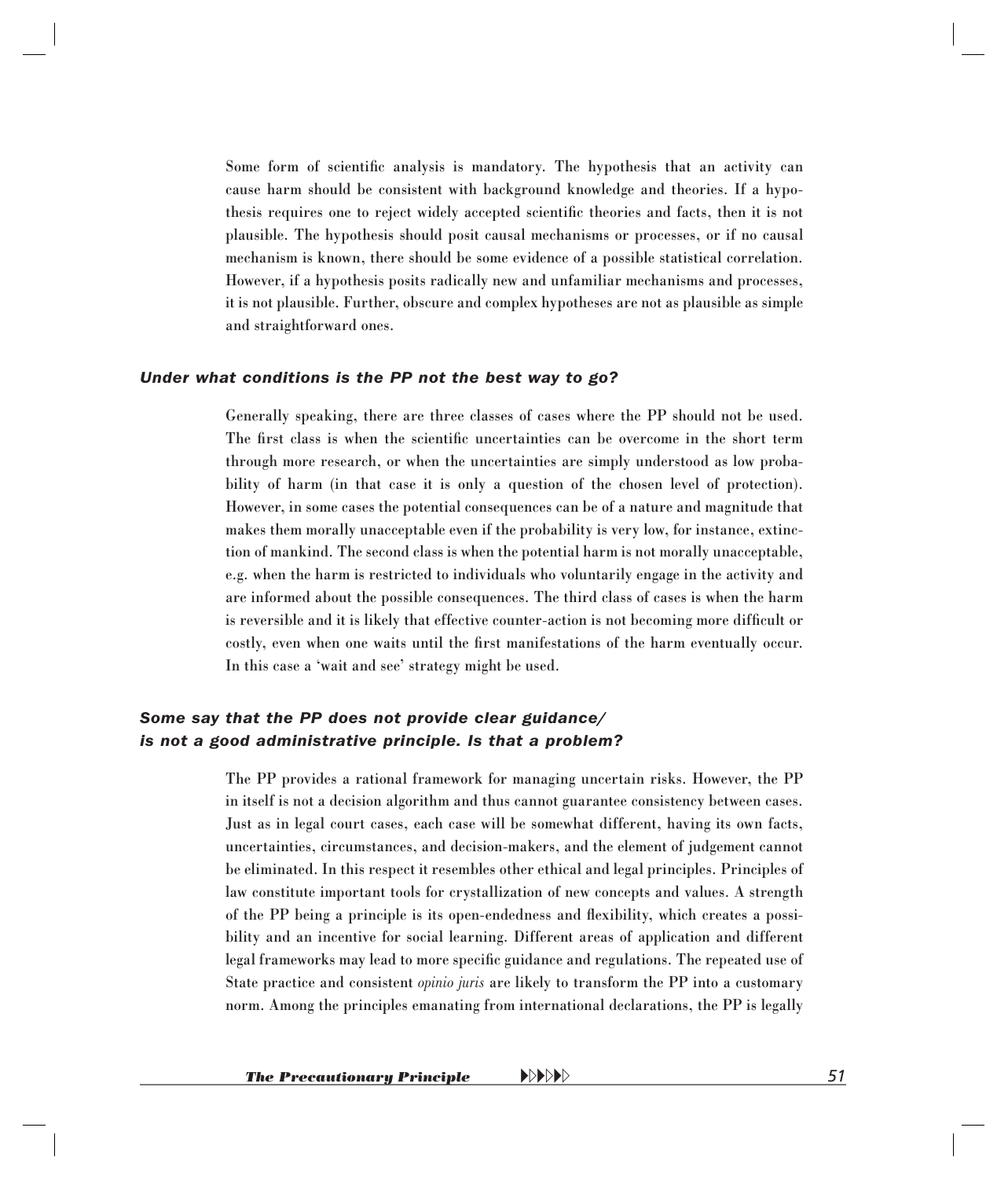Some form of scientific analysis is mandatory. The hypothesis that an activity can cause harm should be consistent with background knowledge and theories. If a hypothesis requires one to reject widely accepted scientific theories and facts, then it is not plausible. The hypothesis should posit causal mechanisms or processes, or if no causal mechanism is known, there should be some evidence of a possible statistical correlation. However, if a hypothesis posits radically new and unfamiliar mechanisms and processes, it is not plausible. Further, obscure and complex hypotheses are not as plausible as simple and straightforward ones.

#### *Under what conditions is the PP not the best way to go?*

Generally speaking, there are three classes of cases where the PP should not be used. The first class is when the scientific uncertainties can be overcome in the short term through more research, or when the uncertainties are simply understood as low probability of harm (in that case it is only a question of the chosen level of protection). However, in some cases the potential consequences can be of a nature and magnitude that makes them morally unacceptable even if the probability is very low, for instance, extinction of mankind. The second class is when the potential harm is not morally unacceptable, e.g. when the harm is restricted to individuals who voluntarily engage in the activity and are informed about the possible consequences. The third class of cases is when the harm is reversible and it is likely that effective counter-action is not becoming more difficult or costly, even when one waits until the first manifestations of the harm eventually occur. In this case a 'wait and see' strategy might be used.

#### *Some say that the PP does not provide clear guidance/ is not a good administrative principle. Is that a problem?*

The PP provides a rational framework for managing uncertain risks. However, the PP in itself is not a decision algorithm and thus cannot guarantee consistency between cases. Just as in legal court cases, each case will be somewhat different, having its own facts, uncertainties, circumstances, and decision-makers, and the element of judgement cannot be eliminated. In this respect it resembles other ethical and legal principles. Principles of law constitute important tools for crystallization of new concepts and values. A strength of the PP being a principle is its open-endedness and flexibility, which creates a possibility and an incentive for social learning. Different areas of application and different legal frameworks may lead to more specific guidance and regulations. The repeated use of State practice and consistent *opinio juris* are likely to transform the PP into a customary norm. Among the principles emanating from international declarations, the PP is legally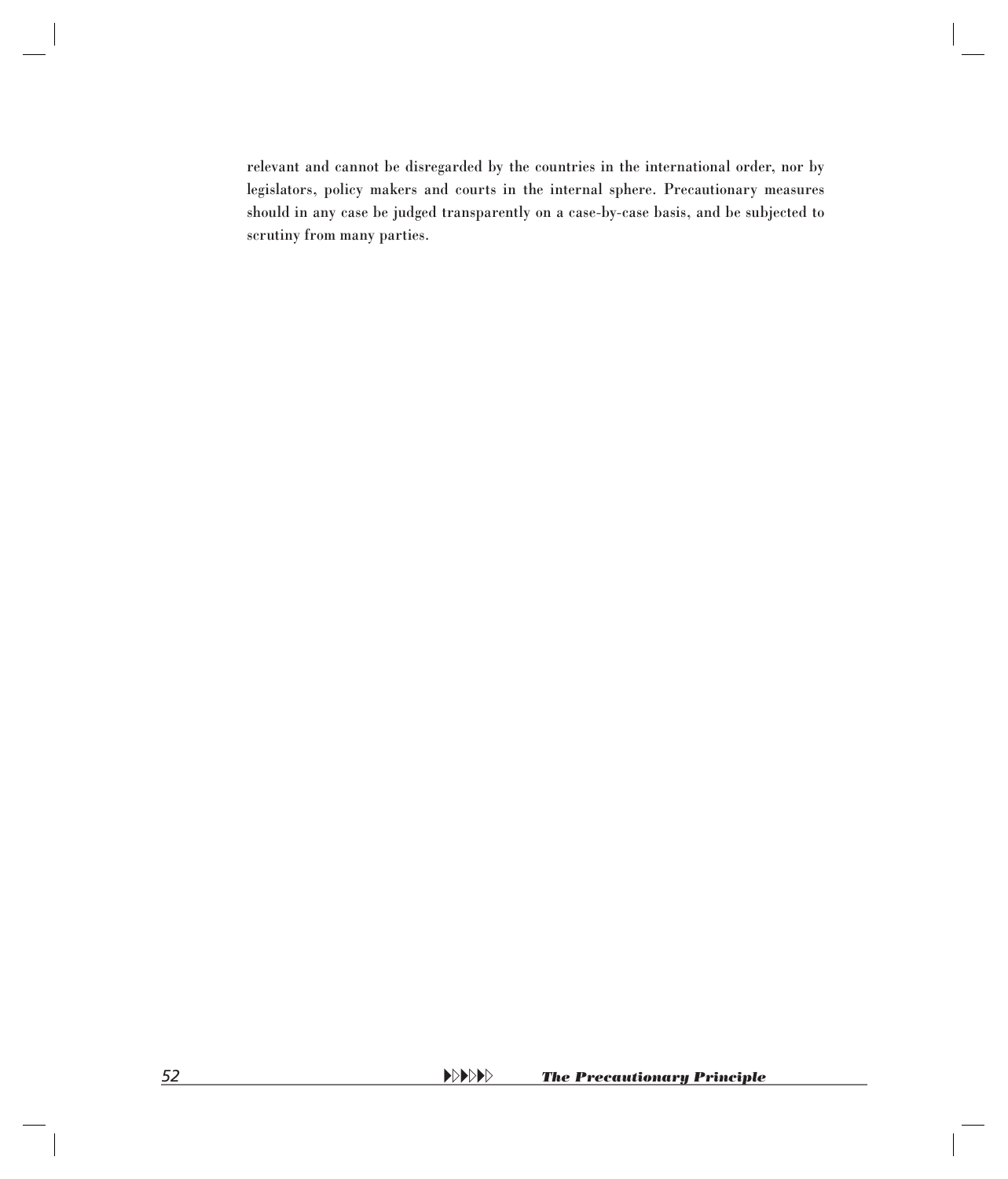relevant and cannot be disregarded by the countries in the international order, nor by legislators, policy makers and courts in the internal sphere. Precautionary measures should in any case be judged transparently on a case-by-case basis, and be subjected to scrutiny from many parties.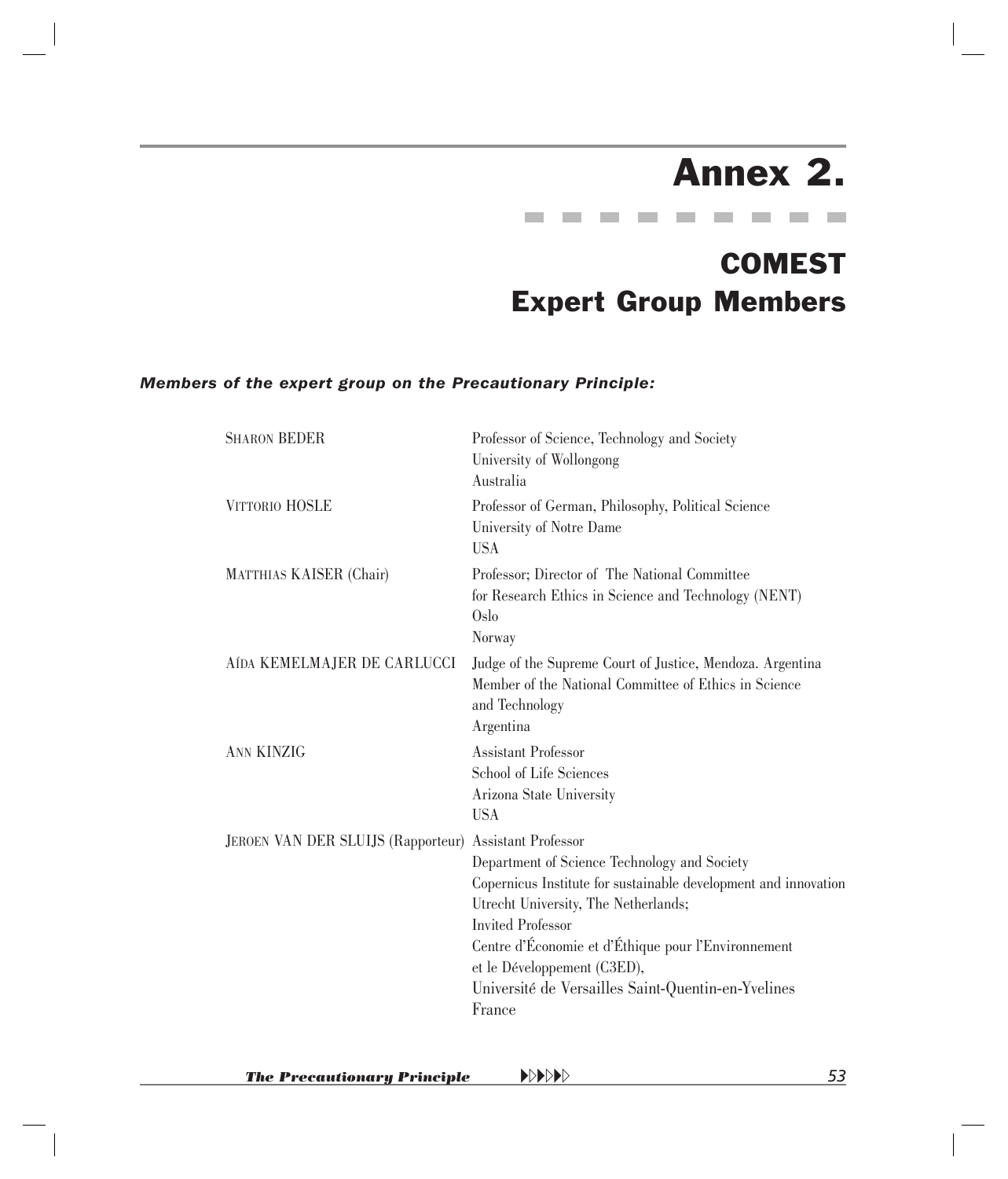## Annex 2.

**Contract College Contract Contract Contract Contract Contract Contract** 

### COMEST Expert Group Members

#### <span id="page-49-0"></span>*Members of the expert group on the Precautionary Principle:*

| <b>SHARON BEDER</b>                                    | Professor of Science, Technology and Society<br>University of Wollongong<br>Australia                                                                                                                                                                                                                                                     |
|--------------------------------------------------------|-------------------------------------------------------------------------------------------------------------------------------------------------------------------------------------------------------------------------------------------------------------------------------------------------------------------------------------------|
| <b>VITTORIO HOSLE</b>                                  | Professor of German, Philosophy, Political Science<br>University of Notre Dame<br><b>USA</b>                                                                                                                                                                                                                                              |
| <b>MATTHIAS KAISER (Chair)</b>                         | Professor; Director of The National Committee<br>for Research Ethics in Science and Technology (NENT)<br>Oslo<br>Norway                                                                                                                                                                                                                   |
| AÍDA KEMELMAJER DE CARLUCCI                            | Judge of the Supreme Court of Justice, Mendoza. Argentina<br>Member of the National Committee of Ethics in Science<br>and Technology<br>Argentina                                                                                                                                                                                         |
| <b>ANN KINZIG</b>                                      | <b>Assistant Professor</b><br>School of Life Sciences<br>Arizona State University<br><b>USA</b>                                                                                                                                                                                                                                           |
| JEROEN VAN DER SLUIJS (Rapporteur) Assistant Professor | Department of Science Technology and Society<br>Copernicus Institute for sustainable development and innovation<br>Utrecht University, The Netherlands;<br><b>Invited Professor</b><br>Centre d'Économie et d'Éthique pour l'Environnement<br>et le Développement (C3ED),<br>Université de Versailles Saint-Quentin-en-Yvelines<br>France |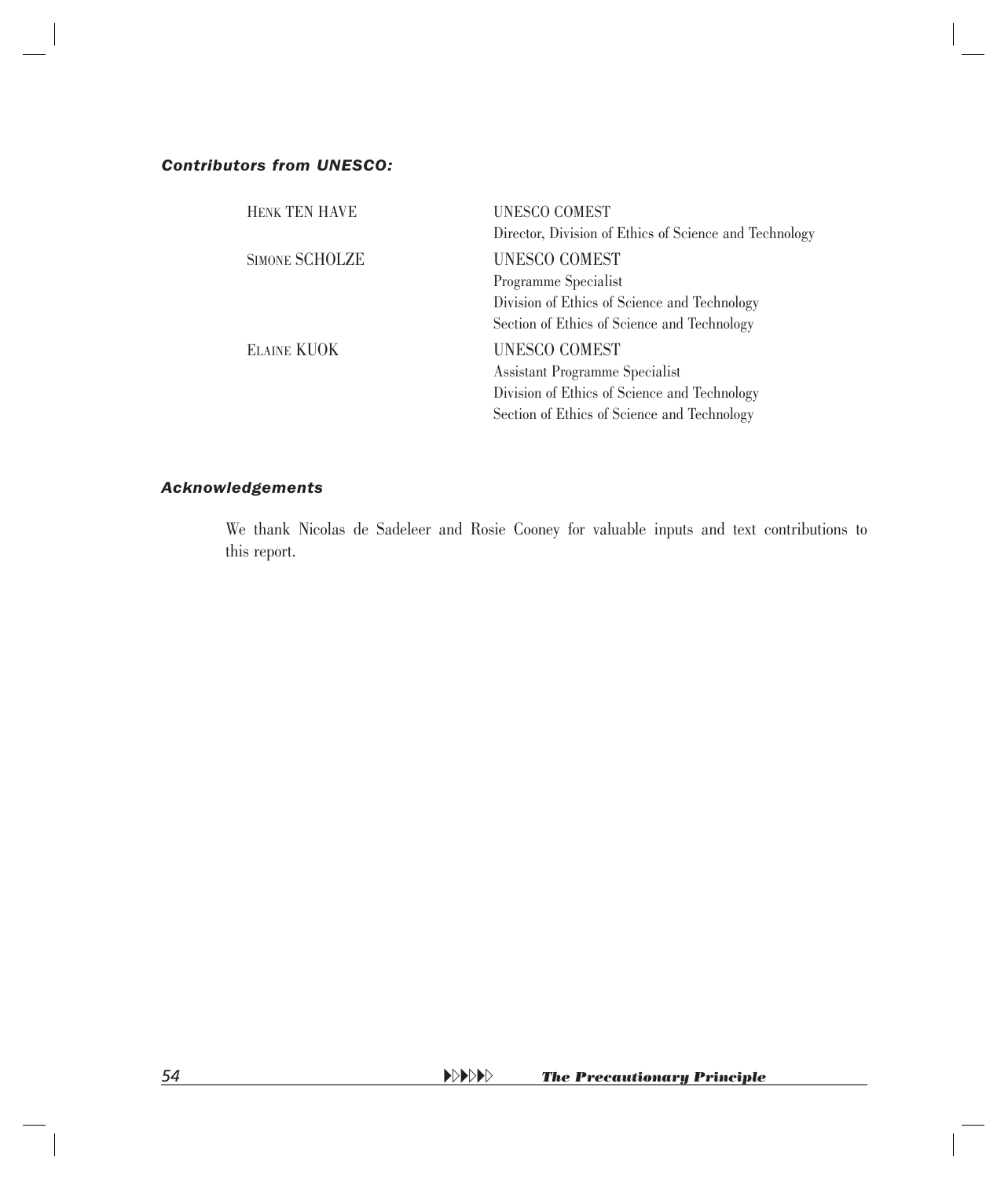#### *Contributors from UNESCO:*

| <b>HENK TEN HAVE</b> | UNESCO COMEST                                          |
|----------------------|--------------------------------------------------------|
|                      | Director, Division of Ethics of Science and Technology |
| SIMONE SCHOLZE       | <b>UNESCO COMEST</b>                                   |
|                      | Programme Specialist                                   |
|                      | Division of Ethics of Science and Technology           |
|                      | Section of Ethics of Science and Technology            |
| <b>ELAINE KUOK</b>   | <b>UNESCO COMEST</b>                                   |
|                      | Assistant Programme Specialist                         |
|                      | Division of Ethics of Science and Technology           |
|                      | Section of Ethics of Science and Technology            |
|                      |                                                        |

#### *Acknowledgements*

 We thank Nicolas de Sadeleer and Rosie Cooney for valuable inputs and text contributions to this report.